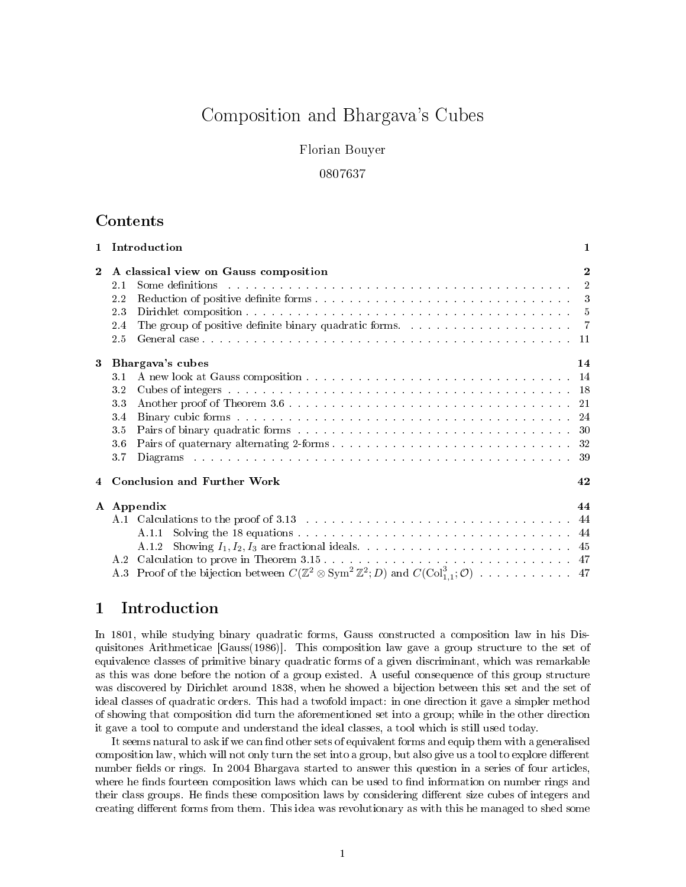# Composition and Bhargava's Cubes

## Florian Bouyer

## 0807637

## Contents

|              |                                                       | 1 Introduction                                                                          | $\mathbf{1}$ |  |  |  |
|--------------|-------------------------------------------------------|-----------------------------------------------------------------------------------------|--------------|--|--|--|
| $\mathbf{2}$ | A classical view on Gauss composition<br>$\mathbf{2}$ |                                                                                         |              |  |  |  |
|              | 2.1                                                   |                                                                                         |              |  |  |  |
|              | 2.2                                                   |                                                                                         |              |  |  |  |
|              | 2.3                                                   |                                                                                         |              |  |  |  |
|              | 2.4                                                   | The group of positive definite binary quadratic forms. $\ldots$ 7                       |              |  |  |  |
|              | 2.5                                                   |                                                                                         |              |  |  |  |
| 3            | Bhargava's cubes<br>14                                |                                                                                         |              |  |  |  |
|              | 3.1                                                   |                                                                                         |              |  |  |  |
|              | 3.2                                                   |                                                                                         |              |  |  |  |
|              | 3.3                                                   |                                                                                         |              |  |  |  |
|              | 3.4                                                   |                                                                                         |              |  |  |  |
|              | 35                                                    |                                                                                         |              |  |  |  |
|              | 3.6                                                   |                                                                                         |              |  |  |  |
|              | 3.7                                                   |                                                                                         |              |  |  |  |
| 4            | <b>Conclusion and Further Work</b>                    |                                                                                         | 42           |  |  |  |
|              |                                                       | A Appendix                                                                              | 44           |  |  |  |
|              |                                                       | A.1 Calculations to the proof of 3.13 measures in the set of the set of the set of $44$ |              |  |  |  |
|              |                                                       | A.1.1                                                                                   |              |  |  |  |
|              |                                                       | Showing $I_1, I_2, I_3$ are fractional ideals.<br>A 1.2                                 |              |  |  |  |
|              |                                                       |                                                                                         |              |  |  |  |
|              |                                                       |                                                                                         |              |  |  |  |
|              |                                                       |                                                                                         |              |  |  |  |

## 1 Introduction

In 1801, while studying binary quadratic forms, Gauss constructed a composition law in his Disquisitones Arithmeticae [Gauss(1986)]. This composition law gave a group structure to the set of equivalence classes of primitive binary quadratic forms of a given discriminant, which was remarkable as this was done before the notion of a group existed. A useful consequence of this group structure was discovered by Dirichlet around 1838, when he showed a bijection between this set and the set of ideal classes of quadratic orders. This had a twofold impact: in one direction it gave a simpler method of showing that composition did turn the aforementioned set into a group; while in the other direction it gave a tool to compute and understand the ideal classes, a tool which is still used today.

It seems natural to ask if we can find other sets of equivalent forms and equip them with a generalised composition law, which will not only turn the set into a group, but also give us a tool to explore different number fields or rings. In 2004 Bhargava started to answer this question in a series of four articles, where he finds fourteen composition laws which can be used to find information on number rings and their class groups. He finds these composition laws by considering different size cubes of integers and creating different forms from them. This idea was revolutionary as with this he managed to shed some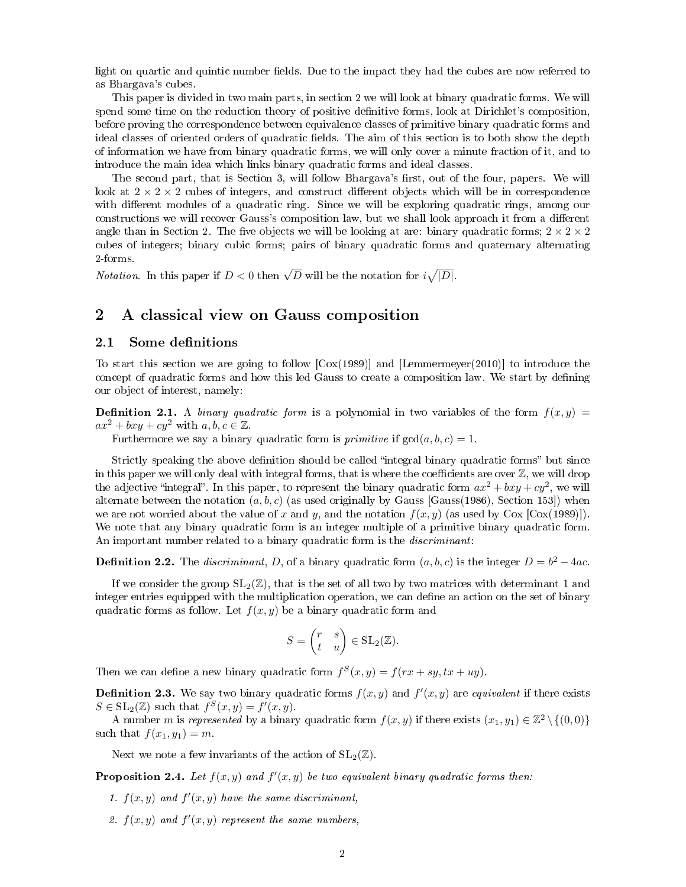light on quartic and quintic number fields. Due to the impact they had the cubes are now referred to as Bhargava's cubes.

This paper is divided in two main parts, in section 2 we will look at binary quadratic forms. We will spend some time on the reduction theory of positive denitive forms, look at Dirichlet's composition, before proving the correspondence between equivalence classes of primitive binary quadratic forms and ideal classes of oriented orders of quadratic fields. The aim of this section is to both show the depth of information we have from binary quadratic forms, we will only cover a minute fraction of it, and to introduce the main idea which links binary quadratic forms and ideal classes.

The second part, that is Section 3, will follow Bhargava's first, out of the four, papers. We will look at  $2 \times 2 \times 2$  cubes of integers, and construct different objects which will be in correspondence with different modules of a quadratic ring. Since we will be exploring quadratic rings, among our constructions we will recover Gauss's composition law, but we shall look approach it from a different angle than in Section 2. The five objects we will be looking at are: binary quadratic forms;  $2 \times 2 \times 2$ cubes of integers; binary cubic forms; pairs of binary quadratic forms and quaternary alternating 2-forms.

Notation. In this paper if  $D < 0$  then  $\sqrt{D}$  will be the notation for  $i\sqrt{|D|}$ .

# 2 A classical view on Gauss composition

### 2.1 Some definitions

To start this section we are going to follow  $\left[ \text{Cox}(1989) \right]$  and  $\left[ \text{Lemma:} \right]$  Lemmermeyer(2010)] to introduce the concept of quadratic forms and how this led Gauss to create a composition law. We start by defining our object of interest, namely:

**Definition 2.1.** A binary quadratic form is a polynomial in two variables of the form  $f(x, y) =$  $ax^2 + bxy + cy^2$  with  $a, b, c \in \mathbb{Z}$ .

Furthermore we say a binary quadratic form is *primitive* if  $gcd(a, b, c) = 1$ .

Strictly speaking the above definition should be called "integral binary quadratic forms" but since in this paper we will only deal with integral forms, that is where the coefficients are over  $\mathbb{Z}$ , we will drop the adjective "integral". In this paper, to represent the binary quadratic form  $ax^2 + bxy + cy^2$ , we will alternate between the notation  $(a, b, c)$  (as used originally by Gauss [Gauss(1986), Section 153]) when we are not worried about the value of x and y, and the notation  $f(x, y)$  (as used by Cox [Cox(1989)]). We note that any binary quadratic form is an integer multiple of a primitive binary quadratic form. An important number related to a binary quadratic form is the *discriminant*:

**Definition 2.2.** The *discriminant*, D, of a binary quadratic form  $(a, b, c)$  is the integer  $D = b^2 - 4ac$ .

If we consider the group  $SL_2(\mathbb{Z})$ , that is the set of all two by two matrices with determinant 1 and integer entries equipped with the multiplication operation, we can define an action on the set of binary quadratic forms as follow. Let  $f(x, y)$  be a binary quadratic form and

$$
S = \begin{pmatrix} r & s \\ t & u \end{pmatrix} \in SL_2(\mathbb{Z}).
$$

Then we can define a new binary quadratic form  $f^{S}(x, y) = f(rx + sy, tx + uy)$ .

**Definition 2.3.** We say two binary quadratic forms  $f(x, y)$  and  $f'(x, y)$  are equivalent if there exists  $S \in SL_2(\mathbb{Z})$  such that  $f^S(x, y) = f'(x, y)$ .

A number m is represented by a binary quadratic form  $f(x, y)$  if there exists  $(x_1, y_1) \in \mathbb{Z}^2 \setminus \{(0, 0)\}\$ such that  $f(x_1, y_1) = m$ .

Next we note a few invariants of the action of  $SL_2(\mathbb{Z})$ .

**Proposition 2.4.** Let  $f(x, y)$  and  $f'(x, y)$  be two equivalent binary quadratic forms then:

- 1.  $f(x, y)$  and  $f'(x, y)$  have the same discriminant,
- 2.  $f(x, y)$  and  $f'(x, y)$  represent the same numbers,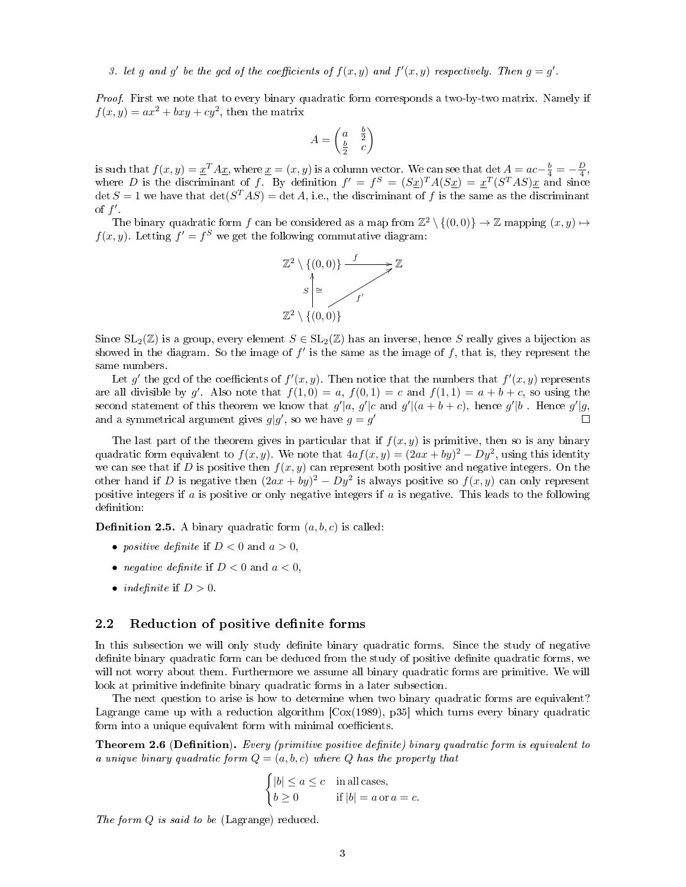Proof. First we note that to every binary quadratic form corresponds a two-by-two matrix. Namely if  $f(x,y) = ax^2 + bxy + cy^2$ , then the matrix

$$
A = \begin{pmatrix} a & \frac{b}{2} \\ \frac{b}{2} & c \end{pmatrix}
$$

is such that  $f(x, y) = \underline{x}^T A \underline{x}$ , where  $\underline{x} = (x, y)$  is a column vector. We can see that  $\det A = ac - \frac{b}{4} = -\frac{D}{4}$ , where D is the discriminant of f. By definition  $f' = f^S = (S_x)^T A (S_x) = x^T (S^T A S) x$  and since  $\det S = 1$  we have that  $\det(S^TAS) = \det A$ , i.e., the discriminant of f is the same as the discriminant of  $f'$ .

The binary quadratic form f can be considered as a map from  $\mathbb{Z}^2 \setminus \{(0,0)\} \to \mathbb{Z}$  mapping  $(x, y) \mapsto$  $f(x, y)$ . Letting  $f' = f^S$  we get the following commutative diagram:



Since  $SL_2(\mathbb{Z})$  is a group, every element  $S \in SL_2(\mathbb{Z})$  has an inverse, hence S really gives a bijection as showed in the diagram. So the image of  $f'$  is the same as the image of  $f$ , that is, they represent the same numbers.

Let g' the gcd of the coefficients of  $f'(x, y)$ . Then notice that the numbers that  $f'(x, y)$  represents are all divisible by g'. Also note that  $f(1,0) = a$ ,  $f(0,1) = c$  and  $f(1,1) = a + b + c$ , so using the second statement of this theorem we know that  $g'|a, g'|c$  and  $g'|(a + b + c)$ , hence  $g'|b$ . Hence  $g'|g$ , and a symmetrical argument gives  $g|g'$ , so we have  $g = g'$  $\Box$ 

The last part of the theorem gives in particular that if  $f(x, y)$  is primitive, then so is any binary quadratic form equivalent to  $f(x, y)$ . We note that  $4af(x, y) = (2ax + by)^2 - Dy^2$ , using this identity we can see that if D is positive then  $f(x, y)$  can represent both positive and negative integers. On the other hand if D is negative then  $(2ax + by)^2 - Dy^2$  is always positive so  $f(x, y)$  can only represent positive integers if  $a$  is positive or only negative integers if  $a$  is negative. This leads to the following definition:

**Definition 2.5.** A binary quadratic form  $(a, b, c)$  is called:

- positive definite if  $D < 0$  and  $a > 0$ ,
- *negative definite* if  $D < 0$  and  $a < 0$ ,
- *indefinite* if  $D > 0$ .

#### 2.2 Reduction of positive definite forms

In this subsection we will only study denite binary quadratic forms. Since the study of negative definite binary quadratic form can be deduced from the study of positive definite quadratic forms, we will not worry about them. Furthermore we assume all binary quadratic forms are primitive. We will look at primitive indefinite binary quadratic forms in a later subsection.

The next question to arise is how to determine when two binary quadratic forms are equivalent? Lagrange came up with a reduction algorithm  $\left[\cos(1989), 935\right]$  which turns every binary quadratic form into a unique equivalent form with minimal coefficients.

Theorem 2.6 (Definition). Every (primitive positive definite) binary quadratic form is equivalent to a unique binary quadratic form  $Q = (a, b, c)$  where Q has the property that

$$
\begin{cases} |b| \le a \le c & \text{in all cases,} \\ b \ge 0 & \text{if } |b| = a \text{ or } a = c. \end{cases}
$$

The form Q is said to be (Lagrange) reduced.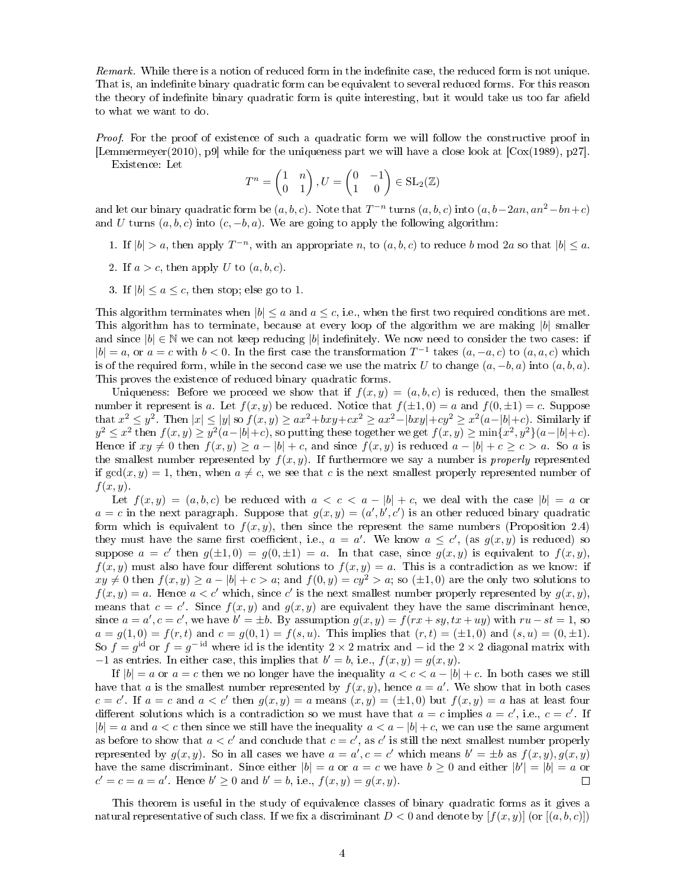Remark. While there is a notion of reduced form in the indefinite case, the reduced form is not unique. That is, an indefinite binary quadratic form can be equivalent to several reduced forms. For this reason the theory of indefinite binary quadratic form is quite interesting, but it would take us too far afield to what we want to do.

*Proof.* For the proof of existence of such a quadratic form we will follow the constructive proof in [Lemmermeyer(2010), p9] while for the uniqueness part we will have a close look at [Cox(1989), p27].

Existence: Let

$$
T^n = \begin{pmatrix} 1 & n \\ 0 & 1 \end{pmatrix}, U = \begin{pmatrix} 0 & -1 \\ 1 & 0 \end{pmatrix} \in SL_2(\mathbb{Z})
$$

and let our binary quadratic form be  $(a, b, c)$ . Note that  $T^{-n}$  turns  $(a, b, c)$  into  $(a, b-2an, an^2-bn+c)$ and U turns  $(a, b, c)$  into  $(c, -b, a)$ . We are going to apply the following algorithm:

- 1. If  $|b| > a$ , then apply  $T^{-n}$ , with an appropriate n, to  $(a, b, c)$  to reduce b mod 2a so that  $|b| \le a$ .
- 2. If  $a > c$ , then apply U to  $(a, b, c)$ .
- 3. If  $|b| \le a \le c$ , then stop; else go to 1.

This algorithm terminates when  $|b| \le a$  and  $a \le c$ , i.e., when the first two required conditions are met. This algorithm has to terminate, because at every loop of the algorithm we are making  $|b|$  smaller and since  $|b| \in \mathbb{N}$  we can not keep reducing  $|b|$  indefinitely. We now need to consider the two cases: if  $|b| = a$ , or  $a = c$  with  $b < 0$ . In the first case the transformation  $T^{-1}$  takes  $(a, -a, c)$  to  $(a, a, c)$  which is of the required form, while in the second case we use the matrix U to change  $(a, -b, a)$  into  $(a, b, a)$ . This proves the existence of reduced binary quadratic forms.

Uniqueness: Before we proceed we show that if  $f(x, y) = (a, b, c)$  is reduced, then the smallest number it represent is a. Let  $f(x, y)$  be reduced. Notice that  $f(\pm 1, 0) = a$  and  $f(0, \pm 1) = c$ . Suppose that  $x^2 \le y^2$ . Then  $|x| \le |y|$  so  $f(x, y) \ge ax^2 + bxy + cx^2 \ge ax^2 - |bxy| + cy^2 \ge x^2(a-|b|+c)$ . Similarly if  $y^2 \leq x^2$  then  $f(x, y) \geq y^2(a-|b|+c)$ , so putting these together we get  $f(x, y) \geq \min\{x^2, y^2\}(a-|b|+c)$ . Hence if  $xy \neq 0$  then  $f(x, y) \geq a - |b| + c$ , and since  $f(x, y)$  is reduced  $a - |b| + c \geq c > a$ . So a is the smallest number represented by  $f(x, y)$ . If furthermore we say a number is *properly* represented if  $gcd(x, y) = 1$ , then, when  $a \neq c$ , we see that c is the next smallest properly represented number of  $f(x, y)$ .

Let  $f(x, y) = (a, b, c)$  be reduced with  $a < c < a - |b| + c$ , we deal with the case  $|b| = a$  or  $a = c$  in the next paragraph. Suppose that  $g(x, y) = (a', b', c')$  is an other reduced binary quadratic form which is equivalent to  $f(x, y)$ , then since the represent the same numbers (Proposition 2.4) they must have the same first coefficient, i.e.,  $a = a'$ . We know  $a \leq c'$ , (as  $g(x, y)$  is reduced) so suppose  $a = c'$  then  $g(\pm 1, 0) = g(0, \pm 1) = a$ . In that case, since  $g(x, y)$  is equivalent to  $f(x, y)$ ,  $f(x, y)$  must also have four different solutions to  $f(x, y) = a$ . This is a contradiction as we know: if  $xy \neq 0$  then  $f(x, y) \geq a - |b| + c > a$ ; and  $f(0, y) = cy^2 > a$ ; so  $(\pm 1, 0)$  are the only two solutions to  $f(x, y) = a$ . Hence  $a < c'$  which, since c' is the next smallest number properly represented by  $g(x, y)$ , means that  $c = c'$ . Since  $f(x, y)$  and  $g(x, y)$  are equivalent they have the same discriminant hence, since  $a = a', c = c'$ , we have  $b' = \pm b$ . By assumption  $g(x, y) = f(rx + sy, tx + uy)$  with  $ru - st = 1$ , so  $a = g(1,0) = f(r,t)$  and  $c = g(0,1) = f(s,u)$ . This implies that  $(r,t) = (\pm 1,0)$  and  $(s,u) = (0,\pm 1)$ . So  $f = g^{\text{id}}$  or  $f = g^{-\text{id}}$  where id is the identity 2 × 2 matrix and − id the 2 × 2 diagonal matrix with  $-1$  as entries. In either case, this implies that  $b' = b$ , i.e.,  $f(x, y) = g(x, y)$ .

If  $|b| = a$  or  $a = c$  then we no longer have the inequality  $a < c < a - |b| + c$ . In both cases we still have that a is the smallest number represented by  $f(x, y)$ , hence  $a = a'$ . We show that in both cases  $c = c'$ . If  $a = c$  and  $a < c'$  then  $g(x, y) = a$  means  $(x, y) = (\pm 1, 0)$  but  $f(x, y) = a$  has at least four different solutions which is a contradiction so we must have that  $a = c$  implies  $a = c'$ , i.e.,  $c = c'$ . If  $|b| = a$  and  $a < c$  then since we still have the inequality  $a < a - |b| + c$ , we can use the same argument as before to show that  $a < c'$  and conclude that  $c = c'$ , as c' is still the next smallest number properly represented by  $g(x, y)$ . So in all cases we have  $a = a', c = c'$  which means  $b' = \pm b$  as  $f(x, y), g(x, y)$ have the same discriminant. Since either  $|b| = a$  or  $a = c$  we have  $b \ge 0$  and either  $|b'| = |b| = a$  or  $c' = c = a = a'$ . Hence  $b' \ge 0$  and  $b' = b$ , i.e.,  $f(x, y) = g(x, y)$ .  $\Box$ 

This theorem is useful in the study of equivalence classes of binary quadratic forms as it gives a natural representative of such class. If we fix a discriminant  $D < 0$  and denote by  $[f(x, y)]$  (or  $[(a, b, c)]$ )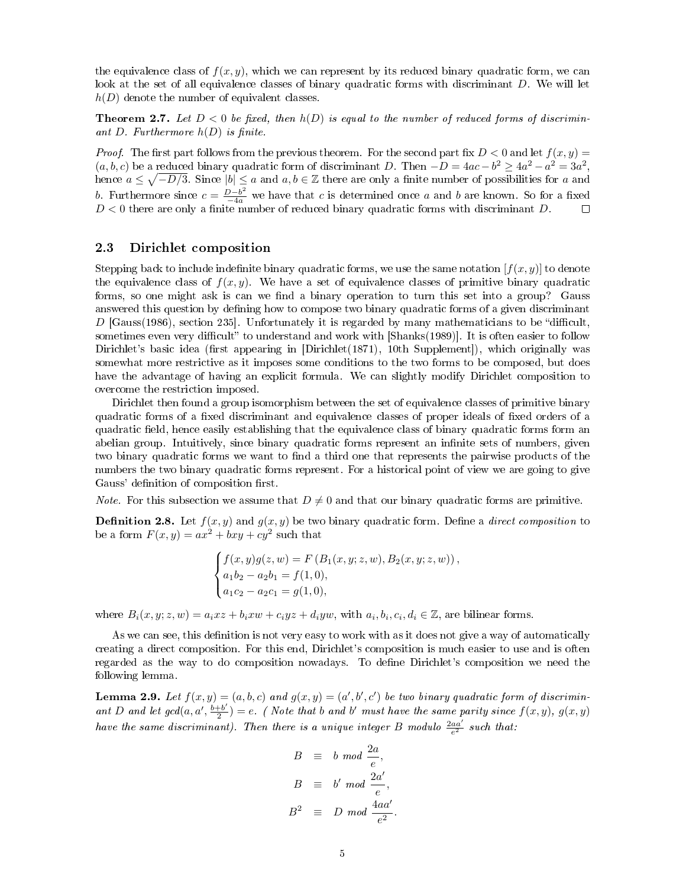the equivalence class of  $f(x, y)$ , which we can represent by its reduced binary quadratic form, we can look at the set of all equivalence classes of binary quadratic forms with discriminant D. We will let  $h(D)$  denote the number of equivalent classes.

**Theorem 2.7.** Let  $D < 0$  be fixed, then  $h(D)$  is equal to the number of reduced forms of discriminant D. Furthermore  $h(D)$  is finite.

*Proof.* The first part follows from the previous theorem. For the second part fix  $D < 0$  and let  $f(x, y) =$  $(a, b, c)$  be a reduced binary quadratic form of discriminant D. Then  $-D = 4ac - b^2 \ge 4a^2 - a^2 = 3a^2$ , hence  $a \leq \sqrt{-D/3}$ . Since  $|b| \leq a$  and  $a, b \in \mathbb{Z}$  there are only a finite number of possibilities for a and b. Furthermore since  $c = \frac{D-b^2}{-4a}$  we have that c is determined once a and b are known. So for a fixed  $D < 0$  there are only a finite number of reduced binary quadratic forms with discriminant D.

### 2.3 Dirichlet composition

Stepping back to include indefinite binary quadratic forms, we use the same notation  $[f(x, y)]$  to denote the equivalence class of  $f(x, y)$ . We have a set of equivalence classes of primitive binary quadratic forms, so one might ask is can we find a binary operation to turn this set into a group? Gauss answered this question by defining how to compose two binary quadratic forms of a given discriminant  $D$  [Gauss(1986), section 235]. Unfortunately it is regarded by many mathematicians to be "difficult, sometimes even very difficult" to understand and work with [Shanks(1989)]. It is often easier to follow Dirichlet's basic idea (first appearing in  $\text{Dirichlet}(1871)$ , 10th Supplement), which originally was somewhat more restrictive as it imposes some conditions to the two forms to be composed, but does have the advantage of having an explicit formula. We can slightly modify Dirichlet composition to overcome the restriction imposed.

Dirichlet then found a group isomorphism between the set of equivalence classes of primitive binary quadratic forms of a fixed discriminant and equivalence classes of proper ideals of fixed orders of a quadratic field, hence easily establishing that the equivalence class of binary quadratic forms form an abelian group. Intuitively, since binary quadratic forms represent an infinite sets of numbers, given two binary quadratic forms we want to find a third one that represents the pairwise products of the numbers the two binary quadratic forms represent. For a historical point of view we are going to give Gauss' definition of composition first.

*Note.* For this subsection we assume that  $D \neq 0$  and that our binary quadratic forms are primitive.

**Definition 2.8.** Let  $f(x, y)$  and  $g(x, y)$  be two binary quadratic form. Define a *direct composition* to be a form  $F(x, y) = ax^2 + bxy + cy^2$  such that

$$
\begin{cases}\nf(x,y)g(z,w) = F(B_1(x,y;z,w), B_2(x,y;z,w)), \\
a_1b_2 - a_2b_1 = f(1,0), \\
a_1c_2 - a_2c_1 = g(1,0),\n\end{cases}
$$

where  $B_i(x, y; z, w) = a_i xz + b_i xw + c_i yz + d_i yw$ , with  $a_i, b_i, c_i, d_i \in \mathbb{Z}$ , are bilinear forms.

As we can see, this definition is not very easy to work with as it does not give a way of automatically creating a direct composition. For this end, Dirichlet's composition is much easier to use and is often regarded as the way to do composition nowadays. To dene Dirichlet's composition we need the following lemma.

**Lemma 2.9.** Let  $f(x, y) = (a, b, c)$  and  $g(x, y) = (a', b', c')$  be two binary quadratic form of discriminant D and let  $gcd(a, a', \frac{b+b'}{2})$  $\frac{1+b'}{2}$ ) = e. (Note that b and b' must have the same parity since  $f(x, y)$ ,  $g(x, y)$ have the same discriminant). Then there is a unique integer B modulo  $\frac{2aa'}{e^2}$  such that:

$$
B \equiv b \mod \frac{2a}{e},
$$
  

$$
B \equiv b' \mod \frac{2a'}{e},
$$
  

$$
B^2 \equiv D \mod \frac{4aa'}{e^2}.
$$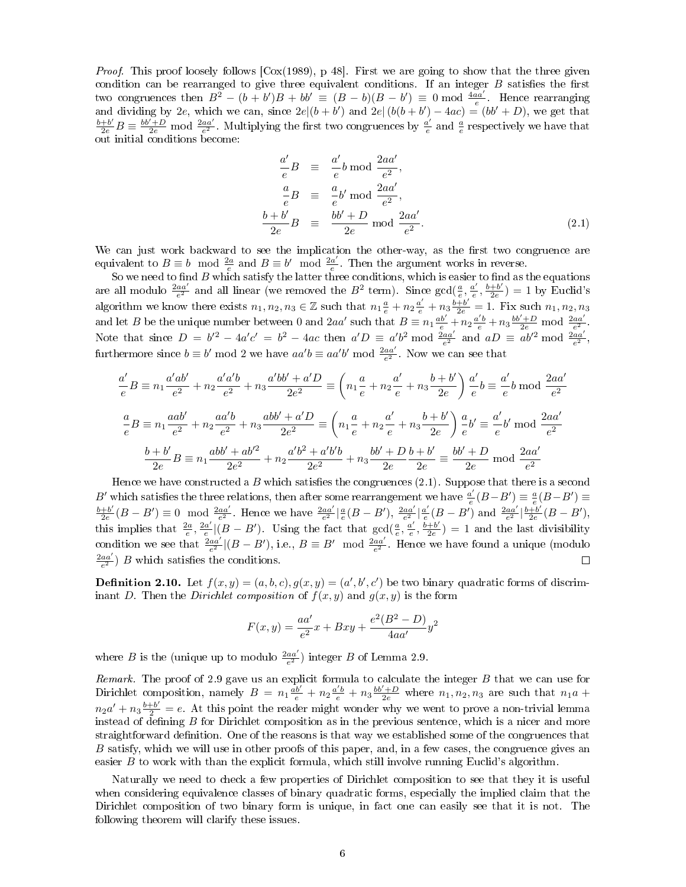*Proof.* This proof loosely follows  $\lceil \cos(1989), p \right. 48 \rceil$ . First we are going to show that the three given condition can be rearranged to give three equivalent conditions. If an integer  $B$  satisfies the first two congruences then  $B^2 - (b + b')B + bb' \equiv (B - b)(B - b') \equiv 0 \mod \frac{4aa'}{e}$ . Hence rearranging and dividing by 2e, which we can, since  $2e|(b + b')$  and  $2e|(b(b + b') - 4ac) = (bb' + D)$ , we get that  $\frac{b+b'}{2e}B \equiv \frac{bb'+D}{2e}$  mod  $\frac{2aa'}{e^2}$ . Multiplying the first two congruences by  $\frac{a'}{e}$  $\frac{a'}{e}$  and  $\frac{a}{e}$  respectively we have that out initial conditions become:

$$
\frac{a'}{e}B \equiv \frac{a'}{e}b \mod \frac{2aa'}{e^2},
$$
  
\n
$$
\frac{a}{e}B \equiv \frac{a}{e}b' \mod \frac{2aa'}{e^2},
$$
  
\n
$$
\frac{b+b'}{2e}B \equiv \frac{bb'+D}{2e} \mod \frac{2aa'}{e^2}.
$$
\n(2.1)

We can just work backward to see the implication the other-way, as the first two congruence are equivalent to  $B \equiv b \mod \frac{2a}{e}$  and  $B \equiv b' \mod \frac{2a'}{e}$  $\frac{a'}{e}$ . Then the argument works in reverse.

So we need to find  $B$  which satisfy the latter three conditions, which is easier to find as the equations are all modulo  $\frac{2aa'}{e^2}$  and all linear (we removed the  $B^2$  term). Since  $gcd(\frac{a}{e}, \frac{a'}{e})$  $\frac{a'}{e}, \frac{b+b'}{2e}$  $\frac{+b'}{2e}$ ) = 1 by Euclid's algorithm we know there exists  $n_1, n_2, n_3 \in \mathbb{Z}$  such that  $n_1 \frac{a}{e} + n_2 \frac{a'}{e} + n_3 \frac{b+b'}{2e} = 1$ . Fix such  $n_1, n_2, n_3$ and let B be the unique number between 0 and 2aa' such that  $B = n_1 \frac{ab'}{e} + n_2 \frac{a'b}{e} + n_3 \frac{b' + D}{2e}$  mod  $\frac{2aa'}{e^2}$ . Note that since  $D = b'^2 - 4a'c' = b^2 - 4ac$  then  $a'D \equiv a'b^2 \mod \frac{2aa'}{e^2}$  and  $aD \equiv ab'^2 \mod \frac{2aa'}{e^2}$ , furthermore since  $b \equiv b' \mod 2$  we have  $aa'b \equiv aa'b' \mod \frac{2aa'}{e^2}$ . Now we can see that

$$
\frac{a'}{e}B \equiv n_1 \frac{a'ab'}{e^2} + n_2 \frac{a'd'b}{e^2} + n_3 \frac{a'bb' + a'D}{2e^2} \equiv \left(n_1 \frac{a}{e} + n_2 \frac{a'}{e} + n_3 \frac{b+b'}{2e}\right) \frac{a'}{e}b \equiv \frac{a'}{e}b \mod \frac{2aa'}{e^2}
$$

$$
\frac{a}{e}B \equiv n_1 \frac{aab'}{e^2} + n_2 \frac{aa'b}{e^2} + n_3 \frac{abb' + a'D}{2e^2} \equiv \left(n_1 \frac{a}{e} + n_2 \frac{a'}{e} + n_3 \frac{b+b'}{2e}\right) \frac{a}{e}b' \equiv \frac{a'}{e}b' \mod \frac{2aa'}{e^2}
$$

$$
\frac{b+b'}{2e}B \equiv n_1 \frac{abb' + ab'^2}{2e^2} + n_2 \frac{a'b^2 + a'b'b}{2e^2} + n_3 \frac{bb' + D}{2e} \equiv \frac{bb' + D}{2e} \mod \frac{2aa'}{e^2}
$$

Hence we have constructed a B which satisfies the congruences  $(2.1)$ . Suppose that there is a second B' which satisfies the three relations, then after some rearrangement we have  $\frac{a'}{e}$  $\frac{a'}{e}(B-B') \equiv \frac{a}{e}(B-B') \equiv$  $b + b'$  $\frac{1}{2e}(B-B')\equiv 0\mod \frac{2aa'}{e^2}$ . Hence we have  $\frac{2aa'}{e^2}|\frac{a}{e}(B-B')$ ,  $\frac{2aa'}{e^2}|\frac{a'}{e}$  $\frac{a'}{e}(B - B')$  and  $\frac{2aa'}{e^2}|\frac{b+b'}{2e}$  $\frac{+b'}{2e}(B-B'),$ this implies that  $\frac{2a}{e}, \frac{2a'}{e}$  $\frac{a'}{e}$  (B – B'). Using the fact that  $gcd(\frac{a}{e}, \frac{a'}{e})$  $\frac{a'}{e}, \frac{\tilde{b}+b'}{2e}$  $\frac{+b'}{2e}$ ) = 1 and the last divisibility condition we see that  $\frac{2aa'}{e^2}$   $|(B - B')$ , i.e.,  $B \equiv B' \mod \frac{2aa'}{e^2}$ . Hence we have found a unique (modulo  $\frac{2aa'}{e^2}$ ) B which satisfies the conditions.  $\Box$ 

**Definition 2.10.** Let  $f(x, y) = (a, b, c), g(x, y) = (a', b', c')$  be two binary quadratic forms of discriminant D. Then the Dirichlet composition of  $f(x, y)$  and  $g(x, y)$  is the form

$$
F(x,y) = \frac{aa'}{e^2}x + Bxy + \frac{e^2(B^2 - D)}{4aa'}y^2
$$

where B is the (unique up to modulo  $\frac{2aa'}{e^2}$ ) integer B of Lemma 2.9.

Remark. The proof of 2.9 gave us an explicit formula to calculate the integer B that we can use for Dirichlet composition, namely  $B = n_1 \frac{ab'}{e} + n_2 \frac{a'b'}{e} + n_3 \frac{bb'+D}{2e}$  where  $n_1, n_2, n_3$  are such that  $n_1a$  +  $n_2a' + n_3\frac{b+b'}{2} = e$ . At this point the reader might wonder why we went to prove a non-trivial lemma instead of defining  $B$  for Dirichlet composition as in the previous sentence, which is a nicer and more straightforward denition. One of the reasons is that way we established some of the congruences that B satisfy, which we will use in other proofs of this paper, and, in a few cases, the congruence gives an easier  $B$  to work with than the explicit formula, which still involve running Euclid's algorithm.

Naturally we need to check a few properties of Dirichlet composition to see that they it is useful when considering equivalence classes of binary quadratic forms, especially the implied claim that the Dirichlet composition of two binary form is unique, in fact one can easily see that it is not. The following theorem will clarify these issues.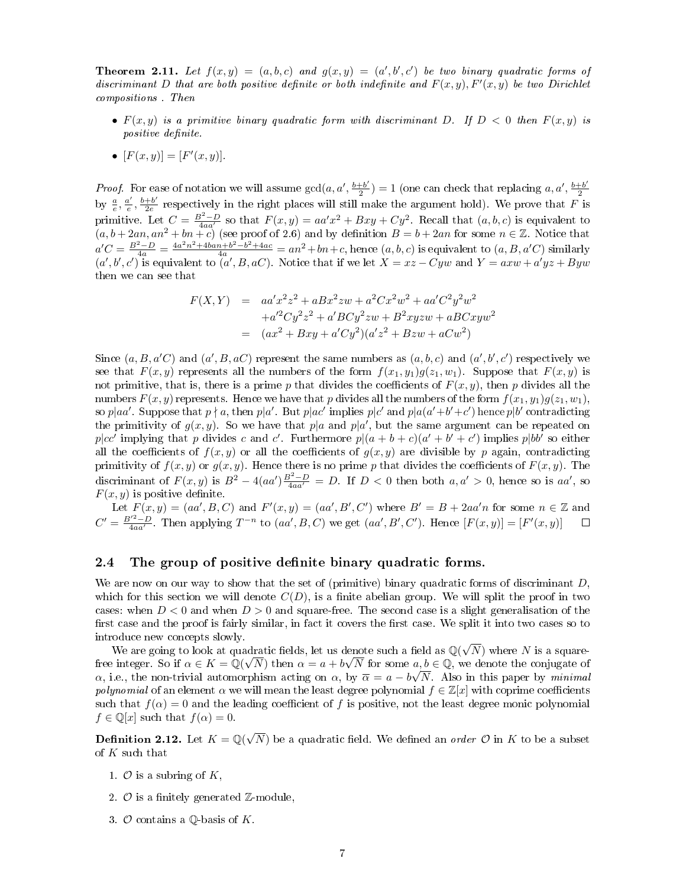**Theorem 2.11.** Let  $f(x,y) = (a,b,c)$  and  $g(x,y) = (a',b',c')$  be two binary quadratic forms of discriminant D that are both positive definite or both indefinite and  $F(x, y)$ ,  $F'(x, y)$  be two Dirichlet compositions . Then

- $F(x, y)$  is a primitive binary quadratic form with discriminant D. If  $D < 0$  then  $F(x, y)$  is positive definite.
- $[F(x, y)] = [F'(x, y)].$

*Proof.* For ease of notation we will assume  $gcd(a, a', \frac{b+b'}{2})$  $\frac{1+b'}{2}$ ) = 1 (one can check that replacing a, a',  $\frac{b+b'}{2}$ 2 by  $\frac{a}{e}, \frac{a'}{e}, \frac{b+b'}{2e}$  respectively in the right places will still make the argument hold). We prove that F is e e 2e primitive. Let  $C = \frac{B^2 - D}{4aa'}$  so that  $F(x, y) = aa'x^2 + Bxy + Cy^2$ . Recall that  $(a, b, c)$  is equivalent to  $(a, b + 2an, an^2 + bn + c)$  (see proof of 2.6) and by definition  $B = b + 2an$  for some  $n \in \mathbb{Z}$ . Notice that  $a'C = \frac{B^2-D}{4a} = \frac{4a^2n^2+4ban+b^2-b^2+4ac}{4a} = an^2+bn+c$ , hence  $(a, b, c)$  is equivalent to  $(a, B, a'C)$  similarly  $(a',b',c')$  is equivalent to  $(a',B,aC)$ . Notice that if we let  $X = xz - Cyw$  and  $Y = axw + a'yz + Byw$ then we can see that

$$
F(X,Y) = aa'x^2z^2 + aBx^2zw + a^2Cx^2w^2 + aa'C^2y^2w^2
$$
  
+a'<sup>2</sup>Cy<sup>2</sup>z<sup>2</sup> + a'BCy<sup>2</sup>zw + B<sup>2</sup>xyzw + aBCxyw<sup>2</sup>  
= (ax<sup>2</sup> + Bxy + a'Cy<sup>2</sup>)(a'z<sup>2</sup> + Bzw + aCw<sup>2</sup>)

Since  $(a, B, a'C)$  and  $(a', B, aC)$  represent the same numbers as  $(a, b, c)$  and  $(a', b', c')$  respectively we see that  $F(x, y)$  represents all the numbers of the form  $f(x_1, y_1)g(z_1, w_1)$ . Suppose that  $F(x, y)$  is not primitive, that is, there is a prime p that divides the coefficients of  $F(x, y)$ , then p divides all the numbers  $F(x, y)$  represents. Hence we have that p divides all the numbers of the form  $f(x_1, y_1)g(z_1, w_1)$ , so p|aa'. Suppose that  $p \nmid a$ , then p|a'. But p|ac' implies p|c' and p|a(a'+b'+c') hence p|b' contradicting the primitivity of  $g(x, y)$ . So we have that  $p|a$  and  $p|a'$ , but the same argument can be repeated on p|cc' implying that p divides c and c'. Furthermore  $p|(a+b+c)(a'+b'+c')$  implies p|bb' so either all the coefficients of  $f(x, y)$  or all the coefficients of  $g(x, y)$  are divisible by p again, contradicting primitivity of  $f(x, y)$  or  $g(x, y)$ . Hence there is no prime p that divides the coefficients of  $F(x, y)$ . The discriminant of  $F(x, y)$  is  $B^2 - 4(aa')\frac{B^2 - D}{4aa'} = D$ . If  $D < 0$  then both  $a, a' > 0$ , hence so is aa', so  $F(x, y)$  is positive definite.

Let  $F(x, y) = (aa', B, C)$  and  $F'(x, y) = (aa', B', C')$  where  $B' = B + 2aa'n$  for some  $n \in \mathbb{Z}$  and  $C' = \frac{B'^2 - D}{4aa'}$ . Then applying  $T^{-n}$  to  $(aa', B, C)$  we get  $(aa', B', C')$ . Hence  $[F(x, y)] = [F'(x, y)]$  $\Box$ 

### 2.4 The group of positive definite binary quadratic forms.

We are now on our way to show that the set of (primitive) binary quadratic forms of discriminant  $D$ , which for this section we will denote  $C(D)$ , is a finite abelian group. We will split the proof in two cases: when  $D < 0$  and when  $D > 0$  and square-free. The second case is a slight generalisation of the first case and the proof is fairly similar, in fact it covers the first case. We split it into two cases so to introduce new concepts slowly.

oduce new concepts slowly.<br>We are going to look at quadratic fields, let us denote such a field as  $\mathbb{Q}(\sqrt{ }$ adratic fields, let us denote such a field as  $\mathbb{Q}(\sqrt{N})$  where N is a squarefree integer. So if  $\alpha \in K = \mathbb{Q}(\sqrt{N})$  then  $\alpha = a + b\sqrt{N}$  for some  $a, b \in \mathbb{Q}$ , we denote the conjugate of  $\alpha$ , i.e., the non-trivial automorphism acting on  $\alpha$ , by  $\overline{\alpha} = a - b\sqrt{N}$ . Also in this paper by minimal polynomial of an element  $\alpha$  we will mean the least degree polynomial  $f \in \mathbb{Z}[x]$  with coprime coefficients such that  $f(\alpha) = 0$  and the leading coefficient of f is positive, not the least degree monic polynomial  $f \in \mathbb{O}[x]$  such that  $f(\alpha) = 0$ .

**Definition 2.12.** Let  $K = \mathbb{Q}(\sqrt{2})$ N) be a quadratic field. We defined an *order*  $\mathcal O$  in K to be a subset of K such that

- 1.  $\mathcal O$  is a subring of  $K$ ,
- 2.  $\mathcal{O}$  is a finitely generated  $\mathbb{Z}$ -module,
- 3.  $\mathcal O$  contains a Q-basis of K.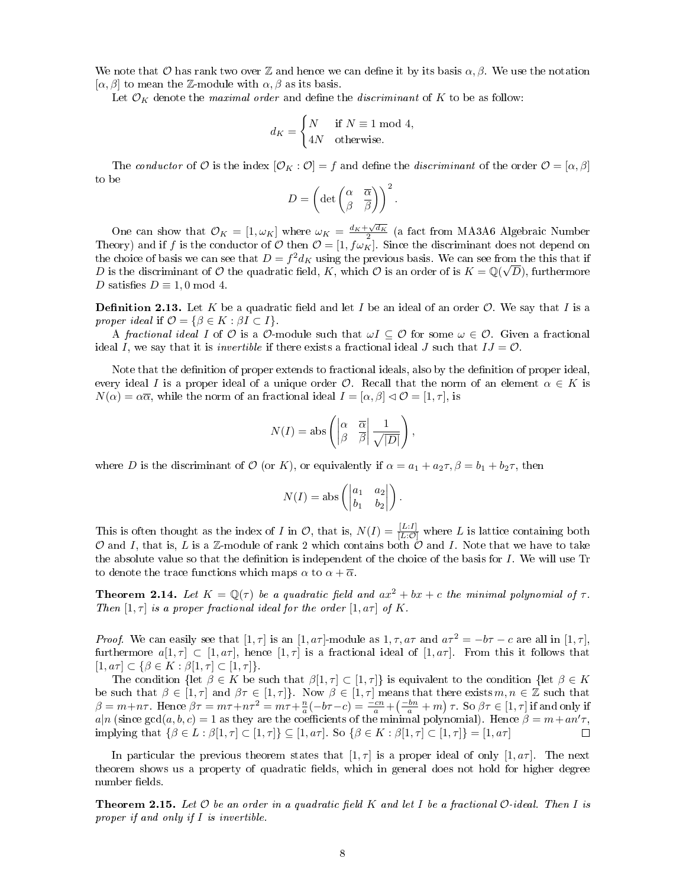We note that O has rank two over Z and hence we can define it by its basis  $\alpha, \beta$ . We use the notation  $[\alpha, \beta]$  to mean the Z-module with  $\alpha, \beta$  as its basis.

Let  $\mathcal{O}_K$  denote the *maximal order* and define the *discriminant* of K to be as follow:

$$
d_K = \begin{cases} N & \text{if } N \equiv 1 \text{ mod } 4, \\ 4N & \text{otherwise.} \end{cases}
$$

The conductor of O is the index  $[\mathcal{O}_K : \mathcal{O}] = f$  and define the discriminant of the order  $\mathcal{O} = [\alpha, \beta]$ to be

$$
D = \left(\det \begin{pmatrix} \alpha & \overline{\alpha} \\ \beta & \overline{\beta} \end{pmatrix} \right)^2.
$$

One can show that  $\mathcal{O}_K = [1, \omega_K]$  where  $\omega_K = \frac{d_K + \sqrt{d_K}}{2}$  (a fact from MA3A6 Algebraic Number Theory) and if f is the conductor of O then  $\mathcal{O} = [1, f\omega_K]$ . Since the discriminant does not depend on the choice of basis we can see that  $D = f^2 d_K$  using the previous basis. We can see from the this that if D is the discriminant of O the quadratic field, K, which O is an order of is  $K = \mathbb{Q}(\sqrt{D})$ , furthermore D satisfies  $D \equiv 1, 0 \mod 4$ .

**Definition 2.13.** Let K be a quadratic field and let I be an ideal of an order  $\mathcal{O}$ . We say that I is a proper ideal if  $\mathcal{O} = \{ \beta \in K : \beta I \subset I \}.$ 

A fractional ideal I of O is a O-module such that  $\omega I \subseteq \mathcal{O}$  for some  $\omega \in \mathcal{O}$ . Given a fractional ideal I, we say that it is *invertible* if there exists a fractional ideal J such that  $IJ = \mathcal{O}$ .

Note that the definition of proper extends to fractional ideals, also by the definition of proper ideal, every ideal I is a proper ideal of a unique order  $\mathcal{O}$ . Recall that the norm of an element  $\alpha \in K$  is  $N(\alpha) = \alpha \overline{\alpha}$ , while the norm of an fractional ideal  $I = [\alpha, \beta] \triangleleft \mathcal{O} = [1, \tau]$ , is

$$
N(I) = \text{abs}\left(\begin{vmatrix} \alpha & \overline{\alpha} \\ \beta & \overline{\beta} \end{vmatrix} \frac{1}{\sqrt{|D|}}\right),\,
$$

where D is the discriminant of O (or K), or equivalently if  $\alpha = a_1 + a_2\tau$ ,  $\beta = b_1 + b_2\tau$ , then

$$
N(I) = \text{abs}\left(\begin{vmatrix} a_1 & a_2 \\ b_1 & b_2 \end{vmatrix}\right).
$$

This is often thought as the index of I in  $\mathcal{O}$ , that is,  $N(I) = \frac{[L:I]}{[L:\mathcal{O}]}$  where L is lattice containing both  $O$  and I, that is, L is a Z-module of rank 2 which contains both  $O$  and I. Note that we have to take the absolute value so that the definition is independent of the choice of the basis for I. We will use Tr to denote the trace functions which maps  $\alpha$  to  $\alpha + \overline{\alpha}$ .

**Theorem 2.14.** Let  $K = \mathbb{O}(\tau)$  be a quadratic field and  $ax^2 + bx + c$  the minimal polynomial of  $\tau$ . Then  $[1, \tau]$  is a proper fractional ideal for the order  $[1, a\tau]$  of K.

*Proof.* We can easily see that  $[1, \tau]$  is an  $[1, a\tau]$ -module as  $1, \tau, a\tau$  and  $a\tau^2 = -b\tau - c$  are all in  $[1, \tau]$ , furthermore  $a[1,\tau] \subset [1,a\tau]$ , hence  $[1,\tau]$  is a fractional ideal of  $[1,a\tau]$ . From this it follows that  $[1, a\tau] \subset {\beta \in K : \beta[1, \tau] \subset [1, \tau]}.$ 

The condition  $\{\mathrm{let} \ \beta \in K \text{ be such that } \beta[1, \tau] \subset [1, \tau]\}$  is equivalent to the condition  $\{\mathrm{let} \ \beta \in K\}$ be such that  $\beta \in [1, \tau]$  and  $\beta \tau \in [1, \tau]$ . Now  $\beta \in [1, \tau]$  means that there exists  $m, n \in \mathbb{Z}$  such that  $\beta = m + n\tau$ . Hence  $\beta\tau = m\tau + n\tau^2 = m\tau + \frac{n}{a}(-b\tau - c) = \frac{-cn}{a} + \left(\frac{-bn}{a} + m\right)\tau$ . So  $\beta\tau \in [1, \tau]$  if and only if  $a|n$  (since gcd $(a, b, c) = 1$  as they are the coefficients of the minimal polynomial). Hence  $\beta = m + an'\tau$ , implying that  $\{\beta \in L : \beta[1, \tau] \subset [1, \tau]\} \subseteq [1, a\tau]$ . So  $\{\beta \in K : \beta[1, \tau] \subset [1, \tau]\} = [1, a\tau]$  $\Box$ 

In particular the previous theorem states that  $[1, \tau]$  is a proper ideal of only  $[1, a\tau]$ . The next theorem shows us a property of quadratic fields, which in general does not hold for higher degree number fields.

**Theorem 2.15.** Let  $\mathcal O$  be an order in a quadratic field K and let I be a fractional  $\mathcal O$ -ideal. Then I is proper if and only if I is invertible.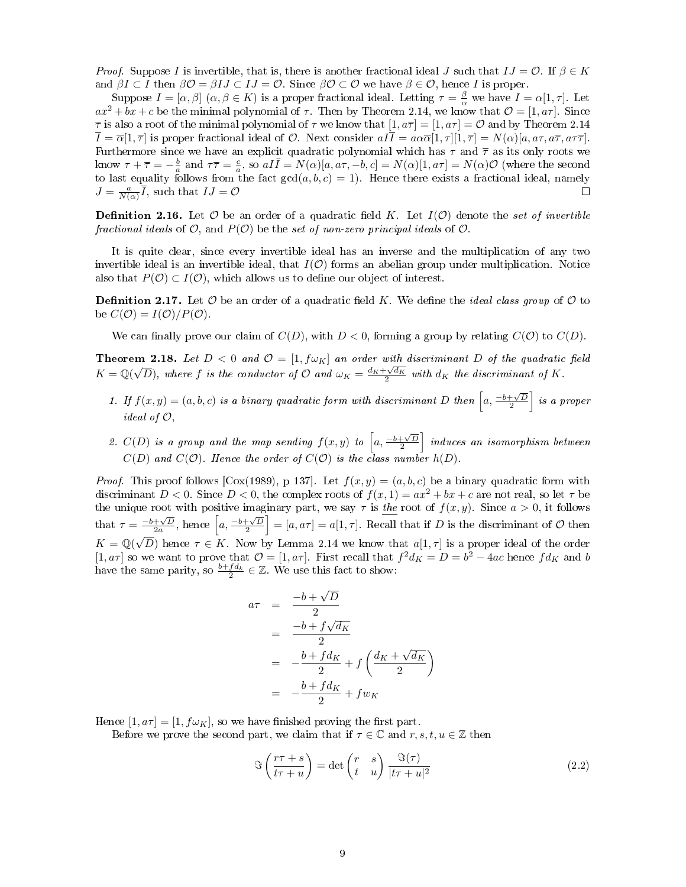*Proof.* Suppose I is invertible, that is, there is another fractional ideal J such that  $IJ = \mathcal{O}$ . If  $\beta \in K$ and  $\beta I \subset I$  then  $\beta \mathcal{O} = \beta I J \subset I J = \mathcal{O}$ . Since  $\beta \mathcal{O} \subset \mathcal{O}$  we have  $\beta \in \mathcal{O}$ , hence I is proper.

Suppose  $I = [\alpha, \beta]$   $(\alpha, \beta \in K)$  is a proper fractional ideal. Letting  $\tau = \frac{\beta}{\alpha}$  we have  $I = \alpha[1, \tau]$ . Let  $ax^2 + bx + c$  be the minimal polynomial of  $\tau$ . Then by Theorem 2.14, we know that  $\mathcal{O} = [1, a\tau]$ . Since  $\overline{\tau}$  is also a root of the minimal polynomial of  $\tau$  we know that  $[1, a\overline{\tau}] = [1, a\tau] = \mathcal{O}$  and by Theorem 2.14  $\overline{I} = \overline{\alpha}[1,\overline{\tau}]$  is proper fractional ideal of  $\overline{O}$ . Next consider  $aI\overline{I} = a\alpha\overline{\alpha}[1,\tau][1,\overline{\tau}] = N(\alpha)[a,a\tau,a\overline{\tau},a\tau\overline{\tau}]$ . Furthermore since we have an explicit quadratic polynomial which has  $\tau$  and  $\bar{\tau}$  as its only roots we know  $\tau + \overline{\tau} = -\frac{b}{a}$  and  $\tau\overline{\tau} = \frac{c}{a}$ , so  $aI\overline{I} = N(\alpha)[a, a\tau, -b, c] = N(\alpha)[1, a\tau] = N(\alpha)\mathcal{O}$  (where the second to last equality follows from the fact  $gcd(a, b, c) = 1$ . Hence there exists a fractional ideal, namely  $J = \frac{a}{N(\alpha)} \overline{I}$ , such that  $IJ = \mathcal{O}$  $\Box$ 

**Definition 2.16.** Let  $\mathcal O$  be an order of a quadratic field K. Let  $I(\mathcal O)$  denote the set of invertible fractional ideals of  $\mathcal{O}$ , and  $P(\mathcal{O})$  be the set of non-zero principal ideals of  $\mathcal{O}$ .

It is quite clear, since every invertible ideal has an inverse and the multiplication of any two invertible ideal is an invertible ideal, that  $I(\mathcal{O})$  forms an abelian group under multiplication. Notice also that  $P(\mathcal{O}) \subset I(\mathcal{O})$ , which allows us to define our object of interest.

**Definition 2.17.** Let  $\mathcal O$  be an order of a quadratic field K. We define the *ideal class group* of  $\mathcal O$  to be  $C(\mathcal{O})=I(\mathcal{O})/P(\mathcal{O}).$ 

We can finally prove our claim of  $C(D)$ , with  $D < 0$ , forming a group by relating  $C(\mathcal{O})$  to  $C(D)$ .

**Theorem 2.18.** Let  $D < 0$  and  $\mathcal{O} = [1, f\omega_K]$  an order with discriminant D of the quadratic field  $K = \mathbb{Q}(\sqrt{2})$  $\overline{D}$ ), where f is the conductor of  $\mathcal O$  and  $\omega_K = \frac{d_K + \sqrt{d_K}}{2}$  with  $d_K$  the discriminant of K.

- 1. If  $f(x,y) = (a, b, c)$  is a binary quadratic form with discriminant D then  $\left[a, \frac{-b+\sqrt{D}}{2}\right]$  is a proper ideal of  $\mathcal{O},$
- 2.  $C(D)$  is a group and the map sending  $f(x,y)$  to  $\left[a,\frac{-b+\sqrt{D}}{2}\right]$  induces an isomorphism between  $C(D)$  and  $C(O)$ . Hence the order of  $C(O)$  is the class number  $h(D)$ .

*Proof.* This proof follows [Cox(1989), p 137]. Let  $f(x, y) = (a, b, c)$  be a binary quadratic form with discriminant  $D < 0$ . Since  $D < 0$ , the complex roots of  $f(x, 1) = ax^2 + bx + c$  are not real, so let  $\tau$  be the unique root with positive imaginary part, we say  $\tau$  is <u>the</u> root of  $f(x, y)$ . Since  $a > 0$ , it follows that  $\tau = \frac{-b+\sqrt{D}}{2a}$ , hence  $\left[a, \frac{-b+\sqrt{D}}{2}\right] = [a, a\tau] = a[1, \tau]$ . Recall that if D is the discriminant of O then  $K = \mathbb{Q}(\sqrt{D})$  hence  $\tau \in K$ . Now by Lemma 2.14 we know that  $a[1, \tau]$  is a proper ideal of the order √  $[1, a\tau]$  so we want to prove that  $\mathcal{O} = [1, a\tau]$ . First recall that  $f^2 d_K = D = b^2 - 4ac$  hence  $fd_K$  and b have the same parity, so  $\frac{b+f d_k}{2} \in \mathbb{Z}$ . We use this fact to show:

$$
a\tau = \frac{-b + \sqrt{D}}{2}
$$
  
= 
$$
\frac{-b + f\sqrt{d_K}}{2}
$$
  
= 
$$
-\frac{b + f d_K}{2} + f\left(\frac{d_K + \sqrt{d_K}}{2}\right)
$$
  
= 
$$
-\frac{b + f d_K}{2} + f w_K
$$

Hence  $[1, a\tau] = [1, f\omega_K]$ , so we have finished proving the first part.

Before we prove the second part, we claim that if  $\tau \in \mathbb{C}$  and  $r, s, t, u \in \mathbb{Z}$  then

$$
\Im\left(\frac{r\tau+s}{t\tau+u}\right) = \det\begin{pmatrix} r & s \\ t & u \end{pmatrix} \frac{\Im(\tau)}{|t\tau+u|^2}
$$
\n(2.2)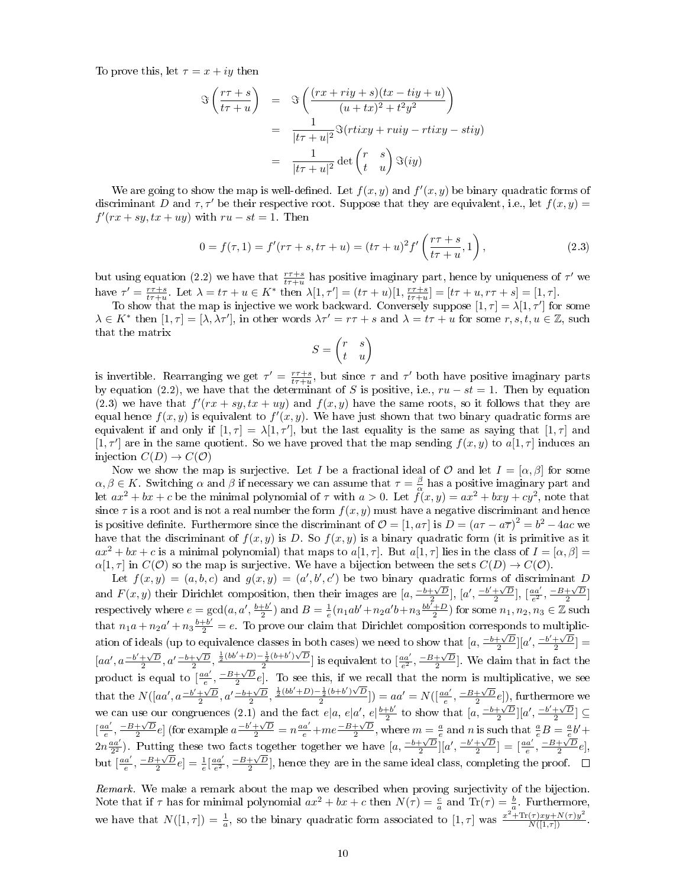To prove this, let  $\tau = x + iy$  then

$$
\mathfrak{F}\left(\frac{r\tau+s}{t\tau+u}\right) = \mathfrak{F}\left(\frac{(rx+riy+s)(tx-tiy+u)}{(u+tx)^2+t^2y^2}\right)
$$

$$
= \frac{1}{|t\tau+u|^2}\mathfrak{F}(rtixy+ruiy-rtixy-stiy)
$$

$$
= \frac{1}{|t\tau+u|^2}\det\begin{pmatrix} r & s \\ t & u \end{pmatrix}\mathfrak{F}(iy)
$$

We are going to show the map is well-defined. Let  $f(x, y)$  and  $f'(x, y)$  be binary quadratic forms of discriminant D and  $\tau$ ,  $\tau'$  be their respective root. Suppose that they are equivalent, i.e., let  $f(x, y)$  =  $f'(rx + sy, tx + uy)$  with  $ru - st = 1$ . Then

$$
0 = f(\tau, 1) = f'(r\tau + s, t\tau + u) = (t\tau + u)^2 f'\left(\frac{r\tau + s}{t\tau + u}, 1\right),
$$
\n(2.3)

but using equation (2.2) we have that  $\frac{r\tau+s}{t\tau+u}$  has positive imaginary part, hence by uniqueness of  $\tau'$  we have  $\tau' = \frac{r\tau + s}{t\tau + u}$ . Let  $\lambda = t\tau + u \in K^*$  then  $\lambda[1, \tau'] = (t\tau + u)[1, \frac{r\tau + s}{t\tau + u}] = [t\tau + u, r\tau + s] = [1, \tau]$ .

To show that the map is injective we work backward. Conversely suppose  $[1, \tau] = \lambda[1, \tau']$  for some  $\lambda \in K^*$  then  $[1, \tau] = [\lambda, \lambda \tau']$ , in other words  $\lambda \tau' = r\tau + s$  and  $\lambda = t\tau + u$  for some  $r, s, t, u \in \mathbb{Z}$ , such that the matrix

$$
S = \begin{pmatrix} r & s \\ t & u \end{pmatrix}
$$

is invertible. Rearranging we get  $\tau' = \frac{r\tau+s}{t\tau+u}$ , but since  $\tau$  and  $\tau'$  both have positive imaginary parts by equation (2.2), we have that the determinant of S is positive, i.e.,  $ru - st = 1$ . Then by equation (2.3) we have that  $f'(rx + sy, tx + uy)$  and  $f(x, y)$  have the same roots, so it follows that they are equal hence  $f(x, y)$  is equivalent to  $f'(x, y)$ . We have just shown that two binary quadratic forms are equivalent if and only if  $[1, \tau] = \lambda[1, \tau']$ , but the last equality is the same as saying that  $[1, \tau]$  and [1,  $\tau'$ ] are in the same quotient. So we have proved that the map sending  $f(x, y)$  to  $a[1, \tau]$  induces an injection  $C(D) \to C(O)$ 

Now we show the map is surjective. Let I be a fractional ideal of O and let  $I = [\alpha, \beta]$  for some  $\alpha, \beta \in K$ . Switching  $\alpha$  and  $\beta$  if necessary we can assume that  $\tau = \frac{\beta}{\alpha}$  has a positive imaginary part and let  $ax^2 + bx + c$  be the minimal polynomial of  $\tau$  with  $a > 0$ . Let  $\tilde{f}(x, y) = ax^2 + bxy + cy^2$ , note that since  $\tau$  is a root and is not a real number the form  $f(x, y)$  must have a negative discriminant and hence is positive definite. Furthermore since the discriminant of  $\mathcal{O} = [1, a\tau]$  is  $D = (a\tau - a\overline{\tau})^2 = b^2 - 4ac$  we have that the discriminant of  $f(x, y)$  is D. So  $f(x, y)$  is a binary quadratic form (it is primitive as it  $ax^2 + bx + c$  is a minimal polynomial) that maps to  $a[1, \tau]$ . But  $a[1, \tau]$  lies in the class of  $I = [\alpha, \beta]$  $\alpha[1, \tau]$  in  $C(\mathcal{O})$  so the map is surjective. We have a bijection between the sets  $C(D) \to C(\mathcal{O})$ .

Let  $f(x,y) = (a,b,c)$  and  $g(x,y) = (a',b',c')$  be two binary quadratic forms of discriminant D and  $F(x, y)$  their Dirichlet composition, then their images are  $[a, \frac{-b+\sqrt{D}}{2}], [a', \frac{-b'+\sqrt{D}}{2}], [\frac{aa'}{2}, \frac{-B+\sqrt{D}}{2}]$ respectively where  $e = \gcd(a, a', \frac{b+b'}{2})$  $(\frac{1+b'}{2})$  and  $B = \frac{1}{e}(n_1ab'+n_2a'b+n_3\frac{bb'+D}{2})$  for some  $n_1, n_2, n_3 \in \mathbb{Z}$  such that  $n_1a + n_2a' + n_3\frac{b+b'}{2} = e$ . To prove our claim that Dirichlet composition corresponds to multiplication of ideals (up to equivalence classes in both cases) we need to show that  $[a, \frac{-b+\sqrt{D}}{2}][a', \frac{-b'+\sqrt{D}}{2}] =$  $[aa', a\frac{-b'+\sqrt{D}}{2}, a'\frac{-b+\sqrt{D}}{2}, \frac{\frac{1}{2}(bb'+D)-\frac{1}{2}(b+b')\sqrt{D}}{2}]$  $\frac{\frac{1}{2}(b+b')\sqrt{D}}{2}$  is equivalent to  $\left[\frac{aa'}{e^2}, \frac{-B+\sqrt{D}}{2}\right]$ . We claim that in fact the product is equal to  $\left[\frac{aa'}{e}, \frac{-B+\sqrt{D}}{2}e\right]$ . To see this, if we recall that the norm is multiplicative, we see that the  $N([aa', a\frac{-b'+\sqrt{D}}{2}, a'\frac{-b+\sqrt{D}}{2}, \frac{\frac{1}{2}(bb'+D)-\frac{1}{2}(b+b')\sqrt{D}}{2})$  $\left[\frac{\frac{1}{2}(b+b')\sqrt{D}}{2}\right]$  =  $aa' = N(\left[\frac{aa'}{e}, \frac{-B+\sqrt{D}}{2}e\right])$ , furthermore we we can use our congruences (2.1) and the fact  $e|a, e|a', e|\frac{b+b'}{2}$  to show that  $[a, \frac{-b+\sqrt{D}}{2}][a', \frac{-b'+\sqrt{D}}{2}] \subseteq$  $\left[\frac{aa'}{e}, \frac{-B+\sqrt{D}}{2}e\right]$  (for example  $a\frac{-b'+\sqrt{D}}{2} = n\frac{aa'}{e} + me\frac{-B+\sqrt{D}}{2}$ , where  $m = \frac{a}{e}$  and n is such that  $\frac{a}{e}B = \frac{a}{e}b' +$  $\left[2n\frac{aa'}{2^2}\right]$ . Putting these two facts together together we have  $\left[a, \frac{-b+\sqrt{D}}{2}\right][a', \frac{-b'+\sqrt{D}}{2}] = \left[\frac{aa'}{e}, \frac{-B+\sqrt{D}}{2}e\right],$ but  $\left[\frac{aa'}{e}, \frac{-B+\sqrt{D}}{2}e\right]=\frac{1}{e}\left[\frac{aa'}{e^2}, \frac{-B+\sqrt{D}}{2}\right]$ , hence they are in the same ideal class, completing the proof.

Remark. We make a remark about the map we described when proving surjectivity of the bijection. Note that if  $\tau$  has for minimal polynomial  $ax^2 + bx + c$  then  $N(\tau) = \frac{c}{a}$  and  $\text{Tr}(\tau) = \frac{b}{a}$ . Furthermore, we have that  $N([1, \tau]) = \frac{1}{a}$ , so the binary quadratic form associated to  $[1, \tau]$  was  $\frac{x^2 + \text{Tr}(\tau)x y + N(\tau)y^2}{N([1, \tau])}$ .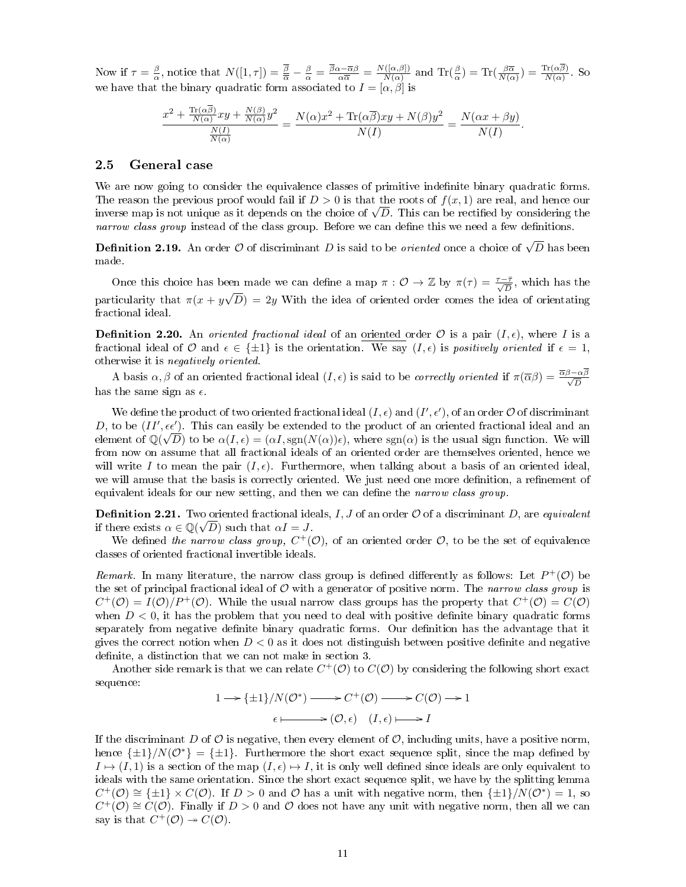Now if  $\tau = \frac{\beta}{\alpha}$ , notice that  $N([1, \tau]) = \frac{\beta}{\alpha} - \frac{\beta}{\alpha} = \frac{\beta \alpha - \overline{\alpha} \beta}{\alpha \overline{\alpha}} = \frac{N([\alpha, \beta])}{N(\alpha)}$  $\frac{N(\alpha,\beta)}{N(\alpha)}$  and  $\text{Tr}(\frac{\beta}{\alpha}) = \text{Tr}(\frac{\beta\overline{\alpha}}{N(\alpha)}) = \frac{\text{Tr}(\alpha\beta)}{N(\alpha)}$ . So we have that the binary quadratic form associated to  $I = [\alpha, \beta]$  is

$$
\frac{x^2 + \frac{\text{Tr}(\alpha\beta)}{N(\alpha)}xy + \frac{N(\beta)}{N(\alpha)}y^2}{\frac{N(I)}{N(\alpha)}} = \frac{N(\alpha)x^2 + \text{Tr}(\alpha\overline{\beta})xy + N(\beta)y^2}{N(I)} = \frac{N(\alpha x + \beta y)}{N(I)}.
$$

#### 2.5 General case

We are now going to consider the equivalence classes of primitive indefinite binary quadratic forms. The reason the previous proof would fail if  $D > 0$  is that the roots of  $f(x, 1)$  are real, and hence our The reason the previous proot would fall if  $D > 0$  is that the roots of  $f(x, 1)$  are real, and hence our inverse map is not unique as it depends on the choice of  $\sqrt{D}$ . This can be rectified by considering the narrow class group instead of the class group. Before we can define this we need a few definitions.

**Definition 2.19.** An order  $\mathcal O$  of discriminant  $D$  is said to be *oriented* once a choice of  $\sqrt{D}$  has been made.

Once this choice has been made we can define a map  $\pi : \mathcal{O} \to \mathbb{Z}$  by  $\pi(\tau) = \frac{\tau - \bar{\tau}}{\sqrt{D}}$ , which has the particularity that  $\pi(x + y\sqrt{D}) = 2y$  With the idea of oriented order comes the idea of orientating fractional ideal.

**Definition 2.20.** An *oriented fractional ideal* of an oriented order  $\mathcal{O}$  is a pair  $(I, \epsilon)$ , where I is a fractional ideal of O and  $\epsilon \in \{\pm 1\}$  is the orientation. We say  $(I, \epsilon)$  is positively oriented if  $\epsilon = 1$ , otherwise it is negatively oriented.

A basis  $\alpha, \beta$  of an oriented fractional ideal  $(I, \epsilon)$  is said to be *correctly oriented* if  $\pi(\overline{\alpha}\beta) = \frac{\overline{\alpha}\beta - \alpha\beta}{\sqrt{D}}$ has the same sign as  $\epsilon$ .

We define the product of two oriented fractional ideal  $(I, \epsilon)$  and  $(I', \epsilon')$ , of an order  $\mathcal O$  of discriminant D, to be  $(II', \epsilon \epsilon')$ . This can easily be extended to the product of an oriented fractional ideal and an element of  $\mathbb{Q}(\sqrt{D})$  to be  $\alpha(I,\epsilon) = (\alpha I, \text{sgn}(N(\alpha))\epsilon)$ , where  $\text{sgn}(\alpha)$  is the usual sign function. We will from now on assume that all fractional ideals of an oriented order are themselves oriented, hence we will write I to mean the pair  $(I, \epsilon)$ . Furthermore, when talking about a basis of an oriented ideal. we will amuse that the basis is correctly oriented. We just need one more definition, a refinement of equivalent ideals for our new setting, and then we can define the narrow class group.

**Definition 2.21.** Two oriented fractional ideals, I, J of an order  $O$  of a discriminant D, are equivalent if there exists  $\alpha \in \mathbb{Q}(\sqrt{D})$  such that  $\alpha I = J$ .

We defined the narrow class group,  $C^+(\mathcal{O})$ , of an oriented order  $\mathcal{O}$ , to be the set of equivalence classes of oriented fractional invertible ideals.

Remark. In many literature, the narrow class group is defined differently as follows: Let  $P^+(\mathcal{O})$  be the set of principal fractional ideal of  $\mathcal O$  with a generator of positive norm. The narrow class group is  $C^+(\mathcal{O})=I(\mathcal{O})/P^+(\mathcal{O})$ . While the usual narrow class groups has the property that  $C^+(\mathcal{O})=C(\mathcal{O})$ when  $D < 0$ , it has the problem that you need to deal with positive definite binary quadratic forms separately from negative definite binary quadratic forms. Our definition has the advantage that it gives the correct notion when  $D < 0$  as it does not distinguish between positive definite and negative definite, a distinction that we can not make in section 3.

Another side remark is that we can relate  $C^+(\mathcal{O})$  to  $C(\mathcal{O})$  by considering the following short exact sequence:

$$
1 \longrightarrow {\pm 1}/N(\mathcal{O}^*) \longrightarrow C^+(\mathcal{O}) \longrightarrow C(\mathcal{O}) \longrightarrow 1
$$
  

$$
\epsilon \longmapsto (\mathcal{O}, \epsilon) \quad (I, \epsilon) \longmapsto I
$$

If the discriminant D of  $\mathcal O$  is negative, then every element of  $\mathcal O$ , including units, have a positive norm, hence  $\{\pm 1\}/N(\mathcal{O}^*) = \{\pm 1\}$ . Furthermore the short exact sequence split, since the map defined by  $I \mapsto (I, 1)$  is a section of the map  $(I, \epsilon) \mapsto I$ , it is only well defined since ideals are only equivalent to ideals with the same orientation. Since the short exact sequence split, we have by the splitting lemma  $C^+(\mathcal{O}) \cong {\pm 1} \times C(\mathcal{O})$ . If  $D > 0$  and  $\mathcal O$  has a unit with negative norm, then  ${\pm 1}/N(\mathcal{O}^*) = 1$ , so  $C^+(\mathcal{O}) \cong C(\mathcal{O})$ . Finally if  $D > 0$  and  $\mathcal O$  does not have any unit with negative norm, then all we can say is that  $C^+(\mathcal{O}) \to C(\mathcal{O})$ .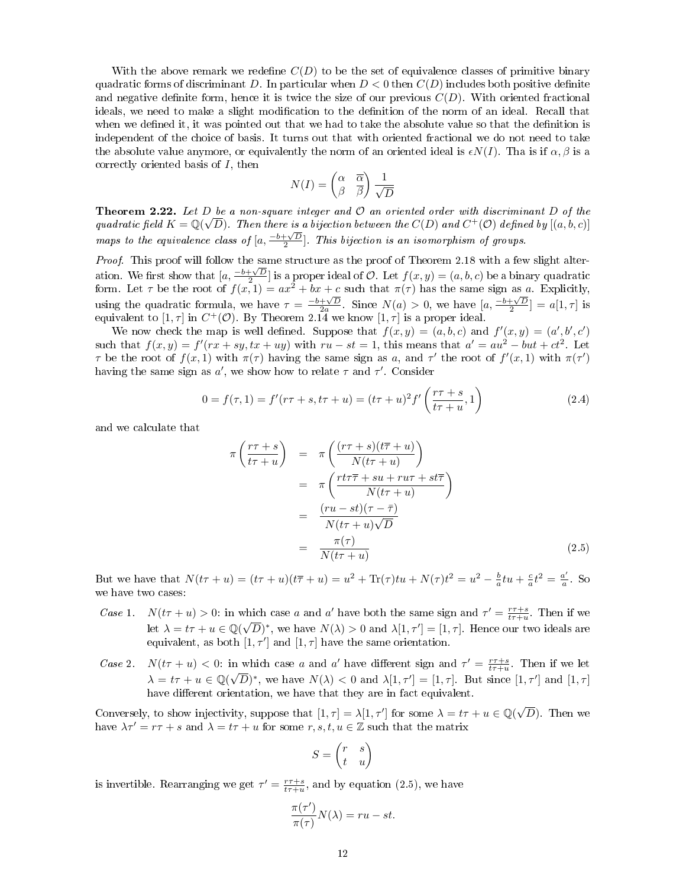With the above remark we redefine  $C(D)$  to be the set of equivalence classes of primitive binary quadratic forms of discriminant D. In particular when  $D < 0$  then  $C(D)$  includes both positive definite and negative definite form, hence it is twice the size of our previous  $C(D)$ . With oriented fractional ideals, we need to make a slight modification to the definition of the norm of an ideal. Recall that when we defined it, it was pointed out that we had to take the absolute value so that the definition is independent of the choice of basis. It turns out that with oriented fractional we do not need to take the absolute value anymore, or equivalently the norm of an oriented ideal is  $\epsilon N(I)$ . Tha is if  $\alpha, \beta$  is a correctly oriented basis of I, then

$$
N(I) = \begin{pmatrix} \alpha & \overline{\alpha} \\ \beta & \overline{\beta} \end{pmatrix} \frac{1}{\sqrt{D}}
$$

**Theorem 2.22.** Let D be a non-square integer and  $\mathcal{O}$  an oriented order with discriminant D of the quadratic field  $K = \mathbb{Q}(\sqrt{D})$ . Then there is a bijection between the  $C(D)$  and  $C^+(\mathcal{O})$  defined by  $[(a, b, c)]$ maps to the equivalence class of  $[a, \frac{-b+\sqrt{D}}{2}]$ . This bijection is an isomorphism of groups.

Proof. This proof will follow the same structure as the proof of Theorem 2.18 with a few slight alter*ation.* We first show that  $[a, \frac{-b+\sqrt{D}}{2}]$  is a proper ideal of O. Let  $f(x, y) = (a, b, c)$  be a binary quadratic form. Let  $\tau$  be the root of  $f(x, 1) = ax^2 + bx + c$  such that  $\pi(\tau)$  has the same sign as a. Explicitly, which the quadratic formula, we have  $\tau = \frac{-b+\sqrt{D}}{2a}$ . Since  $N(a) > 0$ , we have  $[a, \frac{-b+\sqrt{D}}{2}] = a[1, \tau]$  is equivalent to  $[1, \tau]$  in  $C^+(\mathcal{O})$ . By Theorem 2.14 we know  $[1, \tau]$  is a proper ideal.

We now check the map is well defined. Suppose that  $f(x,y) = (a, b, c)$  and  $f'(x, y) = (a', b', c')$ such that  $f(x, y) = f'(rx + sy, tx + uy)$  with  $ru - st = 1$ , this means that  $a' = au^2 - but + ct^2$ . Let  $\tau$  be the root of  $f(x,1)$  with  $\pi(\tau)$  having the same sign as a, and  $\tau'$  the root of  $f'(x,1)$  with  $\pi(\tau')$ having the same sign as  $a'$ , we show how to relate  $\tau$  and  $\tau'$ . Consider

$$
0 = f(\tau, 1) = f'(r\tau + s, t\tau + u) = (t\tau + u)^2 f'\left(\frac{r\tau + s}{t\tau + u}, 1\right)
$$
\n(2.4)

and we calculate that

$$
\pi \left( \frac{r\tau + s}{t\tau + u} \right) = \pi \left( \frac{(r\tau + s)(t\overline{\tau} + u)}{N(t\tau + u)} \right)
$$
  
\n
$$
= \pi \left( \frac{r t\tau \overline{\tau} + s u + r u \tau + s t \overline{\tau}}{N(t\tau + u)} \right)
$$
  
\n
$$
= \frac{(r u - s t)(\tau - \overline{\tau})}{N(t\tau + u)\sqrt{D}}
$$
  
\n
$$
= \frac{\pi(\tau)}{N(t\tau + u)}
$$
(2.5)

But we have that  $N(t\tau + u) = (t\tau + u)(t\overline{\tau} + u) = u^2 + \text{Tr}(\tau)tu + N(\tau)t^2 = u^2 - \frac{b}{a}tu + \frac{c}{a}t^2 = \frac{a^2}{a}$  $\frac{a}{a}$ . So we have two cases:

- Case 1.  $N(t\tau + u) > 0$ : in which case a and a' have both the same sign and  $\tau' = \frac{\tau\tau+s}{t\tau+u}$ . Then if we let  $\lambda = t\tau + u \in \mathbb{Q}(\sqrt{D})^*$ , we have  $N(\lambda) > 0$  and  $\lambda[1, \tau'] = [1, \tau]$ . Hence our two ideals are equivalent, as both  $[1, \tau']$  and  $[1, \tau]$  have the same orientation.
- Case 2.  $N(t\tau + u) < 0$ : in which case a and a' have different sign and  $\tau' = \frac{r\tau + s}{t\tau + u}$ . Then if we let  $\lambda = t\tau + u \in \mathbb{Q}(\sqrt{D})^*$ , we have  $N(\lambda) < 0$  and  $\lambda[1, \tau'] = [1, \tau]$ . But since  $[1, \tau']$  and  $[1, \tau]$ have different orientation, we have that they are in fact equivalent.

Conversely, to show injectivity, suppose that  $[1, \tau] = \lambda[1, \tau']$  for some  $\lambda = t\tau + u \in \mathbb{Q}(\sqrt{\tau})$ D). Then we have  $\lambda \tau' = r\tau + s$  and  $\lambda = t\tau + u$  for some  $r, s, t, u \in \mathbb{Z}$  such that the matrix

$$
S = \begin{pmatrix} r & s \\ t & u \end{pmatrix}
$$

is invertible. Rearranging we get  $\tau' = \frac{r\tau+s}{t\tau+u}$ , and by equation (2.5), we have

$$
\frac{\pi(\tau')}{\pi(\tau)}N(\lambda) = ru - st.
$$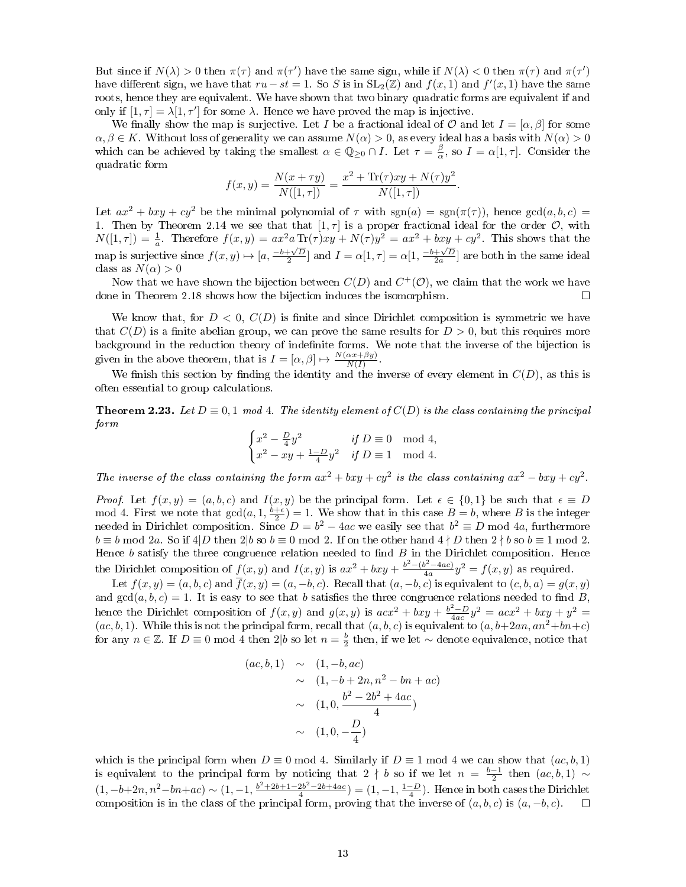But since if  $N(\lambda) > 0$  then  $\pi(\tau)$  and  $\pi(\tau')$  have the same sign, while if  $N(\lambda) < 0$  then  $\pi(\tau)$  and  $\pi(\tau')$ have different sign, we have that  $ru - st = 1$ . So S is in  $SL_2(\mathbb{Z})$  and  $f(x, 1)$  and  $f'(x, 1)$  have the same roots, hence they are equivalent. We have shown that two binary quadratic forms are equivalent if and only if  $[1, \tau] = \lambda [1, \tau']$  for some  $\lambda$ . Hence we have proved the map is injective.

We finally show the map is surjective. Let I be a fractional ideal of  $\mathcal O$  and let  $I = [\alpha, \beta]$  for some  $\alpha, \beta \in K$ . Without loss of generality we can assume  $N(\alpha) > 0$ , as every ideal has a basis with  $N(\alpha) > 0$ which can be achieved by taking the smallest  $\alpha \in \mathbb{Q}_{\geq 0} \cap I$ . Let  $\tau = \frac{\beta}{\alpha}$ , so  $I = \alpha[1, \tau]$ . Consider the quadratic form

$$
f(x,y) = \frac{N(x+\tau y)}{N([1,\tau])} = \frac{x^2 + \text{Tr}(\tau)xy + N(\tau)y^2}{N([1,\tau])}.
$$

Let  $ax^2 + bxy + cy^2$  be the minimal polynomial of  $\tau$  with  $sgn(a) = sgn(\pi(\tau))$ , hence  $gcd(a, b, c)$ 1. Then by Theorem 2.14 we see that that  $[1, \tau]$  is a proper fractional ideal for the order  $\mathcal{O}$ , with  $N([1,\tau]) = \frac{1}{a}$ . Therefore  $f(x,y) = ax^2a \operatorname{Tr}(\tau)xy + N(\tau)y^2 = ax^2 + bxy + cy^2$ . This shows that the map is surjective since  $f(x, y) \mapsto [a, \frac{-b+\sqrt{D}}{2}]$  and  $I = \alpha[1, \tau] = \alpha[1, \frac{-b+\sqrt{D}}{2a}]$  are both in the same ideal class as  $N(\alpha) > 0$ 

Now that we have shown the bijection between  $C(D)$  and  $C^+(\mathcal{O})$ , we claim that the work we have done in Theorem 2.18 shows how the bijection induces the isomorphism.  $\Box$ 

We know that, for  $D < 0$ ,  $C(D)$  is finite and since Dirichlet composition is symmetric we have that  $C(D)$  is a finite abelian group, we can prove the same results for  $D > 0$ , but this requires more background in the reduction theory of indenite forms. We note that the inverse of the bijection is given in the above theorem, that is  $I = [\alpha, \beta] \mapsto \frac{N(\alpha x + \beta y)}{N(I)}$ .

We finish this section by finding the identity and the inverse of every element in  $C(D)$ , as this is often essential to group calculations.

**Theorem 2.23.** Let  $D \equiv 0, 1 \mod 4$ . The identity element of  $C(D)$  is the class containing the principal form

$$
\begin{cases} x^2 - \frac{D}{4}y^2 & \text{if } D \equiv 0 \mod 4, \\ x^2 - xy + \frac{1-D}{4}y^2 & \text{if } D \equiv 1 \mod 4. \end{cases}
$$

The inverse of the class containing the form  $ax^2 + bxy + cy^2$  is the class containing  $ax^2 - bxy + cy^2$ .

*Proof.* Let  $f(x, y) = (a, b, c)$  and  $I(x, y)$  be the principal form. Let  $\epsilon \in \{0, 1\}$  be such that  $\epsilon \equiv D$ mod 4. First we note that  $gcd(a, 1, \frac{b+\epsilon}{2}) = 1$ . We show that in this case  $B = b$ , where B is the integer needed in Dirichlet composition. Since  $D = b^2 - 4ac$  we easily see that  $b^2 \equiv D$  mod 4a, furthermore  $b \equiv b \mod 2$ a. So if  $4|D \text{ then } 2|b \text{ so } b \equiv 0 \mod 2$ . If on the other hand  $4 \nmid D \text{ then } 2 \nmid b \text{ so } b \equiv 1 \mod 2$ . Hence  $b$  satisfy the three congruence relation needed to find  $B$  in the Dirichlet composition. Hence the Dirichlet composition of  $f(x, y)$  and  $I(x, y)$  is  $ax^2 + bxy + \frac{b^2 - (b^2 - 4ac)}{4a}$  $\frac{d^{2}-4ac}{4a}y^{2} = f(x, y)$  as required.

Let  $f(x, y) = (a, b, c)$  and  $\overline{f}(x, y) = (a, -b, c)$ . Recall that  $(a, -b, c)$  is equivalent to  $(c, b, a) = g(x, y)$ and  $gcd(a, b, c) = 1$ . It is easy to see that b satisfies the three congruence relations needed to find B. hence the Dirichlet composition of  $f(x, y)$  and  $g(x, y)$  is  $acx^2 + bxy + \frac{b^2 - D}{4ac}y^2 = acx^2 + bxy + y^2 =$  $(ac, b, 1)$ . While this is not the principal form, recall that  $(a, b, c)$  is equivalent to  $(a, b+2an, an^2+bn+c)$ for any  $n \in \mathbb{Z}$ . If  $D \equiv 0 \mod 4$  then 2|b so let  $n = \frac{b}{2}$  then, if we let  $\sim$  denote equivalence, notice that

$$
(ac, b, 1) \sim (1, -b, ac)
$$
  
 
$$
\sim (1, -b + 2n, n^2 - bn + ac)
$$
  
 
$$
\sim (1, 0, \frac{b^2 - 2b^2 + 4ac}{4})
$$
  
 
$$
\sim (1, 0, -\frac{D}{4})
$$

which is the principal form when  $D \equiv 0 \mod 4$ . Similarly if  $D \equiv 1 \mod 4$  we can show that  $(ac, b, 1)$ is equivalent to the principal form by noticing that 2  $\nmid b$  so if we let  $n = \frac{b-1}{2}$  then  $(ac, b, 1) \sim$  $(1, -b+2n, n^2-bn+ac) \sim (1, -1, \frac{b^2+2b+1-2b^2-2b+4ac}{4}) = (1, -1, \frac{1-D}{4})$ . Hence in both cases the Dirichlet composition is in the class of the principal form, proving that the inverse of  $(a, b, c)$  is  $(a, -b, c)$ .  $\Box$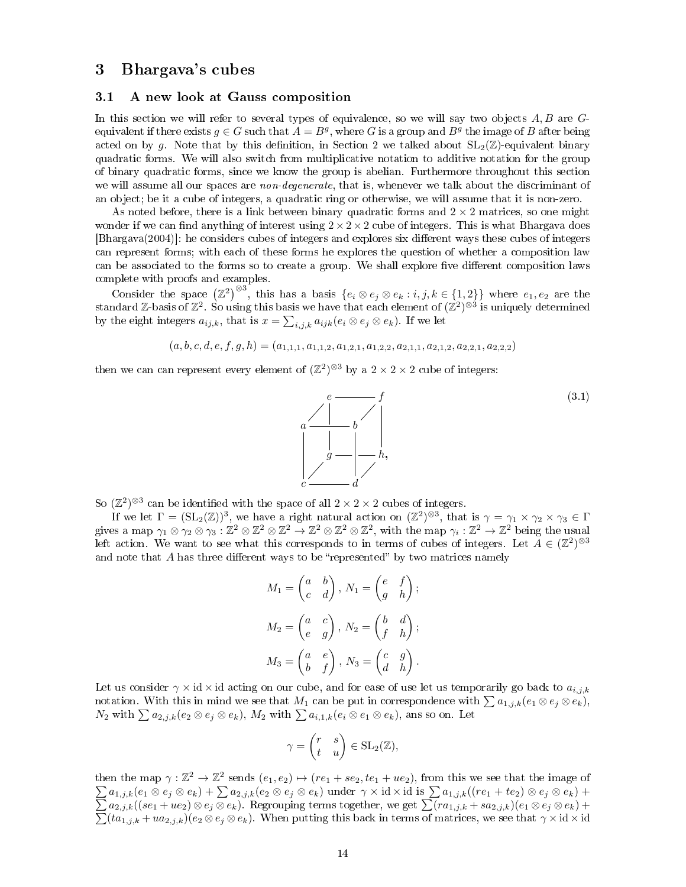## 3 Bhargava's cubes

#### 3.1 A new look at Gauss composition

In this section we will refer to several types of equivalence, so we will say two objects  $A, B$  are  $G$ equivalent if there exists  $g \in G$  such that  $A = B^g$ , where G is a group and  $B^g$  the image of B after being acted on by q. Note that by this definition, in Section 2 we talked about  $SL_2(\mathbb{Z})$ -equivalent binary quadratic forms. We will also switch from multiplicative notation to additive notation for the group of binary quadratic forms, since we know the group is abelian. Furthermore throughout this section we will assume all our spaces are *non-degenerate*, that is, whenever we talk about the discriminant of an object; be it a cube of integers, a quadratic ring or otherwise, we will assume that it is non-zero.

As noted before, there is a link between binary quadratic forms and  $2 \times 2$  matrices, so one might wonder if we can find anything of interest using  $2 \times 2 \times 2$  cube of integers. This is what Bhargava does [Bhargava(2004)]: he considers cubes of integers and explores six different ways these cubes of integers can represent forms; with each of these forms he explores the question of whether a composition law can be associated to the forms so to create a group. We shall explore five different composition laws complete with proofs and examples.

Consider the space  $(\mathbb{Z}^2)^{\otimes 3}$ , this has a basis  $\{e_i \otimes e_j \otimes e_k : i, j, k \in \{1,2\}\}\$  where  $e_1, e_2$  are the standard Z-basis of  $\mathbb{Z}^2$ . So using this basis we have that each element of  $(\mathbb{Z}^2)^{\otimes 3}$  is uniquely determined by the eight integers  $a_{ij,k}$ , that is  $x = \sum_{i,j,k} a_{ijk} (e_i \otimes e_j \otimes e_k)$ . If we let

$$
(a, b, c, d, e, f, g, h) = (a_{1,1,1}, a_{1,1,2}, a_{1,2,1}, a_{1,2,2}, a_{2,1,1}, a_{2,1,2}, a_{2,2,1}, a_{2,2,2})
$$

then we can can represent every element of  $(\mathbb{Z}^2)^{\otimes 3}$  by a  $2 \times 2 \times 2$  cube of integers:



So  $(\mathbb{Z}^2)^{\otimes 3}$  can be identified with the space of all  $2 \times 2 \times 2$  cubes of integers.

If we let  $\Gamma = (\mathrm{SL}_2(\mathbb{Z}))^3$ , we have a right natural action on  $(\mathbb{Z}^2)^{\otimes 3}$ , that is  $\gamma = \gamma_1 \times \gamma_2 \times \gamma_3 \in \Gamma$ gives a map  $\gamma_1 \otimes \gamma_2 \otimes \gamma_3 : \mathbb{Z}^2 \otimes \mathbb{Z}^2 \otimes \mathbb{Z}^2 \to \mathbb{Z}^2 \otimes \mathbb{Z}^2 \otimes \mathbb{Z}^2$ , with the map  $\gamma_i : \mathbb{Z}^2 \to \mathbb{Z}^2$  being the usual left action. We want to see what this corresponds to in terms of cubes of integers. Let  $\tilde{A} \in (\mathbb{Z}^2)^{\otimes 3}$ and note that  $A$  has three different ways to be "represented" by two matrices namely

$$
M_1 = \begin{pmatrix} a & b \\ c & d \end{pmatrix}, N_1 = \begin{pmatrix} e & f \\ g & h \end{pmatrix};
$$
  
\n
$$
M_2 = \begin{pmatrix} a & c \\ e & g \end{pmatrix}, N_2 = \begin{pmatrix} b & d \\ f & h \end{pmatrix};
$$
  
\n
$$
M_3 = \begin{pmatrix} a & e \\ b & f \end{pmatrix}, N_3 = \begin{pmatrix} c & g \\ d & h \end{pmatrix}.
$$

Let us consider  $\gamma \times id \times id$  acting on our cube, and for ease of use let us temporarily go back to  $a_{i,j,k}$ notation. With this in mind we see that  $M_1$  can be put in correspondence with  $\sum a_{1,j,k}(e_1 \otimes e_j \otimes e_k)$ ,  $N_2$  with  $\sum a_{2,j,k}(e_2 \otimes e_j \otimes e_k)$ ,  $M_2$  with  $\sum a_{i,1,k}(e_i \otimes e_1 \otimes e_k)$ , ans so on. Let

$$
\gamma = \begin{pmatrix} r & s \\ t & u \end{pmatrix} \in SL_2(\mathbb{Z}),
$$

then the map  $\gamma : \mathbb{Z}^2 \to \mathbb{Z}^2$  sends  $(e_1, e_2) \mapsto (re_1 + se_2, te_1 + ue_2)$ , from this we see that the image of  $\sum a_{1,j,k}(e_1 \otimes e_j \otimes e_k) + \sum a_{2,j,k}(e_2 \otimes e_j \otimes e_k)$  under  $\gamma \times id \times id$  is  $\sum$ P  $a_{1,j,k}((re_1+te_2)\otimes e_j\otimes e_k)+$  $a_{2,j,k}((se_1+ue_2)\otimes e_j\otimes e_k)$ . Regrouping terms together, we get  $\sum$ P  $-ra_{1,j,k} + sa_{2,j,k})(e_1 \otimes e_j \otimes e_k) +$  $(ta_{1,j,k} + ua_{2,j,k})(e_2 \otimes e_j \otimes e_k)$ . When putting this back in terms of matrices, we see that  $\gamma \times id \times id$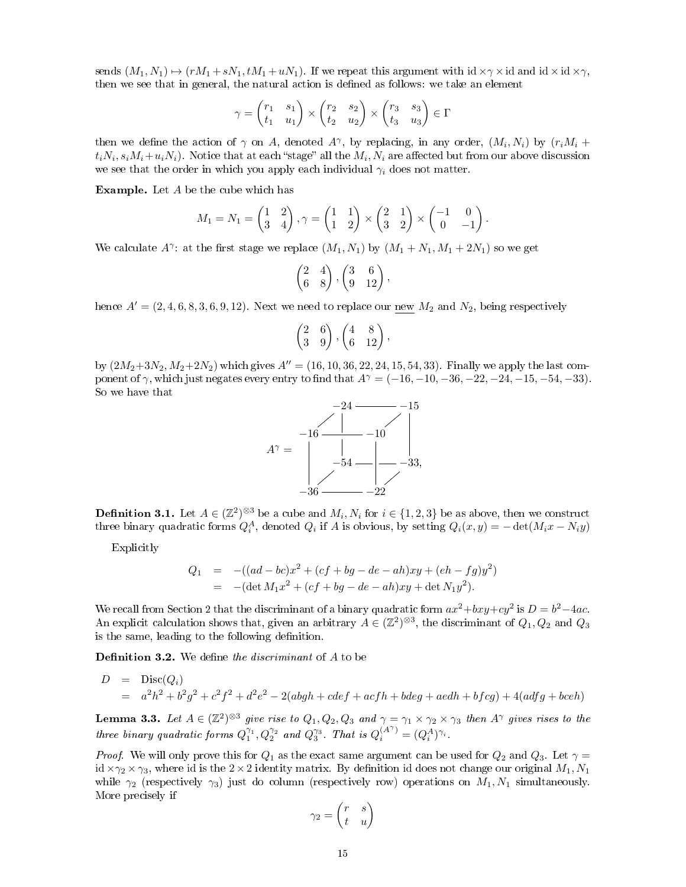sends  $(M_1, N_1) \rightarrow (rM_1 + sN_1, tM_1 + uN_1)$ . If we repeat this argument with id  $\times \gamma \times$ id and id  $\times$  id  $\times \gamma$ , then we see that in general, the natural action is defined as follows: we take an element

$$
\gamma = \begin{pmatrix} r_1 & s_1 \\ t_1 & u_1 \end{pmatrix} \times \begin{pmatrix} r_2 & s_2 \\ t_2 & u_2 \end{pmatrix} \times \begin{pmatrix} r_3 & s_3 \\ t_3 & u_3 \end{pmatrix} \in \Gamma
$$

then we define the action of  $\gamma$  on A, denoted  $A^{\gamma}$ , by replacing, in any order,  $(M_i, N_i)$  by  $(r_iM_i +$  $t_iN_i,s_iM_i+u_iN_i)$ . Notice that at each "stage" all the  $M_i,N_i$  are affected but from our above discussion we see that the order in which you apply each individual  $\gamma_i$  does not matter.

Example. Let A be the cube which has

$$
M_1 = N_1 = \begin{pmatrix} 1 & 2 \\ 3 & 4 \end{pmatrix}, \gamma = \begin{pmatrix} 1 & 1 \\ 1 & 2 \end{pmatrix} \times \begin{pmatrix} 2 & 1 \\ 3 & 2 \end{pmatrix} \times \begin{pmatrix} -1 & 0 \\ 0 & -1 \end{pmatrix}.
$$

We calculate  $A^{\gamma}$ : at the first stage we replace  $(M_1, N_1)$  by  $(M_1 + N_1, M_1 + 2N_1)$  so we get

$$
\begin{pmatrix} 2 & 4 \ 6 & 8 \end{pmatrix}, \begin{pmatrix} 3 & 6 \ 9 & 12 \end{pmatrix},
$$

hence  $A' = (2, 4, 6, 8, 3, 6, 9, 12)$ . Next we need to replace our new  $M_2$  and  $N_2$ , being respectively

$$
\begin{pmatrix} 2 & 6 \ 3 & 9 \end{pmatrix}, \begin{pmatrix} 4 & 8 \ 6 & 12 \end{pmatrix},
$$

by  $(2M_2+3N_2, M_2+2N_2)$  which gives  $A'' = (16, 10, 36, 22, 24, 15, 54, 33)$ . Finally we apply the last component of  $\gamma$ , which just negates every entry to find that  $A^{\gamma} = (-16, -10, -36, -22, -24, -15, -54, -33)$ . So we have that



**Definition 3.1.** Let  $A \in (\mathbb{Z}^2)^{\otimes 3}$  be a cube and  $M_i, N_i$  for  $i \in \{1, 2, 3\}$  be as above, then we construct three binary quadratic forms  $Q_i^A$ , denoted  $Q_i$  if A is obvious, by setting  $Q_i(x,y) = -\det(M_ix - Ny)$ 

Explicitly

$$
Q_1 = -( (ad - bc)x^2 + (cf + bg - de - ah)xy + (eh - fg)y^2)
$$
  
= -(det  $M_1x^2 + (cf + bg - de - ah)xy + \det N_1y^2$ ).

We recall from Section 2 that the discriminant of a binary quadratic form  $ax^2 + bxy + cy^2$  is  $D = b^2 - 4ac$ . An explicit calculation shows that, given an arbitrary  $A \in (\mathbb{Z}^2)^{\otimes 3}$ , the discriminant of  $Q_1, Q_2$  and  $Q_3$ is the same, leading to the following definition.

**Definition 3.2.** We define the discriminant of  $A$  to be

$$
D = Disc(Q_i)
$$
  
=  $a^2h^2 + b^2g^2 + c^2f^2 + d^2e^2 - 2(abgh + cdef + acfh + bdeg + aedh + bfg) + 4(adfg + bceh)$ 

**Lemma 3.3.** Let  $A \in (\mathbb{Z}^2)^{\otimes 3}$  give rise to  $Q_1, Q_2, Q_3$  and  $\gamma = \gamma_1 \times \gamma_2 \times \gamma_3$  then  $A^\gamma$  gives rises to the three binary quadratic forms  $Q_1^{\gamma_1}, Q_2^{\gamma_2}$  and  $Q_3^{\gamma_3}$ . That is  $Q_i^{(A^{\gamma})} = (Q_i^A)^{\gamma_i}$ .

*Proof.* We will only prove this for  $Q_1$  as the exact same argument can be used for  $Q_2$  and  $Q_3$ . Let  $\gamma =$ id  $\times\gamma_2\times\gamma_3$ , where id is the 2 × 2 identity matrix. By definition id does not change our original  $M_1, N_1$ while  $\gamma_2$  (respectively  $\gamma_3$ ) just do column (respectively row) operations on  $M_1, N_1$  simultaneously. More precisely if

$$
\gamma_2 = \begin{pmatrix} r & s \\ t & u \end{pmatrix}
$$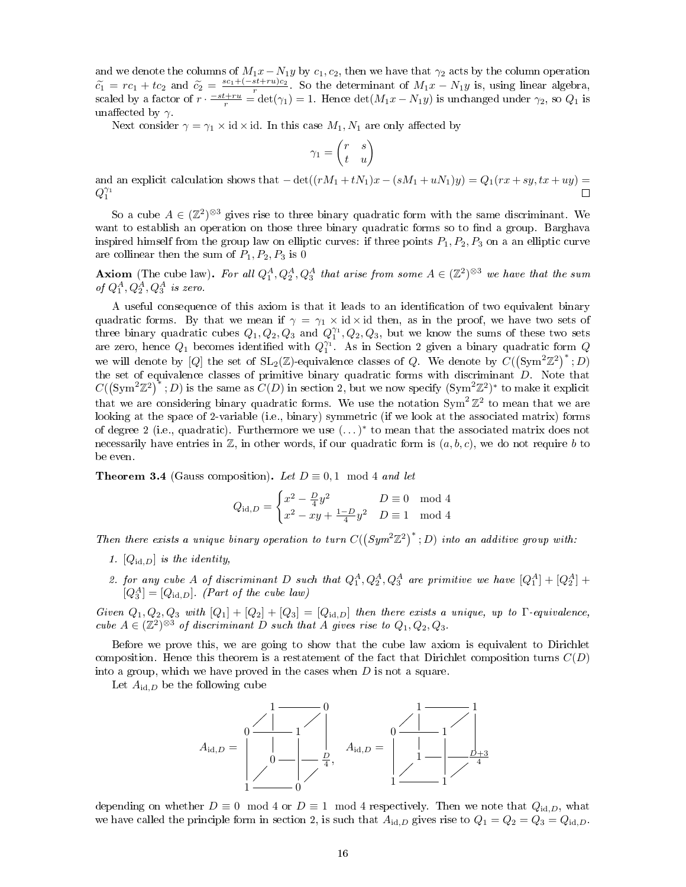and we denote the columns of  $M_1x-N_1y$  by  $c_1, c_2$ , then we have that  $\gamma_2$  acts by the column operation  $\tilde{c}_1 = rc_1 + tc_2$  and  $\tilde{c}_2 = \frac{sc_1 + (-st+ru)c_2}{r}$ . So the determinant of  $M_1x - N_1y$  is, using linear algebra, scaled by a factor of  $r \cdot \frac{-st+ru}{r} = \det(\gamma_1) = 1$ . Hence  $\det(M_1x - N_1y)$  is unchanged under  $\gamma_2$ , so  $Q_1$  is unaffected by  $\gamma$ .

Next consider  $\gamma = \gamma_1 \times id \times id$ . In this case  $M_1, N_1$  are only affected by

$$
\gamma_1 = \begin{pmatrix} r & s \\ t & u \end{pmatrix}
$$

and an explicit calculation shows that  $-\det((rM_1 + tN_1)x - (sM_1 + uN_1)y) = Q_1(rx + sy, tx + uy)$  $Q_1^{\gamma_1}$  $\Box$ 

So a cube  $A \in (\mathbb{Z}^2)^{\otimes 3}$  gives rise to three binary quadratic form with the same discriminant. We want to establish an operation on those three binary quadratic forms so to find a group. Barghava inspired himself from the group law on elliptic curves: if three points  $P_1, P_2, P_3$  on a an elliptic curve are collinear then the sum of  $P_1, P_2, P_3$  is 0

**Axiom** (The cube law). For all  $Q_1^A, Q_2^A, Q_3^A$  that arise from some  $A \in (\mathbb{Z}^2)^{\otimes 3}$  we have that the sum of  $Q_1^A, Q_2^A, Q_3^A$  is zero.

A useful consequence of this axiom is that it leads to an identification of two equivalent binary quadratic forms. By that we mean if  $\gamma = \gamma_1 \times id \times id$  then, as in the proof, we have two sets of three binary quadratic cubes  $Q_1, Q_2, Q_3$  and  $Q_1^{\gamma_1}, Q_2, Q_3$ , but we know the sums of these two sets are zero, hence  $Q_1$  becomes identified with  $Q_1^{\gamma_1}$ . As in Section 2 given a binary quadratic form  $Q$ we will denote by  $[Q]$  the set of  $SL_2(\mathbb{Z})$ -equivalence classes of Q. We denote by  $C((Sym^2 \mathbb{Z}^2)^*; D)$ the set of equivalence classes of primitive binary quadratic forms with discriminant D. Note that  $C((Sym^2 \mathbb{Z}^2)^*$ ; D) is the same as  $C(D)$  in section 2, but we now specify  $(Sym^2 \mathbb{Z}^2)^*$  to make it explicit that we are considering binary quadratic forms. We use the notation  $\text{Sym}^2 \, \mathbb{Z}^2$  to mean that we are looking at the space of 2-variable (i.e., binary) symmetric (if we look at the associated matrix) forms of degree 2 (i.e., quadratic). Furthermore we use  $(\ldots)^*$  to mean that the associated matrix does not necessarily have entries in  $\mathbb{Z}$ , in other words, if our quadratic form is  $(a, b, c)$ , we do not require b to be even.

**Theorem 3.4** (Gauss composition). Let  $D \equiv 0, 1 \mod 4$  and let

$$
Q_{\text{id},D} = \begin{cases} x^2 - \frac{D}{4}y^2 & D \equiv 0 \mod 4\\ x^2 - xy + \frac{1-D}{4}y^2 & D \equiv 1 \mod 4 \end{cases}
$$

Then there exists a unique binary operation to turn  $C((Sym^2\mathbb{Z}^2)^*$ ; D) into an additive group with:

- 1.  $[Q_{\text{id},D}]$  is the identity,
- 2. for any cube A of discriminant D such that  $Q_1^A, Q_2^A, Q_3^A$  are primitive we have  $[Q_1^A] + [Q_2^A] +$  $[Q_3^A] = [Q_{\text{id},D}]$ . (Part of the cube law)

Given  $Q_1, Q_2, Q_3$  with  $[Q_1] + [Q_2] + [Q_3] = [Q_{id,D}]$  then there exists a unique, up to  $\Gamma$ -equivalence, cube  $A \in (\mathbb{Z}^2)^{\otimes 3}$  of discriminant D such that A gives rise to  $Q_1, Q_2, Q_3$ .

Before we prove this, we are going to show that the cube law axiom is equivalent to Dirichlet composition. Hence this theorem is a restatement of the fact that Dirichlet composition turns  $C(D)$ into a group, which we have proved in the cases when  $D$  is not a square.

Let  $A_{\text{id},D}$  be the following cube



depending on whether  $D \equiv 0 \mod 4$  or  $D \equiv 1 \mod 4$  respectively. Then we note that  $Q_{\text{id},D}$ , what we have called the principle form in section 2, is such that  $A_{\text{id},D}$  gives rise to  $Q_1 = Q_2 = Q_3 = Q_{\text{id},D}$ .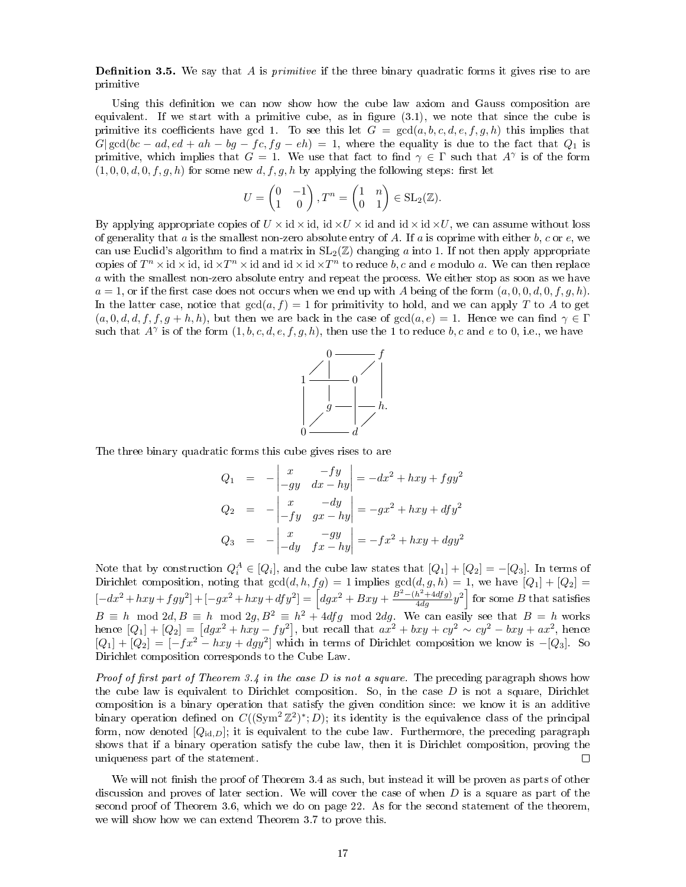**Definition 3.5.** We say that A is *primitive* if the three binary quadratic forms it gives rise to are primitive

Using this definition we can now show how the cube law axiom and Gauss composition are equivalent. If we start with a primitive cube, as in figure  $(3.1)$ , we note that since the cube is primitive its coefficients have gcd 1. To see this let  $G = \text{gcd}(a, b, c, d, e, f, g, h)$  this implies that  $G|\gcd(bc - ad, ed + ah - bg - fc, fg - eh) = 1$ , where the equality is due to the fact that  $Q_1$  is primitive, which implies that  $G = 1$ . We use that fact to find  $\gamma \in \Gamma$  such that  $A^{\gamma}$  is of the form  $(1, 0, 0, d, 0, f, g, h)$  for some new d, f, g, h by applying the following steps: first let

$$
U = \begin{pmatrix} 0 & -1 \\ 1 & 0 \end{pmatrix}, T^n = \begin{pmatrix} 1 & n \\ 0 & 1 \end{pmatrix} \in SL_2(\mathbb{Z}).
$$

By applying appropriate copies of  $U \times id \times id$ , id  $\times U \times id$  and  $id \times id \times U$ , we can assume without loss of generality that a is the smallest non-zero absolute entry of A. If a is coprime with either  $b, c$  or  $e$ , we can use Euclid's algorithm to find a matrix in  $SL_2(\mathbb{Z})$  changing a into 1. If not then apply appropriate copies of  $T^n \times id \times id$ , id  $\times T^n \times id$  and id  $\times id \times T^n$  to reduce  $b, c$  and e modulo a. We can then replace a with the smallest non-zero absolute entry and repeat the process. We either stop as soon as we have  $a = 1$ , or if the first case does not occurs when we end up with A being of the form  $(a, 0, 0, d, 0, f, g, h)$ . In the latter case, notice that  $gcd(a, f) = 1$  for primitivity to hold, and we can apply T to A to get  $(a, 0, d, d, f, f, g + h, h)$ , but then we are back in the case of  $gcd(a, e) = 1$ . Hence we can find  $\gamma \in \Gamma$ such that  $A^{\gamma}$  is of the form  $(1, b, c, d, e, f, g, h)$ , then use the 1 to reduce  $b, c$  and  $e$  to 0, i.e., we have



The three binary quadratic forms this cube gives rises to are

$$
Q_1 = -\begin{vmatrix} x & -fy \\ -gy & dx - hy \end{vmatrix} = -dx^2 + hxy + fgy^2
$$
  
\n
$$
Q_2 = -\begin{vmatrix} x & -dy \\ -fy & gx - hy \end{vmatrix} = -gx^2 + hxy + dfy^2
$$
  
\n
$$
Q_3 = -\begin{vmatrix} x & -gy \\ -dy & fx - hy \end{vmatrix} = -fx^2 + hxy + dgy^2
$$

Note that by construction  $Q_i^A \in [Q_i]$ , and the cube law states that  $[Q_1] + [Q_2] = -[Q_3]$ . In terms of Dirichlet composition, noting that  $gcd(d, h, fg) = 1$  implies  $gcd(d, g, h) = 1$ , we have  $[Q_1] + [Q_2] =$  $\left[-dx^2 + hxy + fgy^2\right] + \left[-gx^2 + hxy + dfy^2\right] = \left[dgx^2 + Bxy + \frac{B^2 - (h^2 + 4dfg)}{4dg}y^2\right]$  for some B that satisfies  $B \equiv h \mod 2d, B \equiv h \mod 2g, B^2 \equiv h^2 + 4dfg \mod 2dg$ . We can easily see that  $B = h$  works hence  $[Q_1] + [Q_2] = [dgx^2 + hxy - fy^2]$ , but recall that  $ax^2 + bxy + cy^2 \sim cy^2 - bxy + ax^2$ , hence  $[Q_1] + [Q_2] = [-fx^2 - hxy + dgy^2]$  which in terms of Dirichlet composition we know is -[Q<sub>3</sub>]. So Dirichlet composition corresponds to the Cube Law.

*Proof of first part of Theorem 3.4 in the case D is not a square.* The preceding paragraph shows how the cube law is equivalent to Dirichlet composition. So, in the case  $D$  is not a square, Dirichlet composition is a binary operation that satisfy the given condition since: we know it is an additive binary operation defined on  $C((Sym^2 \mathbb{Z}^2)^*; D)$ ; its identity is the equivalence class of the principal form, now denoted  $[Q_{\text{id},D}]$ ; it is equivalent to the cube law. Furthermore, the preceding paragraph shows that if a binary operation satisfy the cube law, then it is Dirichlet composition, proving the uniqueness part of the statement.  $\Box$ 

We will not finish the proof of Theorem 3.4 as such, but instead it will be proven as parts of other discussion and proves of later section. We will cover the case of when  $D$  is a square as part of the second proof of Theorem 3.6, which we do on page 22. As for the second statement of the theorem, we will show how we can extend Theorem 3.7 to prove this.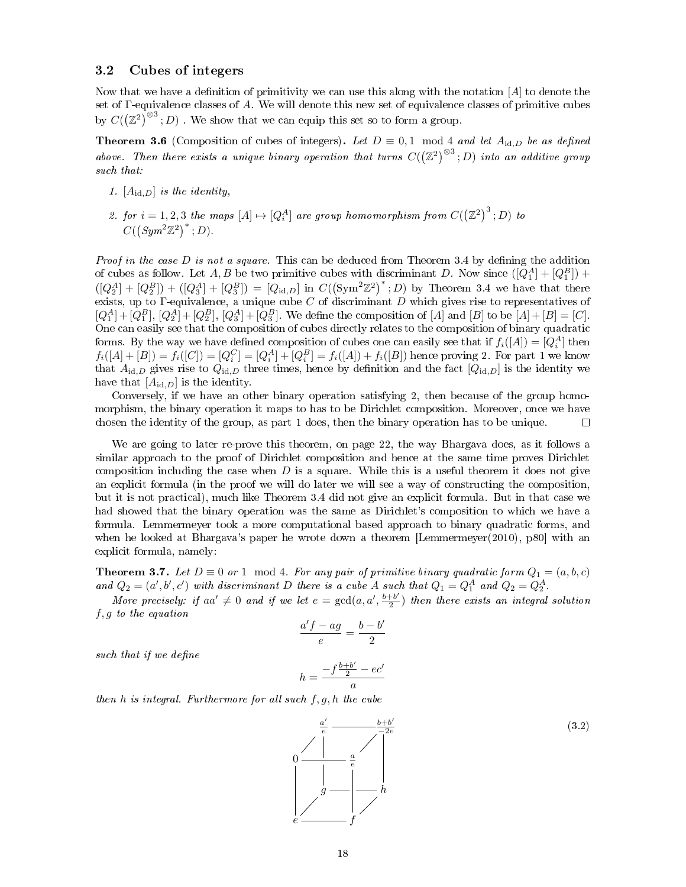### 3.2 Cubes of integers

Now that we have a definition of primitivity we can use this along with the notation  $[A]$  to denote the set of Γ-equivalence classes of A. We will denote this new set of equivalence classes of primitive cubes by  $C((\mathbb{Z}^2)^{\otimes 3}$ ; D). We show that we can equip this set so to form a group.

**Theorem 3.6** (Composition of cubes of integers). Let  $D \equiv 0, 1 \mod 4$  and let  $A_{\text{id},D}$  be as defined above. Then there exists a unique binary operation that turns  $C((\mathbb{Z}^2)^{\otimes 3}; D)$  into an additive group such that:

- 1.  $[A_{id,D}]$  is the identity,
- 2. for  $i=1,2,3$  the maps  $[A]\mapsto [Q_i^A]$  are group homomorphism from  $C({\left(\mathbb{Z}^2\right)}^3\,;D)$  to  $C({\text{Sym}^2 \mathbb{Z}^2)}^*; D.$

*Proof in the case D is not a square.* This can be deduced from Theorem 3.4 by defining the addition of cubes as follow. Let A, B be two primitive cubes with discriminant D. Now since  $([Q_1^A] + [Q_1^B])$  +  $([Q_2^A] + [Q_2^B]) + ([Q_3^A] + [Q_3^B]) = [Q_{\text{id},D}]$  in  $C({(\text{Sym}^2 \mathbb{Z}^2)}^*; D)$  by Theorem 3.4 we have that there exists, up to Γ-equivalence, a unique cube C of discriminant D which gives rise to representatives of  $[Q_1^A] + [Q_1^B], [Q_2^A] + [Q_2^B], [Q_3^A] + [Q_3^B]$ . We define the composition of [A] and [B] to be [A] + [B] = [C]. One can easily see that the composition of cubes directly relates to the composition of binary quadratic forms. By the way we have defined composition of cubes one can easily see that if  $f_i([A]) = [Q_i^A]$  then  $f_i([A] + [B]) = f_i([C]) = [Q_i^C] = [Q_i^A] + [Q_i^B] = f_i([A]) + f_i([B])$  hence proving 2. For part 1 we know that  $A_{\text{id},D}$  gives rise to  $Q_{\text{id},D}$  three times, hence by definition and the fact  $[Q_{\text{id},D}]$  is the identity we have that  $[A_{id,D}]$  is the identity.

Conversely, if we have an other binary operation satisfying 2, then because of the group homomorphism, the binary operation it maps to has to be Dirichlet composition. Moreover, once we have chosen the identity of the group, as part 1 does, then the binary operation has to be unique.  $\Box$ 

We are going to later re-prove this theorem, on page 22, the way Bhargava does, as it follows a similar approach to the proof of Dirichlet composition and hence at the same time proves Dirichlet composition including the case when  $D$  is a square. While this is a useful theorem it does not give an explicit formula (in the proof we will do later we will see a way of constructing the composition, but it is not practical), much like Theorem 3.4 did not give an explicit formula. But in that case we had showed that the binary operation was the same as Dirichlet's composition to which we have a formula. Lemmermeyer took a more computational based approach to binary quadratic forms, and when he looked at Bhargava's paper he wrote down a theorem [Lemmermeyer(2010), p80] with an explicit formula, namely:

**Theorem 3.7.** Let  $D \equiv 0$  or 1 mod 4. For any pair of primitive binary quadratic form  $Q_1 = (a, b, c)$ and  $Q_2 = (a', b', c')$  with discriminant D there is a cube A such that  $Q_1 = Q_1^A$  and  $Q_2 = Q_2^A$ .

More precisely: if  $aa' \neq 0$  and if we let  $e = \gcd(a, a', \frac{b+b'}{2})$  $\frac{1+b^2}{2}$ ) then there exists an integral solution f, g to the equation

$$
\frac{a'f - ag}{e} = \frac{b - b'}{2}
$$

such that if we define

$$
h = \frac{-f\frac{b+b'}{2} - ec'}{a}
$$

then h is integral. Furthermore for all such  $f, g, h$  the cube

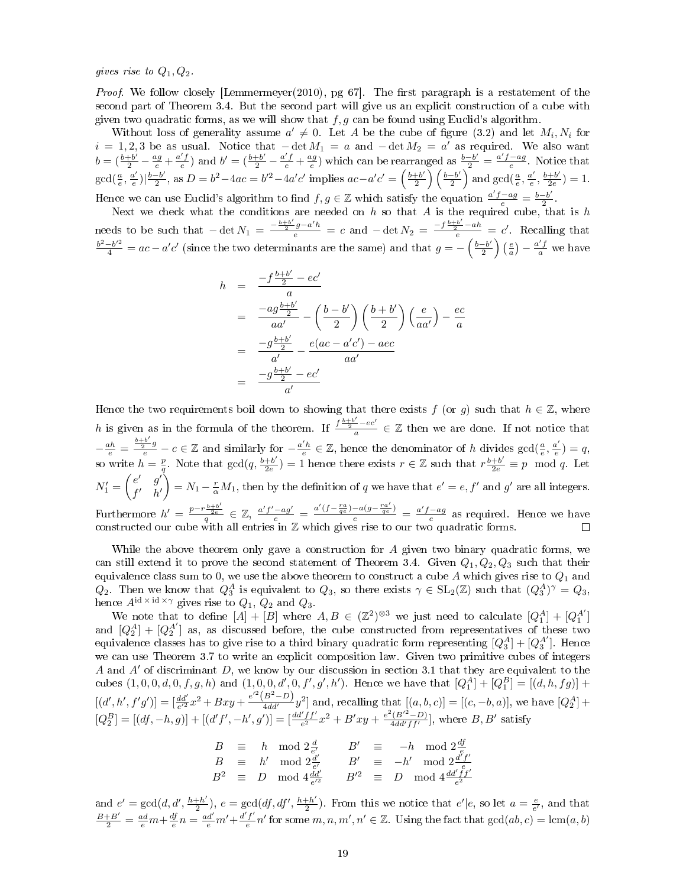gives rise to  $Q_1, Q_2$ .

*Proof.* We follow closely [Lemmermeyer(2010), pg 67]. The first paragraph is a restatement of the second part of Theorem 3.4. But the second part will give us an explicit construction of a cube with given two quadratic forms, as we will show that  $f, g$  can be found using Euclid's algorithm.

Without loss of generality assume  $a' \neq 0$ . Let A be the cube of figure (3.2) and let  $M_i, N_i$  for  $i = 1, 2, 3$  be as usual. Notice that  $-\det M_1 = a$  and  $-\det M_2 = a'$  as required. We also want  $b = (\frac{b+b'}{2} - \frac{ag}{e} + \frac{a'f}{e})$  and  $b' = (\frac{b+b'}{2} - \frac{a'f}{e} + \frac{ag}{e})$  which can be rearranged as  $\frac{b-b'}{2} = \frac{a'f - ag}{e}$ . Notice that  $\gcd(\frac{a}{e}, \frac{a'}{e}$  $\frac{a'}{e}\big)\big|\frac{b-b'}{2}$  $\frac{b-b'}{2}$ , as  $D = b^2 - 4ac = b'^2 - 4a'c'$  implies  $ac - a'c' = \left(\frac{b+b'}{2}\right)$  $\frac{+b'}{2}\right)\left(\frac{b-b'}{2}\right)$  $\frac{-b'}{2}$  and  $gcd(\frac{a}{e}, \frac{a'}{e})$  $\frac{a'}{e}, \frac{b+b'}{2e}$  $\frac{+b'}{2e}$ ) = 1. Hence we can use Euclid's algorithm to find  $f, g \in \mathbb{Z}$  which satisfy the equation  $\frac{a'f - ag}{e} = \frac{b-b'}{2}$  $\frac{-b'}{2}$ .

Next we check what the conditions are needed on  $h$  so that  $A$  is the required cube, that is  $h$ needs to be such that  $-\det N_1 = \frac{-\frac{b+b'}{2}g-a'h}{e} = c$  and  $-\det N_2 = \frac{-f\frac{b+b'}{2}-ah}{e} = c'$ . Recalling that  $\frac{b^2-b'^2}{4} = ac - a'c'$  (since the two determinants are the same) and that  $g = -\left(\frac{b-b'}{2}\right)$  $\left(\frac{e}{a}\right) - \frac{a'f}{a}$  we have

$$
h = \frac{-f\frac{b+b'}{2} - ec'}{a}
$$
  
= 
$$
\frac{-ag\frac{b+b'}{2}}{aa'} - \left(\frac{b-b'}{2}\right)\left(\frac{b+b'}{2}\right)\left(\frac{e}{aa'}\right) - \frac{ec}{a}
$$
  
= 
$$
\frac{-g\frac{b+b'}{2}}{a'} - \frac{e(ac - a'c') - ace}{aa'}
$$
  
= 
$$
\frac{-g\frac{b+b'}{2} - ec'}{a'}
$$

Hence the two requirements boil down to showing that there exists f (or g) such that  $h \in \mathbb{Z}$ , where h is given as in the formula of the theorem. If  $\frac{f^{b+b'}-ec'}{a} \in \mathbb{Z}$  then we are done. If not notice that  $-\frac{ah}{e} = \frac{\frac{b+b'}{2}g}{e} - c \in \mathbb{Z}$  and similarly for  $-\frac{a'h}{e} \in \mathbb{Z}$ , hence the denominator of h divides  $gcd(\frac{a}{e}, \frac{a'}{e})$  $\frac{a'}{e}$ ) = q, so write  $h = \frac{p}{q}$ . Note that  $gcd(q, \frac{b+b'}{2e})$  $\frac{1+b'}{2e}$  = 1 hence there exists  $r \in \mathbb{Z}$  such that  $r \frac{b+b'}{2e} \equiv p \mod q$ . Let  $N'_1 = \begin{pmatrix} e' & g' \\ f' & h' \end{pmatrix}$  $f'$  h'  $\bigg) = N_1 - \frac{r}{\alpha}M_1$ , then by the definition of q we have that  $e' = e, f'$  and g' are all integers. Furthermore  $h' = \frac{p - r \frac{b + b'}{2e}}{q} \in \mathbb{Z}$ ,  $\frac{a' f' - a g'}{e} = \frac{a'(f - \frac{ra}{qe}) - a(g - \frac{ra'}{qe})}{e} = \frac{a' f - a g}{e}$  as required. Hence we have constructed our cube with all entries in  $\mathbb Z$  which gives rise to our two quadratic forms.

While the above theorem only gave a construction for A given two binary quadratic forms, we can still extend it to prove the second statement of Theorem 3.4. Given  $Q_1, Q_2, Q_3$  such that their equivalence class sum to 0, we use the above theorem to construct a cube A which gives rise to  $Q_1$  and  $Q_2$ . Then we know that  $Q_3^A$  is equivalent to  $Q_3$ , so there exists  $\gamma \in SL_2(\mathbb{Z})$  such that  $(Q_3^A)^\gamma = Q_3$ , hence  $A^{id \times id \times \gamma}$  gives rise to  $Q_1$ ,  $Q_2$  and  $Q_3$ .

We note that to define  $[A] + [B]$  where  $A, B \in (\mathbb{Z}^2)^{\otimes 3}$  we just need to calculate  $[Q_1^A] + [Q_1^A]$ and  $[Q_2^A] + [Q_2^{A'}]$  as, as discussed before, the cube constructed from representatives of these two equivalence classes has to give rise to a third binary quadratic form representing  $[Q_3^A] + [Q_3^{A'}]$ . Hence we can use Theorem 3.7 to write an explicit composition law. Given two primitive cubes of integers A and  $A'$  of discriminant D, we know by our discussion in section 3.1 that they are equivalent to the cubes  $(1,0,0,d,0,f,g,h)$  and  $(1,0,0,d',0,f',g',h')$ . Hence we have that  $[Q_1^A]+[Q_1^B]=[(d,h,fg)]+$  $[(d', h', f'g')] = [\frac{dd'}{e'^2}x^2 + Bxy + \frac{e'^2(B^2 - D)}{4dd'}y^2]$  and, recalling that  $[(a, b, c)] = [(c, -b, a)]$ , we have  $[Q_2^A]$  +  $[Q_2^B] = [(df, -h, g)] + [(d'f', -h', g')] = [\frac{dd'ff'}{e^2}x^2 + B'xy + \frac{e^2(B'^2 - D)}{4dd'ff'}]$  $\frac{((B^{\prime\,2}-D)}{4dd'ff'}],$  where  $B, B'$  satisfy

$$
B \equiv h \mod 2\frac{d}{e'}, \qquad B' \equiv -h \mod 2\frac{df}{e'},
$$
  
\n
$$
B \equiv h' \mod 2\frac{d'}{e'} \qquad B' \equiv -h' \mod 2\frac{df'}{e'}
$$
  
\n
$$
B^2 \equiv D \mod 4\frac{dd'}{e'^2} \qquad B'^2 \equiv D \mod 4\frac{dd'f'}{e^2}
$$

and  $e' = \gcd(d, d', \frac{h+h'}{2})$  $\frac{h+h'}{2}$ ,  $e = \gcd(df, df', \frac{h+h'}{2})$  $\frac{e+h'}{2}$ ). From this we notice that  $e'|e$ , so let  $a=\frac{e}{e'}$ , and that  $\frac{B+B'}{2} = \frac{ad}{e}m + \frac{df}{e}n = \frac{ad'}{e}m' + \frac{d'f'}{e}$  $\frac{f'}{e}n'$  for some  $m, n, m', n' \in \mathbb{Z}$ . Using the fact that  $gcd(ab, c) = lcm(a, b)$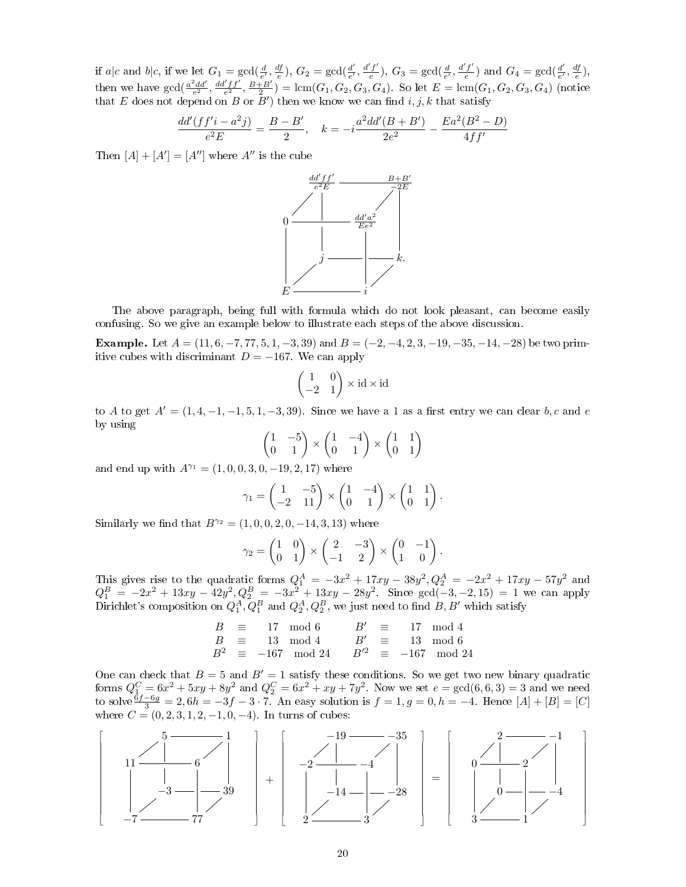if a|c and b|c, if we let  $G_1 = \gcd(\frac{d}{e'}, \frac{df}{e}), G_2 = \gcd(\frac{d'}{e'})$  $\frac{d'}{e'}$ ,  $\frac{d'f'}{e}$  $(\frac{f'}{e}), G_3 = \gcd(\frac{d}{e'}, \frac{d'f'}{e})$  $\frac{f'}{e}$ ) and  $G_4 = \gcd(\frac{d'}{e'}$  $\frac{d'}{e'}, \frac{df}{e}$ , then we have  $gcd(\frac{a^2dd'}{e^2}, \frac{dd'ff'}{e^2}, \frac{B+B'}{2}) = lcm(G_1, G_2, G_3, G_4)$ . So let  $E = lcm(G_1, G_2, G_3, G_4)$  (notice that E does not depend on B or  $\bar{B}'$  then we know we can find  $i, j, k$  that satisfy

$$
\frac{dd'(ff'i - a^2j)}{e^2E} = \frac{B - B'}{2}, \quad k = -i \frac{a^2dd'(B + B')}{2e^2} - \frac{Ea^2(B^2 - D)}{4ff'}
$$

Then  $[A] + [A'] = [A'']$  where  $A''$  is the cube



The above paragraph, being full with formula which do not look pleasant, can become easily confusing. So we give an example below to illustrate each steps of the above discussion.

Example. Let  $A = (11, 6, -7, 77, 5, 1, -3, 39)$  and  $B = (-2, -4, 2, 3, -19, -35, -14, -28)$  be two primitive cubes with discriminant  $D = -167$ . We can apply

$$
\begin{pmatrix} 1 & 0 \ -2 & 1 \end{pmatrix} \times \text{id} \times \text{id}
$$

to A to get  $A' = (1, 4, -1, -1, 5, 1, -3, 39)$ . Since we have a 1 as a first entry we can clear b, c and e by using

$$
\begin{pmatrix} 1 & -5 \\ 0 & 1 \end{pmatrix} \times \begin{pmatrix} 1 & -4 \\ 0 & 1 \end{pmatrix} \times \begin{pmatrix} 1 & 1 \\ 0 & 1 \end{pmatrix}
$$

and end up with  $A^{\gamma_1} = (1, 0, 0, 3, 0, -19, 2, 17)$  where

$$
\gamma_1 = \begin{pmatrix} 1 & -5 \\ -2 & 11 \end{pmatrix} \times \begin{pmatrix} 1 & -4 \\ 0 & 1 \end{pmatrix} \times \begin{pmatrix} 1 & 1 \\ 0 & 1 \end{pmatrix}.
$$

Similarly we find that  $B^{\gamma_2} = (1, 0, 0, 2, 0, -14, 3, 13)$  where

$$
\gamma_2 = \begin{pmatrix} 1 & 0 \\ 0 & 1 \end{pmatrix} \times \begin{pmatrix} 2 & -3 \\ -1 & 2 \end{pmatrix} \times \begin{pmatrix} 0 & -1 \\ 1 & 0 \end{pmatrix}.
$$

This gives rise to the quadratic forms  $Q_1^A = -3x^2 + 17xy - 38y^2$ ,  $Q_2^A = -2x^2 + 17xy - 57y^2$  and  $Q_1^B = -2x^2 + 13xy - 42y^2, Q_2^B = -3x^2 + 13xy - 28y^2$ . Since gcd(-3, -2, 15) = 1 we can apply Dirichlet's composition on  $Q_1^A, Q_1^B$  and  $Q_2^A, Q_2^B$ , we just need to find  $B, B'$  which satisfy

> $B \equiv 17 \mod 6$   $B' \equiv 17 \mod 4$  $B \equiv 13 \mod 4$   $B' \equiv 13 \mod 6$  $B^2 \equiv -167 \mod 24$   $B'^2 \equiv -167 \mod 24$

One can check that  $B = 5$  and  $B' = 1$  satisfy these conditions. So we get two new binary quadratic forms  $Q_1^C = 6x^2 + 5xy + 8y^2$  and  $Q_2^C = 6x^2 + xy + 7y^2$ . Now we set  $e = \gcd(6, 6, 3) = 3$  and we need to solve  $\frac{6f-6g}{3} = 2, 6h = -3f - 3 \cdot 7$ . An easy solution is  $f = 1, g = 0, h = -4$ . Hence  $[A] + [B] = [C]$ where  $C = (0, 2, 3, 1, 2, -1, 0, -4)$ . In turns of cubes:

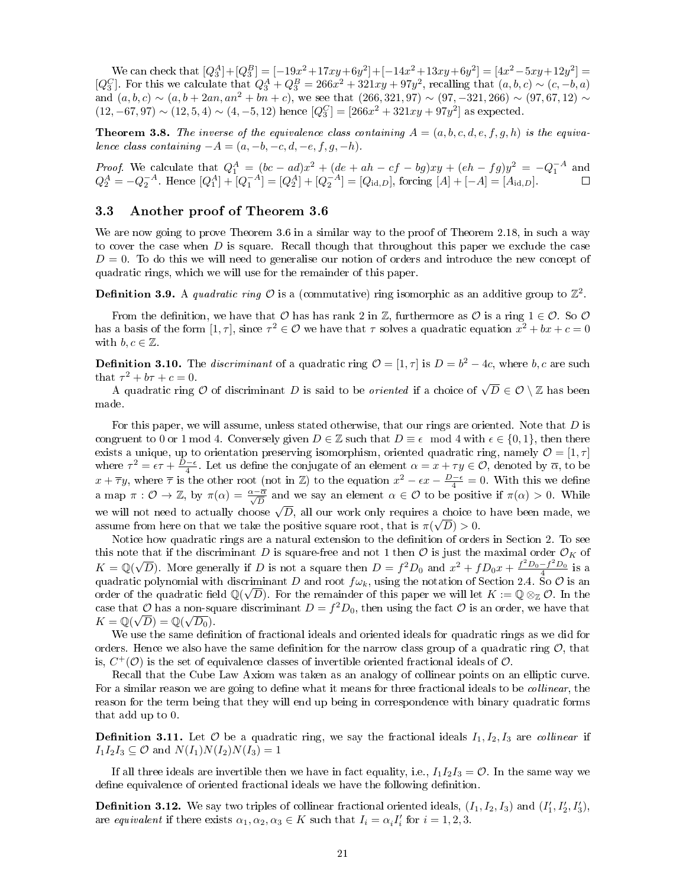We can check that  $[Q_3^A]+[Q_3^B]=[-19x^2+17xy+6y^2]+[-14x^2+13xy+6y^2]=[4x^2-5xy+12y^2]=$ [ $Q_3^C$ ]. For this we calculate that  $Q_3^A + Q_3^B = 266x^2 + 321xy + 97y^2$ , recalling that  $(a, b, c) \sim (c, -b, a)$ and  $(a, b, c) \sim (a, b + 2an, an^2 + bn + c)$ , we see that  $(266, 321, 97) \sim (97, -321, 266) \sim (97, 67, 12) \sim$  $(12, -67, 97) \sim (12, 5, 4) \sim (4, -5, 12)$  hence  $[Q_3^C] = [266x^2 + 321xy + 97y^2]$  as expected.

**Theorem 3.8.** The inverse of the equivalence class containing  $A = (a, b, c, d, e, f, g, h)$  is the equivalence class containing  $-A = (a, -b, -c, d, -e, f, g, -h)$ .

*Proof.* We calculate that  $Q_1^A = (bc - ad)x^2 + (de + ah - cf - bg)xy + (eh - fg)y^2 = -Q_1^{-A}$  and  $Q_2^A = -Q_2^{-A}$ . Hence  $[Q_1^A] + [Q_1^{-A}] = [Q_2^A] + [Q_2^{-A}] = [Q_{\text{id},D}]$ , forcing  $[A] + [-A] = [A_{\text{id},D}]$ .

## 3.3 Another proof of Theorem 3.6

We are now going to prove Theorem 3.6 in a similar way to the proof of Theorem 2.18, in such a way to cover the case when  $D$  is square. Recall though that throughout this paper we exclude the case  $D = 0$ . To do this we will need to generalise our notion of orders and introduce the new concept of quadratic rings, which we will use for the remainder of this paper.

**Definition 3.9.** A quadratic ring  $\mathcal{O}$  is a (commutative) ring isomorphic as an additive group to  $\mathbb{Z}^2$ .

From the definition, we have that  $\mathcal O$  has has rank 2 in  $\mathbb Z$ , furthermore as  $\mathcal O$  is a ring  $1 \in \mathcal O$ . So  $\mathcal O$ has a basis of the form  $[1, \tau]$ , since  $\tau^2 \in \mathcal{O}$  we have that  $\tau$  solves a quadratic equation  $x^2 + bx + c = 0$ with  $b, c \in \mathbb{Z}$ .

**Definition 3.10.** The *discriminant* of a quadratic ring  $\mathcal{O} = [1, \tau]$  is  $D = b^2 - 4c$ , where b, c are such that  $\tau^2 + b\tau + c = 0$ .

t  $\tau^- + \sigma\tau + c = 0$ .<br>A quadratic ring  ${\cal O}$  of discriminant  $D$  is said to be *oriented* if a choice of  $\sqrt{D}\in{\cal O}\setminus{\mathbb Z}$  has been made.

For this paper, we will assume, unless stated otherwise, that our rings are oriented. Note that D is congruent to 0 or 1 mod 4. Conversely given  $D \in \mathbb{Z}$  such that  $D \equiv \epsilon \mod 4$  with  $\epsilon \in \{0, 1\}$ , then there exists a unique, up to orientation preserving isomorphism, oriented quadratic ring, namely  $\mathcal{O} = [1, \tau]$ where  $\tau^2 = \epsilon \tau + \frac{D-\epsilon}{4}$ . Let us define the conjugate of an element  $\alpha = x + \tau y \in \mathcal{O}$ , denoted by  $\overline{\alpha}$ , to be  $x + \overline{\tau}y$ , where  $\overline{\tau}$  is the other root (not in Z) to the equation  $x^2 - \epsilon x - \frac{D-\epsilon}{4} = 0$ . With this we define a map  $\pi: \mathcal{O} \to \mathbb{Z}$ , by  $\pi(\alpha) = \frac{\alpha - \overline{\alpha}}{\sqrt{D}}$  and we say an element  $\alpha \in \mathcal{O}$  to be positive if  $\pi(\alpha) > 0$ . While we will not need to actually choose  $\sqrt{D}$ , all our work only requires a choice to have been made, we assume from here on that we take the positive square root, that is  $\pi(\sqrt{D}) > 0$ .

Notice how quadratic rings are a natural extension to the definition of orders in Section 2. To see this note that if the discriminant D is square-free and not 1 then  $\mathcal{O}$  is just the maximal order  $\mathcal{O}_K$  of  $K = \mathbb{Q}(\sqrt{D})$ . More generally if D is not a square then  $D = f^2 D_0$  and  $x^2 + f D_0 x + \frac{f^2 D_0 - f^2 D_0}{4}$  is a quadratic polynomial with discriminant D and root  $f\omega_k$ , using the notation of Section 2.4. So  $\mathcal O$  is an order of the quadratic field  $\mathbb{Q}(\sqrt{D})$ . For the remainder of this paper we will let  $K := \mathbb{Q} \otimes_{\mathbb{Z}} \mathcal{O}$ . In the case that  $\mathcal{O}$  has a non-square discriminant  $D = f^2 D_0$ , then using the fact  $\mathcal{O}$  is an order, we have that  $K = \mathbb{Q}(\sqrt{D}) = \mathbb{Q}(\sqrt{D_0}).$ 

We use the same definition of fractional ideals and oriented ideals for quadratic rings as we did for orders. Hence we also have the same definition for the narrow class group of a quadratic ring  $\mathcal{O}$ , that is,  $C^+(\mathcal{O})$  is the set of equivalence classes of invertible oriented fractional ideals of  $\mathcal{O}$ .

Recall that the Cube Law Axiom was taken as an analogy of collinear points on an elliptic curve. For a similar reason we are going to define what it means for three fractional ideals to be *collinear*, the reason for the term being that they will end up being in correspondence with binary quadratic forms that add up to 0.

**Definition 3.11.** Let  $\mathcal{O}$  be a quadratic ring, we say the fractional ideals  $I_1, I_2, I_3$  are collinear if  $I_1I_2I_3 \subseteq \mathcal{O}$  and  $N(I_1)N(I_2)N(I_3) = 1$ 

If all three ideals are invertible then we have in fact equality, i.e.,  $I_1I_2I_3 = \mathcal{O}$ . In the same way we define equivalence of oriented fractional ideals we have the following definition.

**Definition 3.12.** We say two triples of collinear fractional oriented ideals,  $(I_1, I_2, I_3)$  and  $(I'_1, I'_2, I'_3)$ , are equivalent if there exists  $\alpha_1, \alpha_2, \alpha_3 \in K$  such that  $I_i = \alpha_i I'_i$  for  $i = 1, 2, 3$ .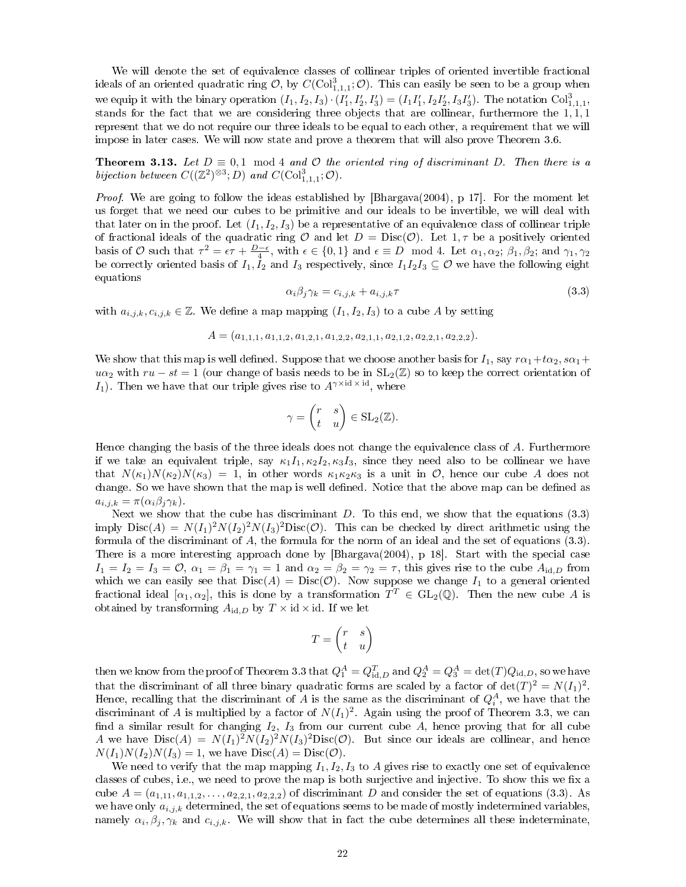We will denote the set of equivalence classes of collinear triples of oriented invertible fractional ideals of an oriented quadratic ring  $\mathcal{O}$ , by  $C(\mathrm{Col}^{3}_{1,1,1}; \mathcal{O})$ . This can easily be seen to be a group when we equip it with the binary operation  $(I_1, I_2, I_3) \cdot (I'_1, I'_2, I'_3) = (I_1 I'_1, I_2 I'_2, I_3 I'_3)$ . The notation  $Col_{1,1,1}^3$ , stands for the fact that we are considering three objects that are collinear, furthermore the  $1,1,1$ represent that we do not require our three ideals to be equal to each other, a requirement that we will impose in later cases. We will now state and prove a theorem that will also prove Theorem 3.6.

**Theorem 3.13.** Let  $D \equiv 0.1 \mod 4$  and O the oriented ring of discriminant D. Then there is a bijection between  $C((\mathbb{Z}^2)^{\otimes 3}; D)$  and  $C(\mathrm{Col}^3_{1,1,1}; \mathcal{O})$ .

*Proof.* We are going to follow the ideas established by  $[\text{Bhargava}(2004), p \ 17]$ . For the moment let us forget that we need our cubes to be primitive and our ideals to be invertible, we will deal with that later on in the proof. Let  $(I_1, I_2, I_3)$  be a representative of an equivalence class of collinear triple of fractional ideals of the quadratic ring  $\mathcal O$  and let  $D = \text{Disc}(\mathcal O)$ . Let  $1, \tau$  be a positively oriented basis of  $\mathcal O$  such that  $\tau^2 = \epsilon \tau + \frac{D-\epsilon}{4}$ , with  $\epsilon \in \{0,1\}$  and  $\epsilon \equiv D \mod 4$ . Let  $\alpha_1, \alpha_2; \beta_1, \beta_2$ ; and  $\gamma_1, \gamma_2$ be correctly oriented basis of  $I_1, I_2$  and  $I_3$  respectively, since  $I_1I_2I_3 \subseteq \mathcal{O}$  we have the following eight equations

$$
\alpha_i \beta_j \gamma_k = c_{i,j,k} + a_{i,j,k} \tau \tag{3.3}
$$

with  $a_{i,j,k}, c_{i,j,k} \in \mathbb{Z}$ . We define a map mapping  $(I_1, I_2, I_3)$  to a cube A by setting

$$
A = (a_{1,1,1}, a_{1,1,2}, a_{1,2,1}, a_{1,2,2}, a_{2,1,1}, a_{2,1,2}, a_{2,2,1}, a_{2,2,2}).
$$

We show that this map is well defined. Suppose that we choose another basis for  $I_1$ , say  $r\alpha_1+t\alpha_2$ ,  $s\alpha_1+$  $u\alpha_2$  with  $ru - st = 1$  (our change of basis needs to be in  $SL_2(\mathbb{Z})$  so to keep the correct orientation of I<sub>1</sub>). Then we have that our triple gives rise to  $A^{\gamma \times id} \times id$ , where

$$
\gamma = \begin{pmatrix} r & s \\ t & u \end{pmatrix} \in SL_2(\mathbb{Z}).
$$

Hence changing the basis of the three ideals does not change the equivalence class of A. Furthermore if we take an equivalent triple, say  $\kappa_1 I_1, \kappa_2 I_2, \kappa_3 I_3$ , since they need also to be collinear we have that  $N(\kappa_1)N(\kappa_2)N(\kappa_3) = 1$ , in other words  $\kappa_1\kappa_2\kappa_3$  is a unit in  $\mathcal{O}$ , hence our cube A does not change. So we have shown that the map is well defined. Notice that the above map can be defined as  $a_{i,j,k} = \pi(\alpha_i \beta_j \gamma_k).$ 

Next we show that the cube has discriminant  $D$ . To this end, we show that the equations (3.3) imply  $Disc(A) = N(I_1)^2 N(I_2)^2 N(I_3)^2 Disc(\mathcal{O})$ . This can be checked by direct arithmetic using the formula of the discriminant of A, the formula for the norm of an ideal and the set of equations (3.3). There is a more interesting approach done by [Bhargava(2004), p 18]. Start with the special case  $I_1 = I_2 = I_3 = \mathcal{O}, \ \alpha_1 = \beta_1 = \gamma_1 = 1$  and  $\alpha_2 = \beta_2 = \gamma_2 = \tau$ , this gives rise to the cube  $A_{\text{id},D}$  from which we can easily see that  $Disc(A) = Disc(O)$ . Now suppose we change  $I_1$  to a general oriented fractional ideal  $[\alpha_1,\alpha_2]$ , this is done by a transformation  $T^T \in GL_2(\mathbb{Q})$ . Then the new cube A is obtained by transforming  $A_{\text{id},D}$  by  $T \times \text{id} \times \text{id}$ . If we let

$$
T = \begin{pmatrix} r & s \\ t & u \end{pmatrix}
$$

then we know from the proof of Theorem 3.3 that  $Q^A_1=Q^T_{\mathrm{id},D}$  and  $Q^A_2=Q^A_3=\det(T)Q_{\mathrm{id},D},$  so we have that the discriminant of all three binary quadratic forms are scaled by a factor of  $\det(T)^2 = N(I_1)^2$ . Hence, recalling that the discriminant of  $A$  is the same as the discriminant of  $Q_i^A$ , we have that the discriminant of A is multiplied by a factor of  $N(I_1)^2$ . Again using the proof of Theorem 3.3, we can find a similar result for changing  $I_2$ ,  $I_3$  from our current cube A, hence proving that for all cube A we have  $Disc(A) = N(I_1)^2 N(I_2)^2 N(I_3)^2 Disc(O)$ . But since our ideals are collinear, and hence  $N(I_1)N(I_2)N(I_3) = 1$ , we have  $Disc(A) = Disc(\mathcal{O})$ .

We need to verify that the map mapping  $I_1, I_2, I_3$  to A gives rise to exactly one set of equivalence classes of cubes, i.e., we need to prove the map is both surjective and injective. To show this we fix a cube  $A = (a_{1,11}, a_{1,1,2}, \ldots, a_{2,2,1}, a_{2,2,2})$  of discriminant D and consider the set of equations (3.3). As we have only  $a_{i,j,k}$  determined, the set of equations seems to be made of mostly indetermined variables, namely  $\alpha_i, \beta_j, \gamma_k$  and  $c_{i,j,k}$ . We will show that in fact the cube determines all these indeterminate,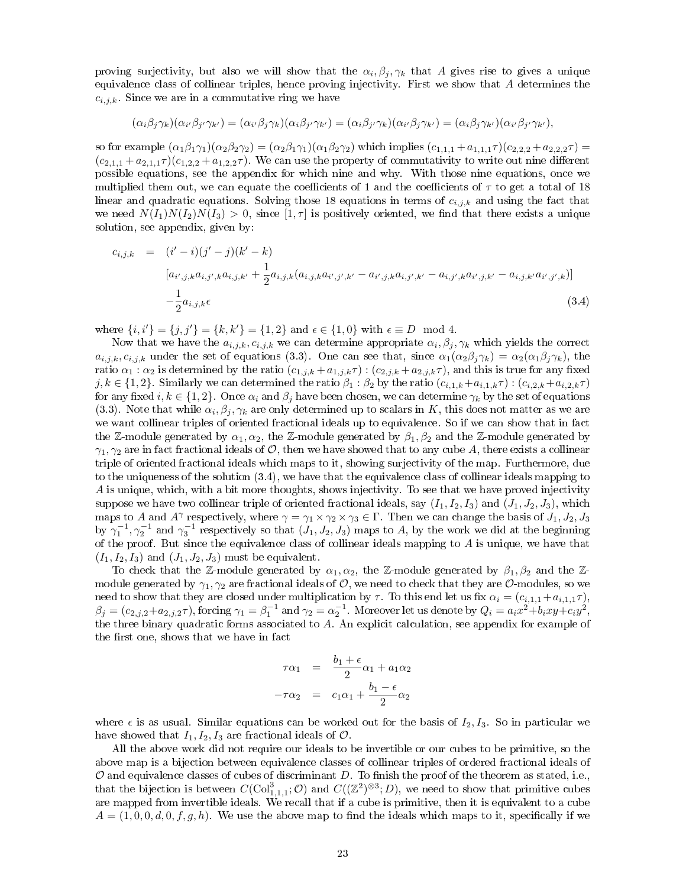proving surjectivity, but also we will show that the  $\alpha_i, \beta_j, \gamma_k$  that A gives rise to gives a unique equivalence class of collinear triples, hence proving injectivity. First we show that A determines the  $c_{i,j,k}$ . Since we are in a commutative ring we have

$$
(\alpha_i\beta_j\gamma_k)(\alpha_{i'}\beta_{j'}\gamma_{k'})=(\alpha_{i'}\beta_j\gamma_k)(\alpha_i\beta_{j'}\gamma_{k'})=(\alpha_i\beta_{j'}\gamma_k)(\alpha_{i'}\beta_j\gamma_{k'})=(\alpha_i\beta_j\gamma_{k'})(\alpha_{i'}\beta_{j'}\gamma_{k'}),
$$

so for example  $(\alpha_1\beta_1\gamma_1)(\alpha_2\beta_2\gamma_2) = (\alpha_2\beta_1\gamma_1)(\alpha_1\beta_2\gamma_2)$  which implies  $(c_{1,1,1} + a_{1,1,1}\tau)(c_{2,2,2} + a_{2,2,2}\tau) =$  $(c_{2,1,1} + a_{2,1,1}\tau)(c_{1,2,2} + a_{1,2,2}\tau)$ . We can use the property of commutativity to write out nine different possible equations, see the appendix for which nine and why. With those nine equations, once we multiplied them out, we can equate the coefficients of 1 and the coefficients of  $\tau$  to get a total of 18 linear and quadratic equations. Solving those 18 equations in terms of  $c_{i,j,k}$  and using the fact that we need  $N(I_1)N(I_2)N(I_3) > 0$ , since  $[1, \tau]$  is positively oriented, we find that there exists a unique solution, see appendix, given by:

$$
c_{i,j,k} = (i'-i)(j'-j)(k'-k)
$$
  
\n
$$
[a_{i',j,k}a_{i,j',k}a_{i,j,k'} + \frac{1}{2}a_{i,j,k}(a_{i,j,k}a_{i',j',k'} - a_{i',j,k}a_{i,j',k'} - a_{i,j',k}a_{i',j,k'} - a_{i,j,k'}a_{i',j',k})]
$$
  
\n
$$
-\frac{1}{2}a_{i,j,k}\epsilon
$$
\n(3.4)

where  $\{i, i'\} = \{j, j'\} = \{k, k'\} = \{1, 2\}$  and  $\epsilon \in \{1, 0\}$  with  $\epsilon \equiv D \mod 4$ .

Now that we have the  $a_{i,j,k}$ ,  $c_{i,j,k}$  we can determine appropriate  $\alpha_i, \beta_j, \gamma_k$  which yields the correct  $a_{i,j,k}, c_{i,j,k}$  under the set of equations (3.3). One can see that, since  $\alpha_1(\alpha_2\beta_j\gamma_k) = \alpha_2(\alpha_1\beta_j\gamma_k)$ , the ratio  $\alpha_1 : \alpha_2$  is determined by the ratio  $(c_{1,j,k} + a_{1,j,k} \tau) : (c_{2,j,k} + a_{2,j,k} \tau)$ , and this is true for any fixed j,  $k \in \{1, 2\}$ . Similarly we can determined the ratio  $\beta_1 : \beta_2$  by the ratio  $(c_{i,1,k}+a_{i,1,k}\tau) : (c_{i,2,k}+a_{i,2,k}\tau)$ for any fixed i,  $k \in \{1,2\}$ . Once  $\alpha_i$  and  $\beta_j$  have been chosen, we can determine  $\gamma_k$  by the set of equations (3.3). Note that while  $\alpha_i, \beta_j, \gamma_k$  are only determined up to scalars in K, this does not matter as we are we want collinear triples of oriented fractional ideals up to equivalence. So if we can show that in fact the Z-module generated by  $\alpha_1, \alpha_2$ , the Z-module generated by  $\beta_1, \beta_2$  and the Z-module generated by  $\gamma_1, \gamma_2$  are in fact fractional ideals of O, then we have showed that to any cube A, there exists a collinear triple of oriented fractional ideals which maps to it, showing surjectivity of the map. Furthermore, due to the uniqueness of the solution (3.4), we have that the equivalence class of collinear ideals mapping to A is unique, which, with a bit more thoughts, shows injectivity. To see that we have proved injectivity suppose we have two collinear triple of oriented fractional ideals, say  $(I_1, I_2, I_3)$  and  $(J_1, J_2, J_3)$ , which maps to A and  $A^{\gamma}$  respectively, where  $\gamma = \gamma_1 \times \gamma_2 \times \gamma_3 \in \Gamma$ . Then we can change the basis of  $J_1, J_2, J_3$ by  $\gamma_1^{-1}, \gamma_2^{-1}$  and  $\gamma_3^{-1}$  respectively so that  $(J_1, J_2, J_3)$  maps to A, by the work we did at the beginning of the proof. But since the equivalence class of collinear ideals mapping to  $A$  is unique, we have that  $(I_1, I_2, I_3)$  and  $(J_1, J_2, J_3)$  must be equivalent.

To check that the Z-module generated by  $\alpha_1, \alpha_2$ , the Z-module generated by  $\beta_1, \beta_2$  and the Zmodule generated by  $\gamma_1, \gamma_2$  are fractional ideals of O, we need to check that they are O-modules, so we need to show that they are closed under multiplication by  $\tau$ . To this end let us fix  $\alpha_i = (c_{i,1,1} + a_{i,1,1}\tau)$ ,  $\beta_j=(c_{2,j,2}+a_{2,j,2}\tau),$  forcing  $\gamma_1=\beta_1^{-1}$  and  $\gamma_2=\alpha_2^{-1}$ . Moreover let us denote by  $Q_i=a_ix^2+b_ixy+c_iy^2,$ the three binary quadratic forms associated to A. An explicit calculation, see appendix for example of the first one, shows that we have in fact

$$
\tau \alpha_1 = \frac{b_1 + \epsilon}{2} \alpha_1 + a_1 \alpha_2
$$

$$
-\tau \alpha_2 = c_1 \alpha_1 + \frac{b_1 - \epsilon}{2} \alpha_2
$$

where  $\epsilon$  is as usual. Similar equations can be worked out for the basis of  $I_2, I_3$ . So in particular we have showed that  $I_1, I_2, I_3$  are fractional ideals of  $\mathcal{O}$ .

All the above work did not require our ideals to be invertible or our cubes to be primitive, so the above map is a bijection between equivalence classes of collinear triples of ordered fractional ideals of  $O$  and equivalence classes of cubes of discriminant  $D$ . To finish the proof of the theorem as stated, i.e., that the bijection is between  $C(\text{Col}^3_{1,1,1}; \mathcal{O})$  and  $C((\mathbb{Z}^2)^{\otimes 3}; D)$ , we need to show that primitive cubes are mapped from invertible ideals. We recall that if a cube is primitive, then it is equivalent to a cube  $A = (1, 0, 0, d, 0, f, g, h)$ . We use the above map to find the ideals which maps to it, specifically if we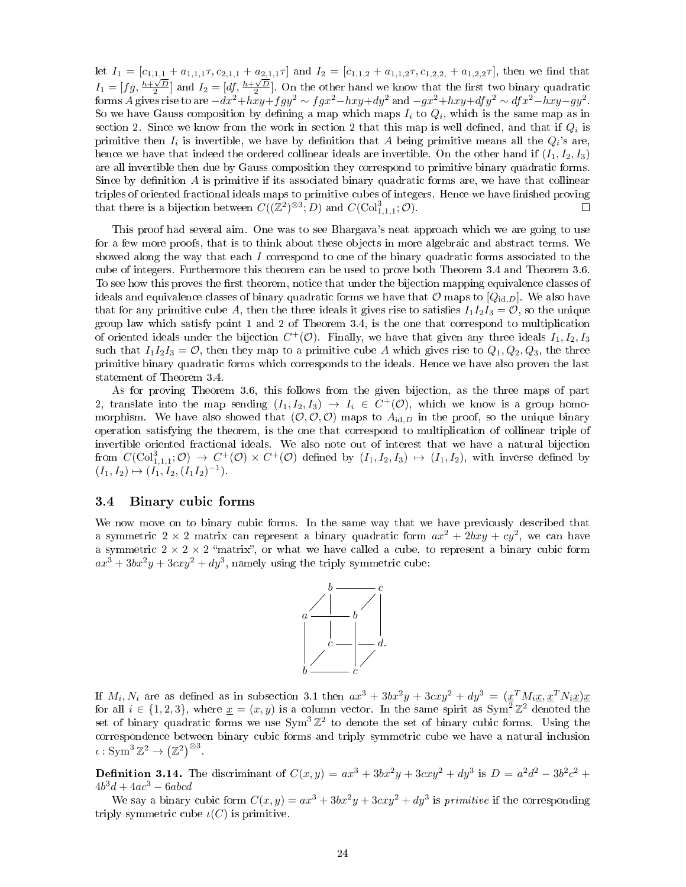let  $I_1 = [c_{1,1,1} + a_{1,1,1}\tau, c_{2,1,1} + a_{2,1,1}\tau]$  and  $I_2 = [c_{1,1,2} + a_{1,1,2}\tau, c_{1,2,2}, + a_{1,2,2}\tau]$ , then we find that  $I_1 = [fg, \frac{h+\sqrt{D}}{2}]$  and  $I_2 = [df, \frac{h+\sqrt{D}}{2}]$ . On the other hand we know that the first two binary quadratic forms A gives rise to are  $-dx^2 + hxy + fgy^2 \sim fgx^2 - hxy + dy^2$  and  $-gx^2 + hxy + dfy^2 \sim dfx^2 - hxy - gy^2$ . So we have Gauss composition by defining a map which maps  $I_i$  to  $Q_i$ , which is the same map as in section 2. Since we know from the work in section 2 that this map is well defined, and that if  $Q_i$  is primitive then  $I_i$  is invertible, we have by definition that A being primitive means all the  $Q_i$ 's are, hence we have that indeed the ordered collinear ideals are invertible. On the other hand if  $(I_1, I_2, I_3)$ are all invertible then due by Gauss composition they correspond to primitive binary quadratic forms. Since by definition  $A$  is primitive if its associated binary quadratic forms are, we have that collinear triples of oriented fractional ideals maps to primitive cubes of integers. Hence we have finished proving that there is a bijection between  $C((\mathbb{Z}^2)^{\otimes 3}; D)$  and  $C(\mathrm{Col}^3_{1,1,1}; \mathcal{O})$ .  $\Box$ 

This proof had several aim. One was to see Bhargava's neat approach which we are going to use for a few more proofs, that is to think about these objects in more algebraic and abstract terms. We showed along the way that each I correspond to one of the binary quadratic forms associated to the cube of integers. Furthermore this theorem can be used to prove both Theorem 3.4 and Theorem 3.6. To see how this proves the first theorem, notice that under the bijection mapping equivalence classes of ideals and equivalence classes of binary quadratic forms we have that  $\mathcal{O}$  maps to  $[Q_{id,D}]$ . We also have that for any primitive cube A, then the three ideals it gives rise to satisfies  $I_1I_2I_3 = \mathcal{O}$ , so the unique group law which satisfy point 1 and 2 of Theorem 3.4, is the one that correspond to multiplication of oriented ideals under the bijection  $C^+(\mathcal{O})$ . Finally, we have that given any three ideals  $I_1, I_2, I_3$ such that  $I_1I_2I_3 = \mathcal{O}$ , then they map to a primitive cube A which gives rise to  $Q_1, Q_2, Q_3$ , the three primitive binary quadratic forms which corresponds to the ideals. Hence we have also proven the last statement of Theorem 3.4.

As for proving Theorem 3.6, this follows from the given bijection, as the three maps of part 2, translate into the map sending  $(I_1, I_2, I_3) \rightarrow I_i \in C^+(\mathcal{O})$ , which we know is a group homomorphism. We have also showed that  $(\mathcal{O}, \mathcal{O}, \mathcal{O})$  maps to  $A_{id,D}$  in the proof, so the unique binary operation satisfying the theorem, is the one that correspond to multiplication of collinear triple of invertible oriented fractional ideals. We also note out of interest that we have a natural bijection from  $C(\text{Col}^3_{1,1,1};\mathcal{O}) \rightarrow C^+(\mathcal{O}) \times C^+(\mathcal{O})$  defined by  $(I_1,I_2,I_3) \mapsto (I_1,I_2)$ , with inverse defined by  $(I_1, I_2) \mapsto (I_1, I_2, (I_1 I_2)^{-1}).$ 

### 3.4 Binary cubic forms

We now move on to binary cubic forms. In the same way that we have previously described that a symmetric  $2 \times 2$  matrix can represent a binary quadratic form  $ax^2 + 2bxy + cy^2$ , we can have a symmetric  $2 \times 2 \times 2$  "matrix", or what we have called a cube, to represent a binary cubic form  $ax^3 + 3bx^2y + 3cxy^2 + dy^3$ , namely using the triply symmetric cube:



If  $M_i$ ,  $N_i$  are as defined as in subsection 3.1 then  $ax^3 + 3bx^2y + 3cxy^2 + dy^3 = (x^TM_ix, x^TN_ix)x$ for all  $i \in \{1,2,3\}$ , where  $\underline{x} = (x, y)$  is a column vector. In the same spirit as Sym<sup>2</sup>  $\mathbb{Z}^2$  denoted the set of binary quadratic forms we use  $Sym^3 \mathbb{Z}^2$  to denote the set of binary cubic forms. Using the correspondence between binary cubic forms and triply symmetric cube we have a natural inclusion  $\iota: \mathrm{Sym}^3 \mathbb{Z}^2 \to \left(\mathbb{Z}^2\right)^{\otimes 3}.$ 

**Definition 3.14.** The discriminant of  $C(x,y) = ax^3 + 3bx^2y + 3cxy^2 + dy^3$  is  $D = a^2d^2 - 3b^2c^2 +$  $4b^3d + 4ac^3 - 6abcd$ 

We say a binary cubic form  $C(x, y) = ax^3 + 3bx^2y + 3cxy^2 + dy^3$  is *primitive* if the corresponding triply symmetric cube  $\iota(C)$  is primitive.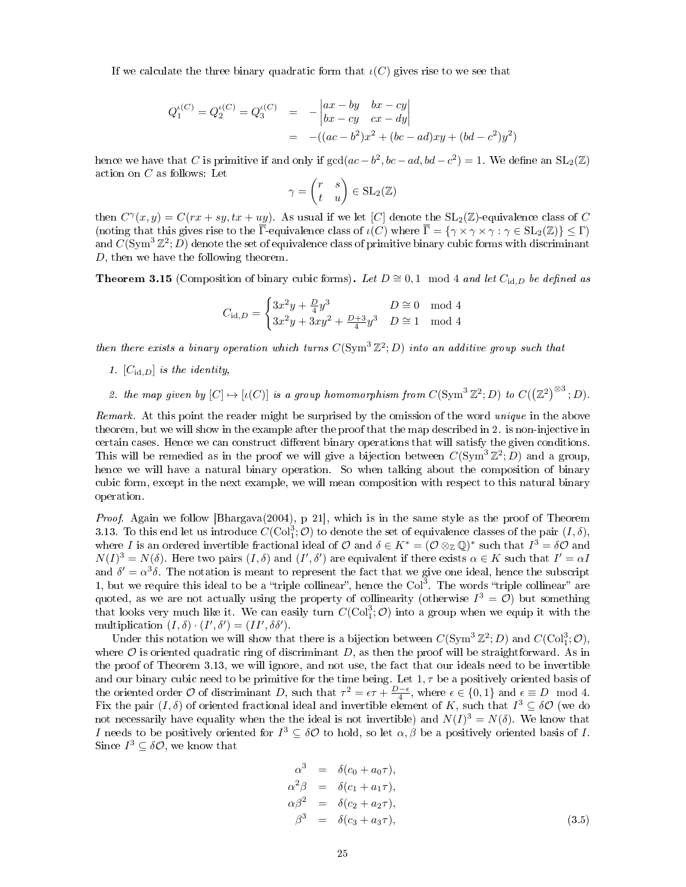If we calculate the three binary quadratic form that  $\iota(C)$  gives rise to we see that

$$
Q_1^{\iota(C)} = Q_2^{\iota(C)} = Q_3^{\iota(C)} = -\begin{vmatrix} ax - by & bx - cy \\ bx - cy & cx - dy \end{vmatrix}
$$
  
= -((ac - b<sup>2</sup>)x<sup>2</sup> + (bc - ad)xy + (bd - c<sup>2</sup>)y<sup>2</sup>)

hence we have that C is primitive if and only if  $gcd(ac - b^2, bc - ad, bd - c^2) = 1$ . We define an  $SL_2(\mathbb{Z})$ action on C as follows: Let

$$
\gamma = \begin{pmatrix} r & s \\ t & u \end{pmatrix} \in SL_2(\mathbb{Z})
$$

then  $C^{\gamma}(x, y) = C(rx + sy, tx + uy)$ . As usual if we let [C] denote the SL<sub>2</sub>(Z)-equivalence class of C (noting that this gives rise to the  $\overline{\Gamma}$ -equivalence class of  $\iota(C)$  where  $\overline{\Gamma} = \{ \gamma \times \gamma \times \gamma : \gamma \in SL_2(\mathbb{Z}) \} \leq \Gamma$ ) and  $C(\text{Sym}^3 \mathbb{Z}^2; D)$  denote the set of equivalence class of primitive binary cubic forms with discriminant D, then we have the following theorem.

**Theorem 3.15** (Composition of binary cubic forms). Let  $D \cong 0, 1 \mod 4$  and let  $C_{id,D}$  be defined as

$$
C_{\mathrm{id},D} = \begin{cases} 3x^2y + \frac{D}{4}y^3 & D \cong 0 \mod 4\\ 3x^2y + 3xy^2 + \frac{D+3}{4}y^3 & D \cong 1 \mod 4 \end{cases}
$$

then there exists a binary operation which turns  $C(\text{Sym}^{3} \mathbb{Z}^{2}; D)$  into an additive group such that

- 1.  $[C_{\mathrm{id},D}]$  is the identity,
- 2. the map given by  $[C] \mapsto [\iota(C)]$  is a group homomorphism from  $C(\mathrm{Sym}^3 \mathbb{Z}^2; D)$  to  $C((\mathbb{Z}^2)^{\otimes 3}; D)$ .

Remark. At this point the reader might be surprised by the omission of the word unique in the above theorem, but we will show in the example after the proof that the map described in 2. is non-injective in certain cases. Hence we can construct different binary operations that will satisfy the given conditions. This will be remedied as in the proof we will give a bijection between  $C(\text{Sym}^3 \mathbb{Z}^2; D)$  and a group, hence we will have a natural binary operation. So when talking about the composition of binary cubic form, except in the next example, we will mean composition with respect to this natural binary operation.

Proof. Again we follow [Bhargava(2004), p 21], which is in the same style as the proof of Theorem 3.13. To this end let us introduce  $C(\mathrm{Col}_1^3; \mathcal{O})$  to denote the set of equivalence classes of the pair  $(I, \delta)$ , where I is an ordered invertible fractional ideal of O and  $\delta \in K^* = (\mathcal{O} \otimes_{\mathbb{Z}} \mathbb{Q})^*$  such that  $I^3 = \delta \mathcal{O}$  and  $N(I)^3 = N(\delta)$ . Here two pairs  $(I, \delta)$  and  $(I', \delta')$  are equivalent if there exists  $\alpha \in K$  such that  $I' = \alpha I$ and  $\delta' = \alpha^3 \delta$ . The notation is meant to represent the fact that we give one ideal, hence the subscript 1, but we require this ideal to be a "triple collinear", hence the  $Col<sup>3</sup>$ . The words "triple collinear" are quoted, as we are not actually using the property of collinearity (otherwise  $I^3 = \mathcal{O}$ ) but something that looks very much like it. We can easily turn  $C(\mathrm{Col}^3_1; \mathcal{O})$  into a group when we equip it with the multiplication  $(I, \delta) \cdot (I', \delta') = (II', \delta \delta').$ 

Under this notation we will show that there is a bijection between  $C(\text{Sym}^3 \mathbb{Z}^2; D)$  and  $C(\text{Col}^3_1; \mathcal{O})$ , where  $\mathcal O$  is oriented quadratic ring of discriminant  $D$ , as then the proof will be straightforward. As in the proof of Theorem 3.13, we will ignore, and not use, the fact that our ideals need to be invertible and our binary cubic need to be primitive for the time being. Let  $1, \tau$  be a positively oriented basis of the oriented order O of discriminant D, such that  $\tau^2 = \epsilon \tau + \frac{D-\epsilon}{4}$ , where  $\epsilon \in \{0,1\}$  and  $\epsilon \equiv D \mod 4$ . Fix the pair  $(I, \delta)$  of oriented fractional ideal and invertible element of K, such that  $I^3 \subseteq \delta \mathcal{O}$  (we do not necessarily have equality when the the ideal is not invertible) and  $N(I)^3 = N(\delta)$ . We know that I needs to be positively oriented for  $I^3 \subseteq \delta \mathcal{O}$  to hold, so let  $\alpha, \beta$  be a positively oriented basis of I. Since  $I^3 \subseteq \delta \mathcal{O}$ , we know that

$$
\alpha^3 = \delta(c_0 + a_0\tau),
$$
  
\n
$$
\alpha^2 \beta = \delta(c_1 + a_1\tau),
$$
  
\n
$$
\alpha\beta^2 = \delta(c_2 + a_2\tau),
$$
  
\n
$$
\beta^3 = \delta(c_3 + a_3\tau),
$$
\n(3.5)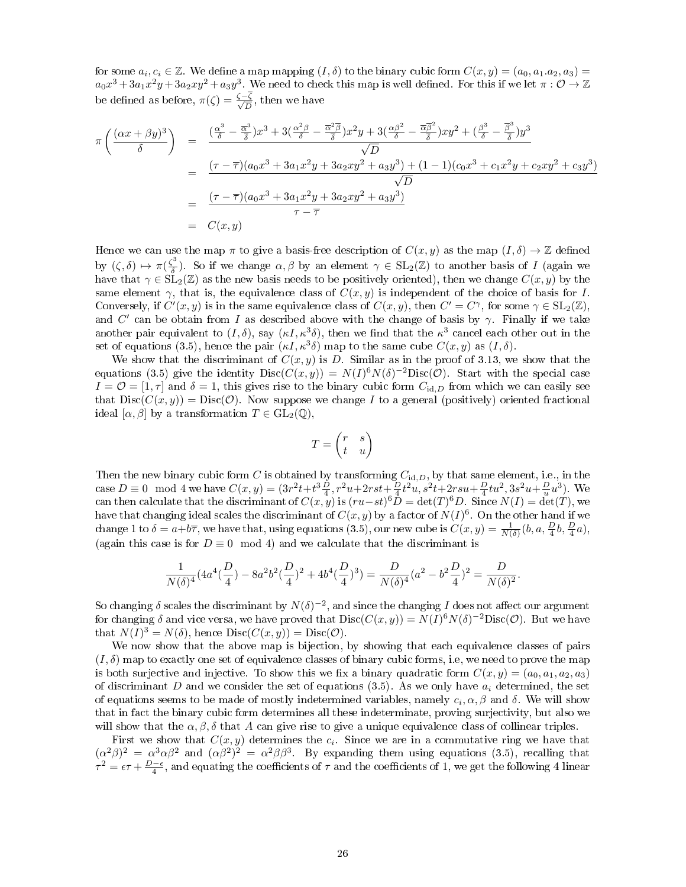for some  $a_i, c_i \in \mathbb{Z}$ . We define a map mapping  $(I, \delta)$  to the binary cubic form  $C(x, y) = (a_0, a_1.a_2, a_3)$  $a_0x^3+3a_1x^2y+3a_2xy^2+a_3y^3$ . We need to check this map is well defined. For this if we let  $\pi:\mathcal{O}\to\mathbb{Z}$ be defined as before,  $\pi(\zeta) = \frac{\zeta - \zeta}{\sqrt{D}}$ , then we have

$$
\pi \left( \frac{(\alpha x + \beta y)^3}{\delta} \right) = \frac{\left( \frac{\alpha^3}{\delta} - \frac{\overline{\alpha}^3}{\delta} \right) x^3 + 3 \left( \frac{\alpha^2 \beta}{\delta} - \frac{\overline{\alpha}^2 \overline{\beta}}{\delta} \right) x^2 y + 3 \left( \frac{\alpha \beta^2}{\delta} - \frac{\overline{\alpha} \overline{\beta}^2}{\overline{\delta}} \right) xy^2 + \left( \frac{\beta^3}{\delta} - \frac{\overline{\beta}^3}{\overline{\delta}} \right) y^3}{\sqrt{D}}
$$
\n
$$
= \frac{(\tau - \overline{\tau})(a_0 x^3 + 3a_1 x^2 y + 3a_2 x y^2 + a_3 y^3) + (1 - 1)(c_0 x^3 + c_1 x^2 y + c_2 x y^2 + c_3 y^3)}{\sqrt{D}}
$$
\n
$$
= \frac{(\tau - \overline{\tau})(a_0 x^3 + 3a_1 x^2 y + 3a_2 x y^2 + a_3 y^3)}{\tau - \overline{\tau}}
$$
\n
$$
= C(x, y)
$$

Hence we can use the map  $\pi$  to give a basis-free description of  $C(x, y)$  as the map  $(I, \delta) \to \mathbb{Z}$  defined by  $(\zeta, \delta) \mapsto \pi(\frac{\zeta^3}{\delta})$  $\frac{\sigma^3}{\delta}$ ). So if we change  $\alpha, \beta$  by an element  $\gamma \in SL_2(\mathbb{Z})$  to another basis of I (again we have that  $\gamma \in \mathrm{SL}_2(\mathbb{Z})$  as the new basis needs to be positively oriented), then we change  $C(x, y)$  by the same element  $\gamma$ , that is, the equivalence class of  $C(x, y)$  is independent of the choice of basis for I. Conversely, if  $C'(x, y)$  is in the same equivalence class of  $C(x, y)$ , then  $C' = C^{\gamma}$ , for some  $\gamma \in SL_2(\mathbb{Z})$ , and C' can be obtain from I as described above with the change of basis by  $\gamma$ . Finally if we take another pair equivalent to  $(I, \delta)$ , say  $(\kappa I, \kappa^3 \delta)$ , then we find that the  $\kappa^3$  cancel each other out in the set of equations (3.5), hence the pair  $(\kappa I, \kappa^3 \delta)$  map to the same cube  $C(x, y)$  as  $(I, \delta)$ .

We show that the discriminant of  $C(x, y)$  is D. Similar as in the proof of 3.13, we show that the equations (3.5) give the identity  $Disc(C(x, y)) = N(I)^{6}N(\delta)^{-2}Disc(\mathcal{O})$ . Start with the special case  $I = \mathcal{O} = [1, \tau]$  and  $\delta = 1$ , this gives rise to the binary cubic form  $C_{\mathrm{id},D}$  from which we can easily see that  $Disc(C(x, y)) = Disc(O)$ . Now suppose we change I to a general (positively) oriented fractional ideal  $[\alpha, \beta]$  by a transformation  $T \in GL_2(\mathbb{Q})$ .

$$
T = \begin{pmatrix} r & s \\ t & u \end{pmatrix}
$$

Then the new binary cubic form  $C$  is obtained by transforming  $C_{\text{id},D}$ , by that same element, i.e., in the case  $D \equiv 0 \mod 4$  we have  $C(x, y) = (3r^2t + t^3\frac{D}{4}, r^2u + 2rst + \frac{D}{4}t^2u, s^2t + 2rsu + \frac{D}{4}tu^2, 3s^2u + \frac{D}{u}u^3)$ . We can then calculate that the discriminant of  $C(x, y)$  is  $(ru-st)^6D = \det(T)^6D$ . Since  $N(I) = \det(T)$ , we have that changing ideal scales the discriminant of  $C(x, y)$  by a factor of  $N(I)^6$ . On the other hand if we change 1 to  $\delta = a+b\overline{\tau}$ , we have that, using equations (3.5), our new cube is  $C(x,y) = \frac{1}{N(\delta)}(b,a,\frac{D}{4}b,\frac{D}{4}a)$ , (again this case is for  $D \equiv 0 \mod 4$ ) and we calculate that the discriminant is

$$
\frac{1}{N(\delta)^4}(4a^4(\frac{D}{4})-8a^2b^2(\frac{D}{4})^2+4b^4(\frac{D}{4})^3)=\frac{D}{N(\delta)^4}(a^2-b^2\frac{D}{4})^2=\frac{D}{N(\delta)^2}.
$$

So changing  $\delta$  scales the discriminant by  $N(\delta)^{-2}$ , and since the changing I does not affect our argument for changing  $\delta$  and vice versa, we have proved that  $Disc(C(x, y)) = N(I)^6 N(\delta)^{-2} Disc(\mathcal{O})$ . But we have that  $N(I)^3 = N(\delta)$ , hence  $Disc(C(x, y)) = Disc(\mathcal{O})$ .

We now show that the above map is bijection, by showing that each equivalence classes of pairs  $(I, \delta)$  map to exactly one set of equivalence classes of binary cubic forms, i.e, we need to prove the map is both surjective and injective. To show this we fix a binary quadratic form  $C(x, y) = (a_0, a_1, a_2, a_3)$ of discriminant D and we consider the set of equations (3.5). As we only have  $a_i$  determined, the set of equations seems to be made of mostly indetermined variables, namely  $c_i$ ,  $\alpha$ ,  $\beta$  and  $\delta$ . We will show that in fact the binary cubic form determines all these indeterminate, proving surjectivity, but also we will show that the  $\alpha, \beta, \delta$  that A can give rise to give a unique equivalence class of collinear triples.

First we show that  $C(x, y)$  determines the  $c_i$ . Since we are in a commutative ring we have that  $({\alpha}^2 \beta)^2 = {\alpha}^3 {\alpha} {\beta}^2$  and  $({\alpha} {\beta}^2)^2 = {\alpha}^2 {\beta} {\beta}^3$ . By expanding them using equations (3.5), recalling that  $\tau^2 = \epsilon \tau + \frac{D-\epsilon}{4}$ , and equating the coefficients of  $\tau$  and the coefficients of 1, we get the following 4 linear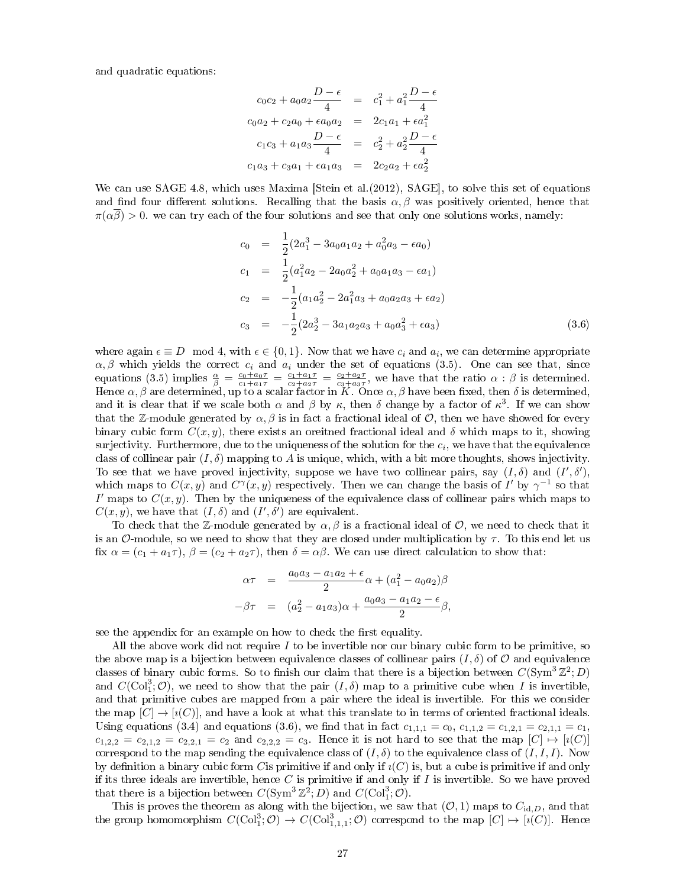and quadratic equations:

$$
c_0c_2 + a_0a_2 \frac{D - \epsilon}{4} = c_1^2 + a_1^2 \frac{D - \epsilon}{4}
$$
  
\n
$$
c_0a_2 + c_2a_0 + \epsilon a_0a_2 = 2c_1a_1 + \epsilon a_1^2
$$
  
\n
$$
c_1c_3 + a_1a_3 \frac{D - \epsilon}{4} = c_2^2 + a_2^2 \frac{D - \epsilon}{4}
$$
  
\n
$$
c_1a_3 + c_3a_1 + \epsilon a_1a_3 = 2c_2a_2 + \epsilon a_2^2
$$

We can use SAGE 4.8, which uses Maxima [Stein et al. (2012), SAGE], to solve this set of equations and find four different solutions. Recalling that the basis  $\alpha, \beta$  was positively oriented, hence that  $\pi(\alpha\beta) > 0$ . we can try each of the four solutions and see that only one solutions works, namely:

$$
c_0 = \frac{1}{2}(2a_1^3 - 3a_0a_1a_2 + a_0^2a_3 - \epsilon a_0)
$$
  
\n
$$
c_1 = \frac{1}{2}(a_1^2a_2 - 2a_0a_2^2 + a_0a_1a_3 - \epsilon a_1)
$$
  
\n
$$
c_2 = -\frac{1}{2}(a_1a_2^2 - 2a_1^2a_3 + a_0a_2a_3 + \epsilon a_2)
$$
  
\n
$$
c_3 = -\frac{1}{2}(2a_2^3 - 3a_1a_2a_3 + a_0a_3^2 + \epsilon a_3)
$$
\n(3.6)

where again  $\epsilon \equiv D \mod 4$ , with  $\epsilon \in \{0, 1\}$ . Now that we have  $c_i$  and  $a_i$ , we can determine appropriate  $\alpha, \beta$  which yields the correct  $c_i$  and  $a_i$  under the set of equations (3.5). One can see that, since equations (3.5) implies  $\frac{\alpha}{\beta} = \frac{c_0 + a_0\tau}{c_1 + a_1\tau} = \frac{c_1 + a_1\tau}{c_2 + a_2\tau} = \frac{c_2 + a_2\tau}{c_3 + a_3\tau}$ , we have that the ratio  $\alpha : \beta$  is determined. Hence  $\alpha, \beta$  are determined, up to a scalar factor in K. Once  $\alpha, \beta$  have been fixed, then  $\delta$  is determined, and it is clear that if we scale both  $\alpha$  and  $\beta$  by  $\kappa$ , then  $\delta$  change by a factor of  $\kappa^3$ . If we can show that the Z-module generated by  $\alpha$ ,  $\beta$  is in fact a fractional ideal of  $\mathcal{O}$ , then we have showed for every binary cubic form  $C(x, y)$ , there exists an oreitned fractional ideal and  $\delta$  which maps to it, showing surjectivity. Furthermore, due to the uniqueness of the solution for the  $c_i,$  we have that the equivalence class of collinear pair  $(I, \delta)$  mapping to A is unique, which, with a bit more thoughts, shows injectivity. To see that we have proved injectivity, suppose we have two collinear pairs, say  $(I, \delta)$  and  $(I', \delta')$ , which maps to  $C(x, y)$  and  $C^{\gamma}(x, y)$  respectively. Then we can change the basis of I' by  $\gamma^{-1}$  so that I' maps to  $C(x, y)$ . Then by the uniqueness of the equivalence class of collinear pairs which maps to  $C(x, y)$ , we have that  $(I, \delta)$  and  $(I', \delta')$  are equivalent.

To check that the Z-module generated by  $\alpha, \beta$  is a fractional ideal of O, we need to check that it is an O-module, so we need to show that they are closed under multiplication by  $\tau$ . To this end let us fix  $\alpha = (c_1 + a_1\tau)$ ,  $\beta = (c_2 + a_2\tau)$ , then  $\delta = \alpha\beta$ . We can use direct calculation to show that:

$$
\alpha \tau = \frac{a_0 a_3 - a_1 a_2 + \epsilon}{2} \alpha + (a_1^2 - a_0 a_2) \beta
$$

$$
-\beta \tau = (a_2^2 - a_1 a_3) \alpha + \frac{a_0 a_3 - a_1 a_2 - \epsilon}{2} \beta,
$$

see the appendix for an example on how to check the first equality.

All the above work did not require  $I$  to be invertible nor our binary cubic form to be primitive, so the above map is a bijection between equivalence classes of collinear pairs  $(I, \delta)$  of O and equivalence classes of binary cubic forms. So to finish our claim that there is a bijection between  $C(\text{Sym}^{3} \mathbb{Z}^{2}; D)$ and  $C(\text{Col}^3_1; \mathcal{O})$ , we need to show that the pair  $(I, \delta)$  map to a primitive cube when I is invertible, and that primitive cubes are mapped from a pair where the ideal is invertible. For this we consider the map  $[C] \to [i(C)]$ , and have a look at what this translate to in terms of oriented fractional ideals. Using equations (3.4) and equations (3.6), we find that in fact  $c_{1,1,1} = c_0$ ,  $c_{1,1,2} = c_{1,2,1} = c_{2,1,1} = c_1$ ,  $c_{1,2,2} = c_{2,1,2} = c_{2,2,1} = c_2$  and  $c_{2,2,2} = c_3$ . Hence it is not hard to see that the map  $[C] \mapsto [i(C)]$ correspond to the map sending the equivalence class of  $(I, \delta)$  to the equivalence class of  $(I, I, I)$ . Now by definition a binary cubic form C is primitive if and only if  $\iota(C)$  is, but a cube is primitive if and only if its three ideals are invertible, hence  $C$  is primitive if and only if  $I$  is invertible. So we have proved that there is a bijection between  $C(\text{Sym}^3 \mathbb{Z}^2; D)$  and  $C(\text{Col}_1^3; \mathcal{O})$ .

This is proves the theorem as along with the bijection, we saw that  $(0, 1)$  maps to  $C_{\text{id},D}$ , and that the group homomorphism  $C({\rm Col}_1^3; \mathcal{O}) \to C({\rm Col}_{1,1,1}^3; \mathcal{O})$  correspond to the map  $[C] \mapsto [\imath(C)]$ . Hence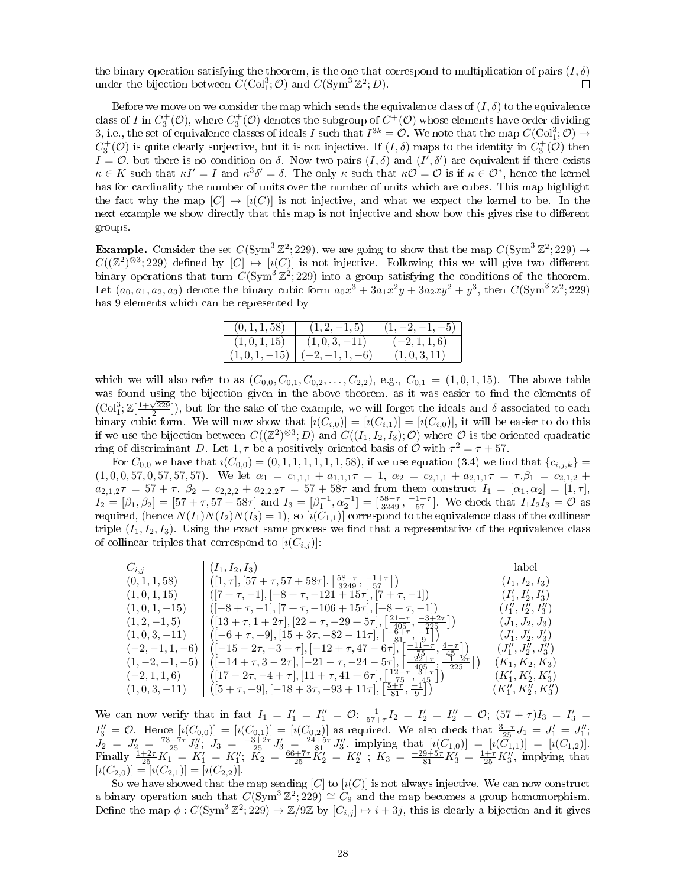the binary operation satisfying the theorem, is the one that correspond to multiplication of pairs  $(I, \delta)$ under the bijection between  $C(\text{Col}_1^3; \mathcal{O})$  and  $C(\text{Sym}^3 \mathbb{Z}^2; D)$ .  $\Box$ 

Before we move on we consider the map which sends the equivalence class of  $(I, \delta)$  to the equivalence class of I in  $C^+_3(\mathcal{O})$ , where  $C^+_3(\mathcal{O})$  denotes the subgroup of  $C^+(\mathcal{O})$  whose elements have order dividing 3, i.e., the set of equivalence classes of ideals I such that  $I^{3k} = \mathcal{O}$ . We note that the map  $C(\mathrm{Col}_1^3; \mathcal{O}) \to$  $C_3^+(\mathcal{O})$  is quite clearly surjective, but it is not injective. If  $(I,\delta)$  maps to the identity in  $C_3^+(\mathcal{O})$  then  $I = \mathcal{O}$ , but there is no condition on  $\delta$ . Now two pairs  $(I, \delta)$  and  $(I', \delta')$  are equivalent if there exists  $\kappa \in K$  such that  $\kappa I' = I$  and  $\kappa^3 \delta' = \delta$ . The only  $\kappa$  such that  $\kappa O = O$  is if  $\kappa \in O^*$ , hence the kernel has for cardinality the number of units over the number of units which are cubes. This map highlight the fact why the map  $[C] \mapsto [i(C)]$  is not injective, and what we expect the kernel to be. In the next example we show directly that this map is not injective and show how this gives rise to different groups.

**Example.** Consider the set  $C(\text{Sym}^3 \mathbb{Z}^2; 229)$ , we are going to show that the map  $C(\text{Sym}^3 \mathbb{Z}^2; 229) \rightarrow$  $C((\mathbb{Z}^2)^{\otimes 3}; 229)$  defined by  $[C] \mapsto [\imath(C)]$  is not injective. Following this we will give two different binary operations that turn  $C(\text{Sym}^3 \mathbb{Z}^2,229)$  into a group satisfying the conditions of the theorem. Let  $(a_0, a_1, a_2, a_3)$  denote the binary cubic form  $a_0x^3 + 3a_1x^2y + 3a_2xy^2 + y^3$ , then  $C(\text{Sym}^3 \mathbb{Z}^2; 229)$ has 9 elements which can be represented by

| (0, 1, 1, 58) | $(1, 2, -1, 5)$ | $(1, -2, -1, -5)$ |
|---------------|-----------------|-------------------|
| (1, 0, 1, 15) | $(1,0,3,-11)$   | $(-2, 1, 1, 6)$   |
| $(1,0,1,-15)$ | $(-2,-1,1,-6)$  | (1,0,3,11)        |

which we will also refer to as  $(C_{0,0}, C_{0,1}, C_{0,2}, \ldots, C_{2,2}),$  e.g.,  $C_{0,1} = (1, 0, 1, 15)$ . The above table was found using the bijection given in the above theorem, as it was easier to find the elements of was found using the bijection given in the above theorem, as it was easier to find the elements of  $\text{Col}_1^3; \mathbb{Z}[\frac{1+\sqrt{229}}{2}])$ , but for the sake of the example, we will forget the ideals and  $\delta$  associated to each binary cubic form. We will now show that  $[i(C_{i,0})] = [i(C_{i,1})] = [i(C_{i,0})]$ , it will be easier to do this if we use the bijection between  $C((\mathbb{Z}^2)^{\otimes 3}; D)$  and  $C((I_1,I_2,I_3); \mathcal{O})$  where  $\mathcal O$  is the oriented quadratic ring of discriminant D. Let 1,  $\tau$  be a positively oriented basis of  $\mathcal O$  with  $\tau^2 = \tau + 57$ .

For  $C_{0,0}$  we have that  $i(C_{0,0}) = (0,1,1,1,1,1,1,58)$ , if we use equation (3.4) we find that  $\{c_{i,j,k}\}$  $(1, 0, 0, 57, 0, 57, 57, 57).$  We let  $\alpha_1 = c_{1,1,1} + a_{1,1,1} \tau = 1$ ,  $\alpha_2 = c_{2,1,1} + a_{2,1,1} \tau = \tau, \beta_1 = c_{2,1,2} + \gamma$  $a_{2,1,2}\tau = 57 + \tau$ ,  $\beta_2 = c_{2,2,2} + a_{2,2,2}\tau = 57 + 58\tau$  and from them construct  $I_1 = [\alpha_1, \alpha_2] = [1, \tau]$ ,  $I_2 = [\beta_1, \beta_2] = [57 + \tau, 57 + 58\tau]$  and  $I_3 = [\beta_1^{-1}, \alpha_2^{-1}] = [\frac{58 - \tau}{3249}, \frac{-1 + \tau}{57}]$ . We check that  $I_1 I_2 I_3 = \mathcal{O}$  as required, (hence  $N(I_1)N(I_2)N(I_3) = 1$ ), so  $[\imath(C_{1,1})]$  correspond to the equivalence class of the collinear triple  $(I_1, I_2, I_3)$ . Using the exact same process we find that a representative of the equivalence class of collinear triples that correspond to  $[\imath(C_{i,j})]$ :

| $C_{i,j}$         | $(I_1, I_2, I_3)$                                                                                                                               | label                   |
|-------------------|-------------------------------------------------------------------------------------------------------------------------------------------------|-------------------------|
| (0, 1, 1, 58)     | $\sqrt{([1,\tau],[57+\tau,57+58\tau],\left[\frac{58-\tau}{3249},\frac{-1+\tau}{57}\right]}.$                                                    | $(I_1, I_2, I_3)$       |
| (1,0,1,15)        | $([7 + \tau, -1], [-8 + \tau, -121 + 15\tau], [7 + \tau, -1])$                                                                                  | $(I'_1, I'_2, I'_3)$    |
| $(1,0,1,-15)$     | $([-8 + \tau, -1], [7 + \tau, -106 + 15\tau], [-8 + \tau, -1])$                                                                                 | $(I''_1, I''_2, I''_3)$ |
| $(1, 2, -1, 5)$   | $\left( \left[13+\tau,1+2\tau\right],\left[22-\tau,-29+5\tau\right],\left\lfloor \frac{21+\tau}{405},\frac{-3+2\tau}{225}\right\rfloor \right)$ | $(J_1, J_2, J_3)$       |
| $(1,0,3,-11)$     | $\left([-6+\tau, -9], [15+3\tau, -82-11\tau], \left \frac{-6+\tau}{81}, \frac{-1}{9}\right \right)$                                             | $(J'_1, J'_2, J'_3)$    |
| $(-2,-1,1,-6)$    | $([-15-27,-3-7],[-12+\tau,47-6\tau], [\frac{-11-\tau}{75},\frac{4-\tau}{45}])$                                                                  | $(J''_1, J''_2, J''_3)$ |
| $(1, -2, -1, -5)$ | $\left([-14 + 7, 3 - 27], [-21 - 7, -24 - 57], \left[\frac{-27 + 7}{405}, \frac{-1 - 27}{225}\right]\right]$                                    | $(K_1, K_2, K_3)$       |
| $(-2,1,1,6)$      | $([17-2\tau, -4+\tau], [11+\tau, 41+6\tau], \left[\frac{12-\tau}{75}, \frac{3+\tau}{45}\right])$                                                | $(K'_1, K'_2, K'_3)$    |
| $(1,0,3,-11)$     | $([5 + \tau, -9], [-18 + 3\tau, -93 + 11\tau], \frac{5 + \tau}{81}, \frac{-1}{9})$                                                              | $(K''_1, K''_2, K''_3)$ |

We can now verify that in fact  $I_1 = I'_1 = I''_1 = \mathcal{O}$ ;  $\frac{1}{57 + 7} I_2 = I'_2 = I''_2 = \mathcal{O}$ ;  $(57 + 7)I_3 = I'_3 =$  $I_3'' = \mathcal{O}$ . Hence  $[i(C_{0,0})] = [i(C_{0,1})] = [i(C_{0,2})]$  as required. We also check that  $\frac{3-\tau}{25}J_1 = J_1' = J_1''$ ;  $J_2 = J_2' = \frac{73-7\tau}{25}J_2''; \ J_3 = \frac{-3+2\tau}{25}J_3' = \frac{24+5\tau}{81}J_3''$ , implying that  $[i(C_{1,0})] = [i(\tilde{C}_{1,1})] = [i(C_{1,2})]$ . Finally  $\frac{1+2\tau}{25}K_1 = K_1' = K_1''$ ;  $\tilde{K_2} = \frac{66+7\tau}{25} \tilde{K_2'} = K_2''$ ;  $K_3 = \frac{-29+5\tau}{81} K_3' = \frac{1+\tau}{25} K_3''$ , implying that  $[i(C_{2,0})] = [i(C_{2,1})] = [i(C_{2,2})].$ 

So we have showed that the map sending  $[C]$  to  $[\imath(C)]$  is not always injective. We can now construct a binary operation such that  $C(\text{Sym}^3 \mathbb{Z}^2; 229) \cong C_9$  and the map becomes a group homomorphism. Define the map  $\phi: C(\text{Sym}^3 \mathbb{Z}^2; 229) \to \mathbb{Z}/9\mathbb{Z}$  by  $[C_{i,j}] \mapsto i + 3j$ , this is clearly a bijection and it gives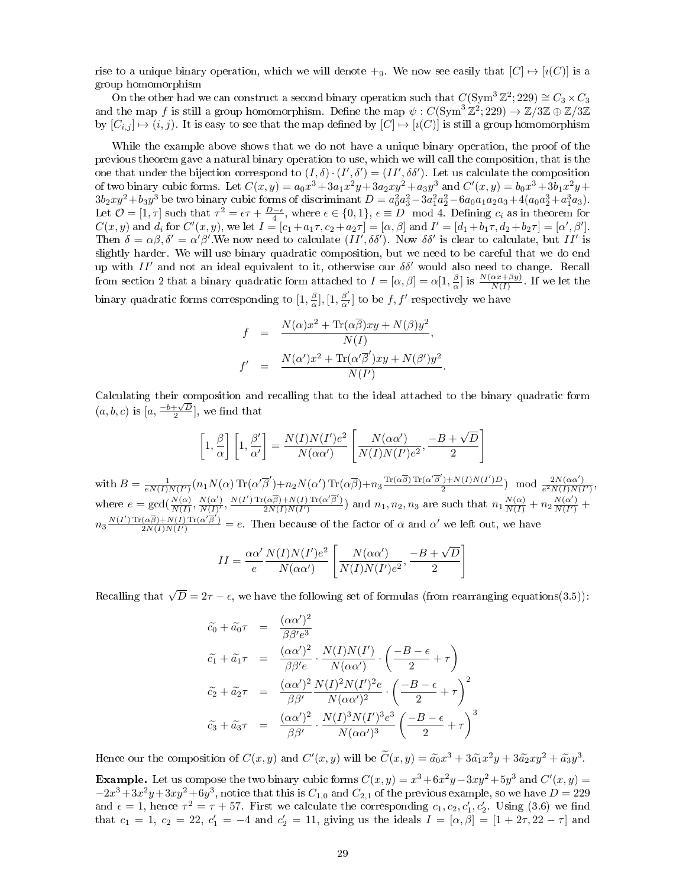rise to a unique binary operation, which we will denote  $+<sub>9</sub>$ . We now see easily that  $[C] \mapsto [i(C)]$  is a group homomorphism

On the other had we can construct a second binary operation such that  $C(\text{Sym}^3 \mathbb{Z}^2; 229) \cong C_3 \times C_3$ and the map f is still a group homomorphism. Define the map  $\psi: C(\mathrm{Sym}^3 \mathbb{Z}^2; 229) \to \mathbb{Z}/3\mathbb{Z} \oplus \mathbb{Z}/3\mathbb{Z}$ by  $[C_{i,j}] \mapsto (i, j)$ . It is easy to see that the map defined by  $[C] \mapsto [i(C)]$  is still a group homomorphism

While the example above shows that we do not have a unique binary operation, the proof of the previous theorem gave a natural binary operation to use, which we will call the composition, that is the one that under the bijection correspond to  $(I, \delta) \cdot (I', \delta') = (II', \delta \delta')$ . Let us calculate the composition of two binary cubic forms. Let  $C(x,y) = a_0x^3 + 3a_1x^2y + 3a_2xy^2 + a_3y^3$  and  $C'(x,y) = b_0x^3 + 3b_1x^2y +$  $3b_2xy^2 + b_3y^3$  be two binary cubic forms of discriminant  $D = a_0^2a_3^2 - 3a_1^2a_2^2 - 6a_0a_1a_2a_3 + 4(a_0a_2^3 + a_1^3a_3)$ . Let  $\mathcal{O} = [1, \tau]$  such that  $\tau^2 = \epsilon \tau + \frac{D-\epsilon}{4}$ , where  $\epsilon \in \{0, 1\}$ ,  $\epsilon \equiv D \mod 4$ . Defining  $c_i$  as in theorem for  $C(x, y)$  and  $d_i$  for  $C'(x, y)$ , we let  $I = [c_1 + a_1 \tau, c_2 + a_2 \tau] = [\alpha, \beta]$  and  $I' = [d_1 + b_1 \tau, d_2 + b_2 \tau] = [\alpha', \beta']$ . Then  $\delta = \alpha \beta$ ,  $\delta' = \alpha' \beta'$ . We now need to calculate  $(II', \delta \delta')$ . Now  $\delta \delta'$  is clear to calculate, but  $II'$  is slightly harder. We will use binary quadratic composition, but we need to be careful that we do end up with  $II'$  and not an ideal equivalent to it, otherwise our  $\delta\delta'$  would also need to change. Recall from section 2 that a binary quadratic form attached to  $I = [\alpha, \beta] = \alpha[1, \frac{\beta}{\alpha}]$  is  $\frac{N(\alpha x + \beta y)}{N(I)}$ . If we let the binary quadratic forms corresponding to  $[1, \frac{\beta}{\alpha}], [1, \frac{\beta'}{\alpha'}]$  $\frac{\beta'}{\alpha'}]$  to be  $f, f'$  respectively we have

$$
f = \frac{N(\alpha)x^2 + \text{Tr}(\alpha\overline{\beta})xy + N(\beta)y^2}{N(I)},
$$
  

$$
f' = \frac{N(\alpha')x^2 + \text{Tr}(\alpha'\overline{\beta}')xy + N(\beta')y^2}{N(I')}.
$$

Calculating their composition and recalling that to the ideal attached to the binary quadratic form  $(a, b, c)$  is  $[a, \frac{-b+\sqrt{D}}{2}]$ , we find that

$$
\left[1,\frac{\beta}{\alpha}\right]\left[1,\frac{\beta'}{\alpha'}\right] = \frac{N(I)N(I')e^2}{N(\alpha\alpha')}\left[\frac{N(\alpha\alpha')}{N(I)N(I')e^2},\frac{-B+\sqrt{D}}{2}\right]
$$

with  $B = \frac{1}{eN(I)N(I')}(n_1N(\alpha)\text{Tr}(\alpha'\overline{\beta}')+n_2N(\alpha')\text{Tr}(\alpha\overline{\beta})+n_3\frac{\text{Tr}(\alpha\overline{\beta})\text{Tr}(\alpha'\overline{\beta}')+N(I)N(I')D}{2}$  $\frac{1}{2}$  +N(I)N(I')D) mod  $\frac{2N(\alpha\alpha')}{e^2N(I)N(I)}$  $\frac{2N(\alpha\alpha)}{e^2N(I)N(I')},$ where  $e = \gcd(\frac{N(\alpha)}{N(I)}, \frac{N(\alpha')}{N(I)'})$  $\frac{N(\alpha')}{N(I)'}, \frac{N(I')\operatorname{Tr}(\alpha\overline{\beta})+N(I)\operatorname{Tr}(\alpha'\overline{\beta}')}{2N(I)N(I')}$  $\frac{(\alpha\overline{\beta})+N(I)\operatorname{Tr}(\alpha'\overline{\beta}')}{2N(I)N(I')}$  and  $n_1, n_2, n_3$  are such that  $n_1\frac{N(\alpha)}{N(I)}+n_2\frac{N(\alpha')}{N(I')}$  $\frac{N(\alpha)}{N(I')}$  +  $n_3 \frac{N(I') \operatorname{Tr}(\alpha \overline{\beta})+N(I) \operatorname{Tr}(\alpha' \overline{\beta}')}{2N(I)N(I')}$  $\frac{(\alpha\beta)+N(I)\text{Tr}(\alpha'\beta')}{2N(I)N(I')}$  = e. Then because of the factor of  $\alpha$  and  $\alpha'$  we left out, we have

$$
II = \frac{\alpha \alpha'}{e} \frac{N(I)N(I')e^2}{N(\alpha \alpha')} \left[ \frac{N(\alpha \alpha')}{N(I)N(I')e^2}, \frac{-B + \sqrt{D}}{2} \right]
$$

Recalling that  $\sqrt{D} = 2\tau - \epsilon$ , we have the following set of formulas (from rearranging equations(3.5)):

$$
\tilde{c}_0 + \tilde{a}_0 \tau = \frac{(\alpha \alpha')^2}{\beta \beta' e^3} \n\tilde{c}_1 + \tilde{a}_1 \tau = \frac{(\alpha \alpha')^2}{\beta \beta' e} \cdot \frac{N(I)N(I')}{N(\alpha \alpha')} \cdot \left(\frac{-B - \epsilon}{2} + \tau\right) \n\tilde{c}_2 + \tilde{a}_2 \tau = \frac{(\alpha \alpha')^2}{\beta \beta'} \frac{N(I)^2 N(I')^2 e}{N(\alpha \alpha')^2} \cdot \left(\frac{-B - \epsilon}{2} + \tau\right)^2 \n\tilde{c}_3 + \tilde{a}_3 \tau = \frac{(\alpha \alpha')^2}{\beta \beta'} \cdot \frac{N(I)^3 N(I')^3 e^3}{N(\alpha \alpha')^3} \left(\frac{-B - \epsilon}{2} + \tau\right)^3
$$

Hence our the composition of  $C(x, y)$  and  $C'(x, y)$  will be  $\tilde{C}(x, y) = \tilde{a_0}x^3 + 3\tilde{a_1}x^2y + 3\tilde{a_2}xy^2 + \tilde{a_3}y^3$ .

Example. Let us compose the two binary cubic forms  $C(x, y) = x^3 + 6x^2y - 3xy^2 + 5y^3$  and  $C'(x, y) =$  $-2x^3+3x^2y+3xy^2+6y^3$ , notice that this is  $C_{1,0}$  and  $C_{2,1}$  of the previous example, so we have  $D = 229$ and  $\epsilon = 1$ , hence  $\tau^2 = \tau + 57$ . First we calculate the corresponding  $c_1, c_2, c'_1, c'_2$ . Using (3.6) we find that  $c_1 = 1, c_2 = 22, c'_1 = -4$  and  $c'_2 = 11$ , giving us the ideals  $I = [\alpha, \beta] = [1 + 2\tau, 22 - \tau]$  and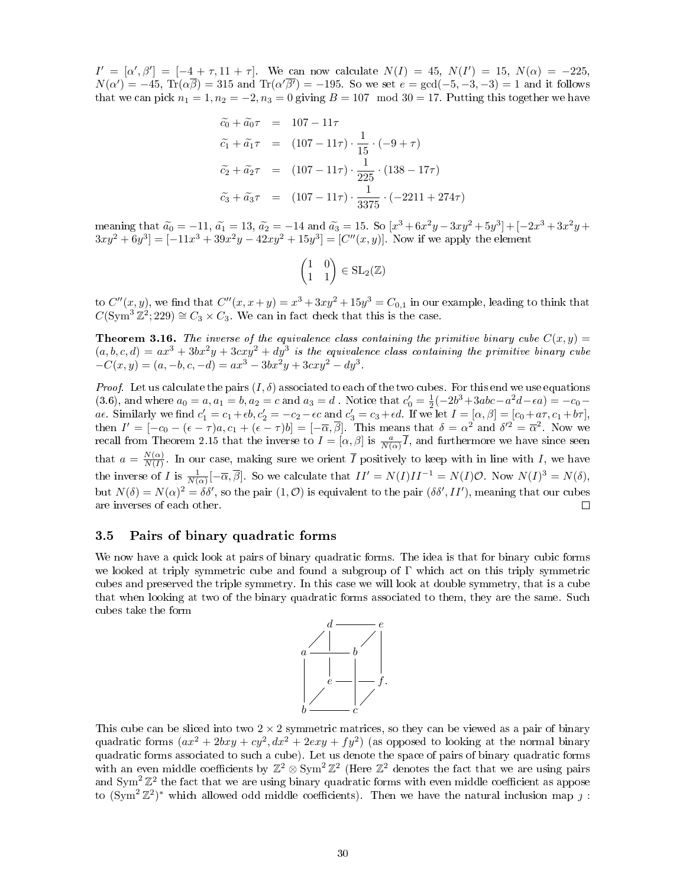$I' = [\alpha', \beta'] = [-4 + \tau, 11 + \tau]$ . We can now calculate  $N(I) = 45$ ,  $N(I') = 15$ ,  $N(\alpha) = -225$ ,  $N(\alpha') = -45$ ,  $\text{Tr}(\alpha\overline{\beta}) = 315$  and  $\text{Tr}(\alpha'\overline{\beta'}) = -195$ . So we set  $e = \text{gcd}(-5, -3, -3) = 1$  and it follows that we can pick  $n_1 = 1, n_2 = -2, n_3 = 0$  giving  $B = 107 \mod 30 = 17$ . Putting this together we have

$$
\begin{aligned}\n\tilde{c}_0 + \tilde{a}_0 \tau &= 107 - 11\tau \\
\tilde{c}_1 + \tilde{a}_1 \tau &= (107 - 11\tau) \cdot \frac{1}{15} \cdot (-9 + \tau) \\
\tilde{c}_2 + \tilde{a}_2 \tau &= (107 - 11\tau) \cdot \frac{1}{225} \cdot (138 - 17\tau) \\
\tilde{c}_3 + \tilde{a}_3 \tau &= (107 - 11\tau) \cdot \frac{1}{3375} \cdot (-2211 + 274\tau)\n\end{aligned}
$$

meaning that  $\tilde{a}_0 = -11$ ,  $\tilde{a}_1 = 13$ ,  $\tilde{a}_2 = -14$  and  $\tilde{a}_3 = 15$ . So  $[x^3 + 6x^2y - 3xy^2 + 5y^3] + [-2x^3 + 3x^2y + 3xy^2 + 5y^3]$  $3xy^{2} + 6y^{3}$ ] = [-11x<sup>3</sup> + 39x<sup>2</sup>y - 42xy<sup>2</sup> + 15y<sup>3</sup>] = [C''(x, y)]. Now if we apply the element

$$
\begin{pmatrix} 1 & 0 \\ 1 & 1 \end{pmatrix} \in SL_2(\mathbb{Z})
$$

to  $C''(x, y)$ , we find that  $C''(x, x+y) = x^3 + 3xy^2 + 15y^3 = C_{0,1}$  in our example, leading to think that  $C(\text{Sym}^3 \mathbb{Z}^2; 229) \cong C_3 \times C_3$ . We can in fact check that this is the case.

**Theorem 3.16.** The inverse of the equivalence class containing the primitive binary cube  $C(x, y) =$  $(a, b, c, d) = ax^3 + 3bx^2y + 3cxy^2 + dy^3$  is the equivalence class containing the primitive binary cube  $-C(x, y) = (a, -b, c, -d) = ax^{3} - 3bx^{2}y + 3cxy^{2} - dy^{3}.$ 

*Proof.* Let us calculate the pairs  $(I, \delta)$  associated to each of the two cubes. For this end we use equations (3.6), and where  $a_0 = a, a_1 = b, a_2 = c$  and  $a_3 = d$ . Notice that  $c'_0 = \frac{1}{2}(-2b^3 + 3abc - a^2d - \epsilon a) = -c_0$ *a* $\epsilon$ . Similarly we find  $c'_1 = c_1 + \epsilon b$ ,  $c'_2 = -c_2 - \epsilon c$  and  $c'_3 = c_3 + \epsilon d$ . If we let  $I = [\alpha, \beta] = [c_0 + a\tau, c_1 + b\tau]$ , then  $I' = [-c_0 - (\epsilon - \tau)a, c_1 + (\epsilon - \tau)b] = [-\overline{\alpha}, \overline{\beta}]$ . This means that  $\delta = \alpha^2$  and  $\delta'^2 = \overline{\alpha}^2$ . Now we recall from Theorem 2.15 that the inverse to  $I = [\alpha, \beta]$  is  $\frac{a}{N(\alpha)}\overline{I}$ , and furthermore we have since seen that  $a = \frac{N(\alpha)}{N(I)}$  $\frac{N(\alpha)}{N(I)}$ . In our case, making sure we orient  $\overline{I}$  positively to keep with in line with  $I$ , we have the inverse of I is  $\frac{1}{N(\alpha)}[-\overline{\alpha}, \overline{\beta}]$ . So we calculate that  $II' = N(I)II^{-1} = N(I)\mathcal{O}$ . Now  $N(I)^3 = N(\delta)$ , but  $N(\delta) = N(\alpha)^2 = \delta \delta'$ , so the pair  $(1, \mathcal{O})$  is equivalent to the pair  $(\delta \delta', II')$ , meaning that our cubes are inverses of each other.  $\Box$ 

#### 3.5 Pairs of binary quadratic forms

We now have a quick look at pairs of binary quadratic forms. The idea is that for binary cubic forms we looked at triply symmetric cube and found a subgroup of Γ which act on this triply symmetric cubes and preserved the triple symmetry. In this case we will look at double symmetry, that is a cube that when looking at two of the binary quadratic forms associated to them, they are the same. Such cubes take the form



This cube can be sliced into two  $2 \times 2$  symmetric matrices, so they can be viewed as a pair of binary quadratic forms  $(ax^2 + 2bxy + cy^2, dx^2 + 2exy + fy^2)$  (as opposed to looking at the normal binary quadratic forms associated to such a cube). Let us denote the space of pairs of binary quadratic forms with an even middle coefficients by  $\mathbb{Z}^2 \otimes \text{Sym}^2 \mathbb{Z}^2$  (Here  $\mathbb{Z}^2$  denotes the fact that we are using pairs and  $\text{Sym}^2 \mathbb{Z}^2$  the fact that we are using binary quadratic forms with even middle coefficient as appose to  $(\text{Sym}^2 \mathbb{Z}^2)^*$  which allowed odd middle coefficients). Then we have the natural inclusion map  $\jmath$ :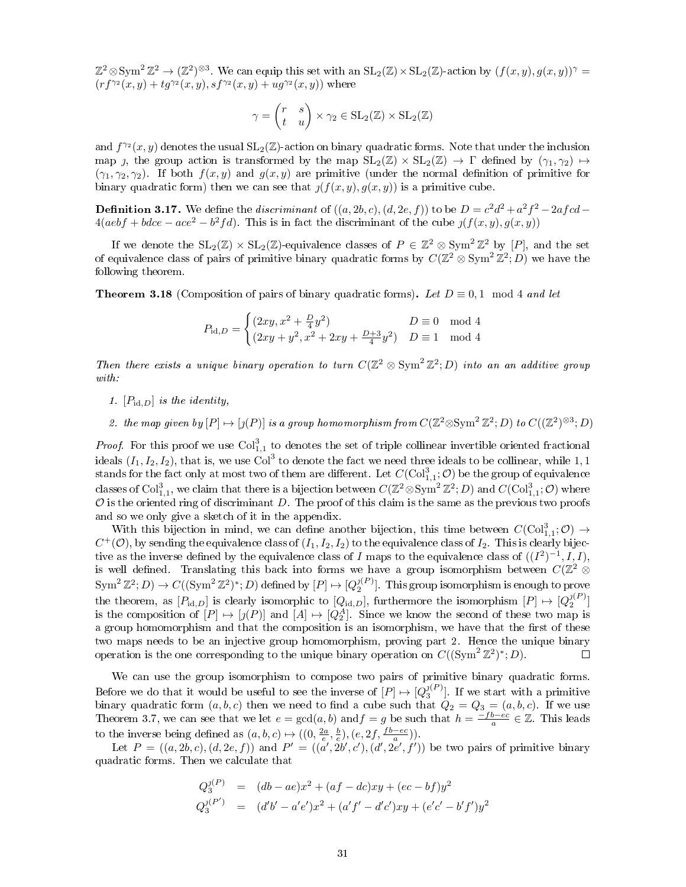$\mathbb{Z}^2 \otimes \text{Sym}^2 \mathbb{Z}^2 \to (\mathbb{Z}^2)^{\otimes 3}$ . We can equip this set with an  $\text{SL}_2(\mathbb{Z}) \times \text{SL}_2(\mathbb{Z})$ -action by  $(f(x, y), g(x, y))^{\gamma} =$  $(r f^{\gamma_2}(x, y) + t g^{\gamma_2}(x, y), s f^{\gamma_2}(x, y) + u g^{\gamma_2}(x, y))$  where

$$
\gamma = \begin{pmatrix} r & s \\ t & u \end{pmatrix} \times \gamma_2 \in SL_2(\mathbb{Z}) \times SL_2(\mathbb{Z})
$$

and  $f^{\gamma_2}(x, y)$  denotes the usual  $SL_2(\mathbb{Z})$ -action on binary quadratic forms. Note that under the inclusion map *j*, the group action is transformed by the map  $SL_2(\mathbb{Z}) \times SL_2(\mathbb{Z}) \to \Gamma$  defined by  $(\gamma_1, \gamma_2) \mapsto$  $(\gamma_1, \gamma_2, \gamma_2)$ . If both  $f(x, y)$  and  $g(x, y)$  are primitive (under the normal definition of primitive for binary quadratic form) then we can see that  $\iint (f(x, y), g(x, y))$  is a primitive cube.

**Definition 3.17.** We define the *discriminant* of  $((a, 2b, c), (d, 2e, f))$  to be  $D = c^2d^2 + a^2f^2 - 2afcd$  $4(aebf + bdec - ace^2 - b^2fd)$ . This is in fact the discriminant of the cube  $y(f(x, y), g(x, y))$ 

If we denote the  $SL_2(\mathbb{Z}) \times SL_2(\mathbb{Z})$ -equivalence classes of  $P \in \mathbb{Z}^2 \otimes Sym^2 \mathbb{Z}^2$  by  $[P]$ , and the set of equivalence class of pairs of primitive binary quadratic forms by  $C(\mathbb{Z}^2\otimes \mathrm{Sym}^2\mathbb{Z}^2;D)$  we have the following theorem.

**Theorem 3.18** (Composition of pairs of binary quadratic forms). Let  $D \equiv 0, 1 \mod 4$  and let

$$
P_{\mathrm{id},D} = \begin{cases} (2xy, x^2 + \frac{D}{4}y^2) & D \equiv 0 \mod 4\\ (2xy + y^2, x^2 + 2xy + \frac{D+3}{4}y^2) & D \equiv 1 \mod 4 \end{cases}
$$

Then there exists a unique binary operation to turn  $C(\mathbb{Z}^2 \otimes \mathrm{Sym}^2 \mathbb{Z}^2; D)$  into an an additive group with:

- 1.  $[P_{\text{id},D}]$  is the identity,
- 2. the map given by  $[P] \mapsto [\jmath(P)]$  is a group homomorphism from  $C(\mathbb{Z}^2 \otimes \text{Sym}^2 \mathbb{Z}^2; D)$  to  $C((\mathbb{Z}^2)^{\otimes 3}; D)$

*Proof.* For this proof we use  $Col_{1,1}^3$  to denotes the set of triple collinear invertible oriented fractional ideals  $(I_1, I_2, I_2)$ , that is, we use Col<sup>3</sup> to denote the fact we need three ideals to be collinear, while 1, 1 stands for the fact only at most two of them are different. Let  $C(\mathrm{Col}^3_{1,1};\mathcal{O})$  be the group of equivalence classes of  $\mathrm{Col}^3_{1,1}$ , we claim that there is a bijection between  $C(\mathbb{Z}^2 \otimes \mathrm{Sym}^2 \, \mathbb{Z}^2; D)$  and  $C(\mathrm{Col}^3_{1,1}; \mathcal{O})$  where  $O$  is the oriented ring of discriminant  $D$ . The proof of this claim is the same as the previous two proofs and so we only give a sketch of it in the appendix.

With this bijection in mind, we can define another bijection, this time between  $C(\text{Col}^3_{1,1};\mathcal{O}) \rightarrow$  $C^+(\mathcal{O})$ , by sending the equivalence class of  $(I_1,I_2,I_2)$  to the equivalence class of  $I_2$ . This is clearly bijective as the inverse defined by the equivalence class of I maps to the equivalence class of  $((I^2)^{-1}, I, I)$ , is well defined. Translating this back into forms we have a group isomorphism between  $C(\mathbb{Z}^2$   $\otimes$  $\mathrm{Sym}^2\,\mathbb{Z}^2;D)\to C((\mathrm{Sym}^2\,\mathbb{Z}^2)^*;D)$  defined by  $[P]\mapsto [Q_2^{j(P)}].$  This group isomorphism is enough to prove the theorem, as  $[P_{\text{id},D}]$  is clearly isomorphic to  $[Q_{\text{id},D}]$ , furthermore the isomorphism  $[P] \mapsto [Q_2^{j(P)}]$ is the composition of  $[P] \mapsto [j(P)]$  and  $[A] \mapsto [Q_2^A]$ . Since we know the second of these two map is a group homomorphism and that the composition is an isomorphism, we have that the first of these two maps needs to be an injective group homomorphism, proving part 2. Hence the unique binary operation is the one corresponding to the unique binary operation on  $C((\text{Sym}^2 \mathbb{Z}^2)^*; D)$ .  $\Box$ 

We can use the group isomorphism to compose two pairs of primitive binary quadratic forms. Before we do that it would be useful to see the inverse of  $[P] \mapsto [Q_3^{j(P)}]$ . If we start with a primitive binary quadratic form  $(a, b, c)$  then we need to find a cube such that  $Q_2 = Q_3 = (a, b, c)$ . If we use Theorem 3.7, we can see that we let  $e = \gcd(a, b)$  and  $f = g$  be such that  $h = \frac{-fb - ec}{a} \in \mathbb{Z}$ . This leads to the inverse being defined as  $(a, b, c) \mapsto ((0, \frac{2a}{e}, \frac{b}{e}), (e, 2f, \frac{fb-ec}{a}))$ .

Let  $P = ((a, 2b, c), (d, 2e, f))$  and  $P' = ((a', 2b', c'), (d', 2e', f'))$  be two pairs of primitive binary quadratic forms. Then we calculate that

$$
Q_3^{j(P)} = (db - ae)x^2 + (af - dc)xy + (ec - bf)y^2
$$
  
\n
$$
Q_3^{j(P')} = (d'b' - a'e')x^2 + (a'f' - d'c')xy + (e'c' - b'f')y^2
$$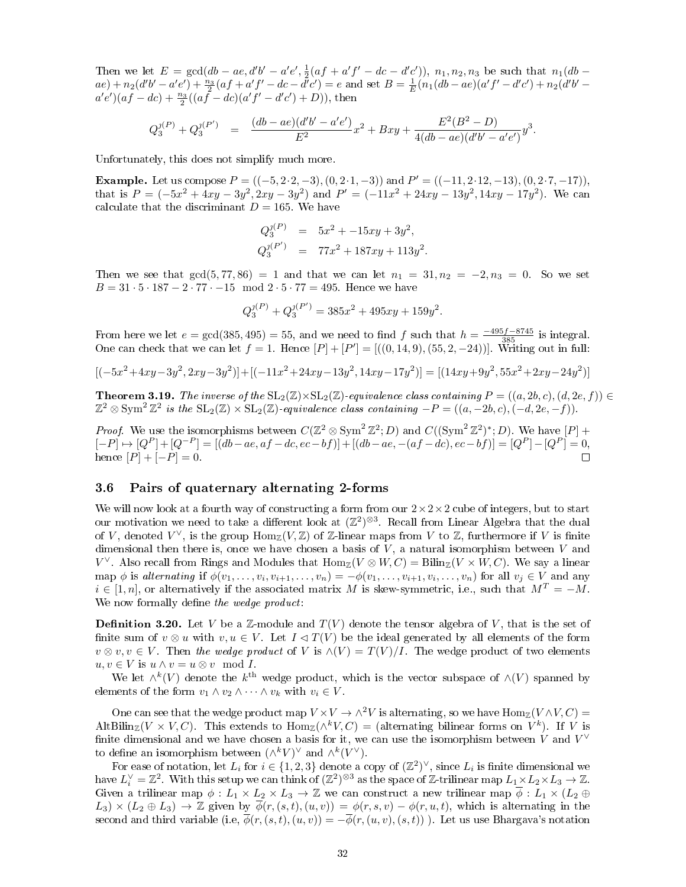Then we let  $E = \gcd(db - ae, d'b' - a'e', \frac{1}{2}(af + a'f' - dc - d'c'))$ ,  $n_1, n_2, n_3$  be such that  $n_1(db - a'c')$  $ae) + n_2(d'b' - a'e') + \frac{n_3}{2}(af + a'f' - dc - d'c') = e$  and set  $B = \frac{1}{E}(n_1(db - ae)(a'f' - d'c') + n_2(d'b' - d'c')$  $a'e'$ ) $(af - dc) + \frac{n_3}{2}((af - dc)(a'f' - d'c') + D)$ ), then

$$
Q_3^{j(P)} + Q_3^{j(P')} = \frac{(db - ae)(d'b' - a'e')}{E^2}x^2 + Bxy + \frac{E^2(B^2 - D)}{4(db - ae)(d'b' - a'e')}y^3.
$$

Unfortunately, this does not simplify much more.

**Example.** Let us compose  $P = ((-5, 2 \cdot 2, -3), (0, 2 \cdot 1, -3))$  and  $P' = ((-11, 2 \cdot 12, -13), (0, 2 \cdot 7, -17))$ , that is  $P = (-5x^2 + 4xy - 3y^2, 2xy - 3y^2)$  and  $P' = (-11x^2 + 24xy - 13y^2, 14xy - 17y^2)$ . We can calculate that the discriminant  $D = 165$ . We have

$$
Q_3^{j(P)} = 5x^2 + -15xy + 3y^2,
$$
  
\n
$$
Q_3^{j(P')} = 77x^2 + 187xy + 113y^2.
$$

Then we see that  $gcd(5, 77, 86) = 1$  and that we can let  $n_1 = 31, n_2 = -2, n_3 = 0$ . So we set  $B = 31 \cdot 5 \cdot 187 - 2 \cdot 77 \cdot -15 \mod 2 \cdot 5 \cdot 77 = 495$ . Hence we have

$$
Q_3^{j(P)} + Q_3^{j(P')} = 385x^2 + 495xy + 159y^2.
$$

From here we let  $e = \gcd(385, 495) = 55$ , and we need to find f such that  $h = \frac{-495f - 8745}{385}$  is integral. One can check that we can let  $f = 1$ . Hence  $[P] + [P'] = [((0, 14, 9), (55, 2, -24))]$ . Writing out in full:

$$
[(-5x^2+4xy-3y^2,2xy-3y^2)]+[(-11x^2+24xy-13y^2,14xy-17y^2)]=[(14xy+9y^2,55x^2+2xy-24y^2)]
$$

**Theorem 3.19.** The inverse of the  $SL_2(\mathbb{Z})\times SL_2(\mathbb{Z})$ -equivalence class containing  $P = ((a, 2b, c), (d, 2e, f)) \in$  $\mathbb{Z}^2 \otimes \text{Sym}^2 \, \mathbb{Z}^2$  is the  $\text{SL}_2(\mathbb{Z}) \times \text{SL}_2(\mathbb{Z})$ -equivalence class containing  $-P = ((a, -2b, c), (-d, 2e, -f)).$ 

*Proof.* We use the isomorphisms between  $C(\mathbb{Z}^2 \otimes \text{Sym}^2 \mathbb{Z}^2; D)$  and  $C((\text{Sym}^2 \mathbb{Z}^2)^*; D)$ . We have  $[P]$  +  $[-P] \rightarrow [Q^P] + [Q^{-P}] = [(db - ae, af - dc, ec - bf)] + [(db - ae, -(af - dc), ec - bf)] = [Q^P] - [Q^P] = 0,$ hence  $[P] + [-P] = 0$ .  $\Box$ 

#### 3.6 Pairs of quaternary alternating 2-forms

We will now look at a fourth way of constructing a form from our  $2 \times 2 \times 2$  cube of integers, but to start our motivation we need to take a different look at  $(\mathbb{Z}^2)^{\otimes 3}$ . Recall from Linear Algebra that the dual of V, denoted  $V^{\vee}$ , is the group  $\text{Hom}_{\mathbb{Z}}(V,\mathbb{Z})$  of Z-linear maps from V to Z, furthermore if V is finite dimensional then there is, once we have chosen a basis of  $V$ , a natural isomorphism between  $V$  and  $V^{\vee}$ . Also recall from Rings and Modules that  $\text{Hom}_{\mathbb{Z}}(V \otimes W, C) = \text{Bilim}_{\mathbb{Z}}(V \times W, C)$ . We say a linear map  $\phi$  is alternating if  $\phi(v_1,\ldots,v_i,v_{i+1},\ldots,v_n) = -\phi(v_1,\ldots,v_{i+1},v_i,\ldots,v_n)$  for all  $v_j \in V$  and any  $i \in [1, n]$ , or alternatively if the associated matrix M is skew-symmetric, i.e., such that  $M<sup>T</sup> = -M$ . We now formally define the wedge product:

**Definition 3.20.** Let V be a  $\mathbb{Z}$ -module and  $T(V)$  denote the tensor algebra of V, that is the set of finite sum of  $v \otimes u$  with  $v, u \in V$ . Let  $I \triangleleft T(V)$  be the ideal generated by all elements of the form  $v \otimes v, v \in V$ . Then the wedge product of V is  $\wedge$ (V) =  $T(V)/I$ . The wedge product of two elements  $u, v \in V$  is  $u \wedge v = u \otimes v \mod I$ .

We let  $\wedge^k(V)$  denote the  $k^{\text{th}}$  wedge product, which is the vector subspace of  $\wedge(V)$  spanned by elements of the form  $v_1 \wedge v_2 \wedge \cdots \wedge v_k$  with  $v_i \in V$ .

One can see that the wedge product map  $V \times V \to \wedge^2 V$  is alternating, so we have  $\text{Hom}_{\mathbb{Z}}(V \wedge V, C)$  = AltBilin<sub>Z</sub>( $V \times V$ , C). This extends to  $\text{Hom}_{\mathbb{Z}}(\wedge^k V, C) =$  (alternating bilinear forms on  $V^k$ ). If V is finite dimensional and we have chosen a basis for it, we can use the isomorphism between V and  $V^{\vee}$ to define an isomorphism between  $(\wedge^k V)^\vee$  and  $\wedge^k (V^\vee)$ .

For ease of notation, let  $L_i$  for  $i \in \{1, 2, 3\}$  denote a copy of  $(\mathbb{Z}^2)^{\vee}$ , since  $L_i$  is finite dimensional we have  $L_i^{\vee} = \mathbb{Z}^2$ . With this setup we can think of  $(\mathbb{Z}^2)^{\otimes 3}$  as the space of Z-trilinear map  $L_1 \times L_2 \times L_3 \to \mathbb{Z}$ . Given a trilinear map  $\phi: L_1 \times L_2 \times L_3 \to \mathbb{Z}$  we can construct a new trilinear map  $\overline{\phi}: L_1 \times (L_2 \oplus L_3)$  $L_3 \times (L_2 \oplus L_3) \to \mathbb{Z}$  given by  $\overline{\phi}(r,(s,t),(u,v)) = \phi(r,s,v) - \phi(r,u,t)$ , which is alternating in the second and third variable (i.e,  $\phi(r,(s,t),(u,v)) = -\overline{\phi}(r,(u,v),(s,t))$ ). Let us use Bhargava's notation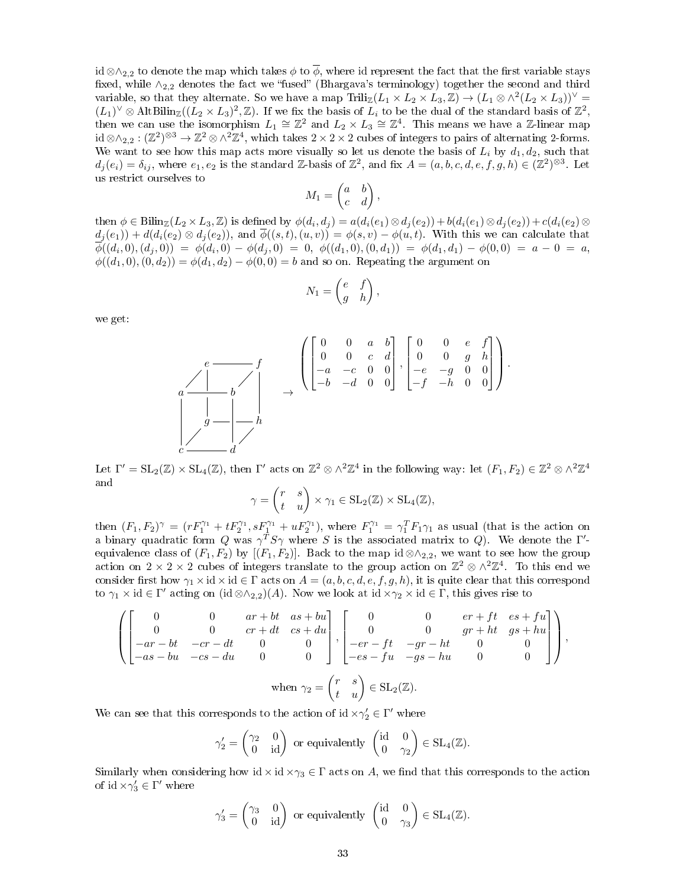id ⊗∧<sub>2,2</sub> to denote the map which takes  $\phi$  to  $\overline{\phi}$ , where id represent the fact that the first variable stays fixed, while  $\wedge_{2,2}$  denotes the fact we "fused" (Bhargava's terminology) together the second and third variable, so that they alternate. So we have a map  $\text{Triliz}(L_1 \times L_2 \times L_3, \mathbb{Z}) \to (L_1 \otimes \wedge^2 (L_2 \times L_3))^{\vee}$  $(L_1)^{\vee} \otimes \text{AltBilin}_{\mathbb{Z}}((L_2 \times L_3)^2, \mathbb{Z})$ . If we fix the basis of  $L_i$  to be the dual of the standard basis of  $\mathbb{Z}^2$ , then we can use the isomorphism  $L_1 \cong \mathbb{Z}^2$  and  $L_2 \times L_3 \cong \mathbb{Z}^4$ . This means we have a  $\mathbb{Z}$ -linear map  $\mathrm{id} \otimes \wedge_{2,2} : (\mathbb{Z}^2)^{\otimes 3} \to \mathbb{Z}^2 \otimes \wedge^2 \mathbb{Z}^4$ , which takes  $2 \times 2 \times 2$  cubes of integers to pairs of alternating 2-forms. We want to see how this map acts more visually so let us denote the basis of  $L_i$  by  $d_1, d_2$ , such that  $d_j(e_i) = \delta_{ij}$ , where  $e_1, e_2$  is the standard Z-basis of  $\mathbb{Z}^2$ , and fix  $A = (a, b, c, d, e, f, g, h) \in (\mathbb{Z}^2)^{\otimes 3}$ . Let us restrict ourselves to

$$
M_1 = \begin{pmatrix} a & b \\ c & d \end{pmatrix},
$$

then  $\phi \in \text{Bilin}_{\mathbb{Z}}(L_2 \times L_3, \mathbb{Z})$  is defined by  $\phi(d_i, d_j) = a(d_i(e_1) \otimes d_j(e_2)) + b(d_i(e_1) \otimes d_j(e_2)) + c(d_i(e_2) \otimes d_j(e_1))$  $d_j(e_1))+d(d_i(e_2)\otimes d_j(e_2)),$  and  $\overline{\phi}((s,t),(u,v))=\phi(s,v)-\phi(u,t).$  With this we can calculate that  $\overline{\phi}((d_i,0),(d_j,0)) \;=\; \phi(d_i,0) \,-\, \phi(d_j,0) \;=\; 0,\; \phi((d_1,0),(0,d_1)) \;=\; \phi(d_1,d_1) \,-\, \phi(0,0) \;=\; a \,-\, 0 \;=\; a,$  $\phi((d_1, 0), (0, d_2)) = \phi(d_1, d_2) - \phi(0, 0) = b$  and so on. Repeating the argument on

$$
N_1 = \begin{pmatrix} e & f \\ g & h \end{pmatrix},
$$

we get:



Let  $\Gamma' = SL_2(\mathbb{Z}) \times SL_4(\mathbb{Z})$ , then  $\Gamma'$  acts on  $\mathbb{Z}^2 \otimes \wedge^2 \mathbb{Z}^4$  in the following way: let  $(F_1, F_2) \in \mathbb{Z}^2 \otimes \wedge^2 \mathbb{Z}^4$ and

$$
\gamma = \begin{pmatrix} r & s \\ t & u \end{pmatrix} \times \gamma_1 \in \mathrm{SL}_2(\mathbb{Z}) \times \mathrm{SL}_4(\mathbb{Z}),
$$

then  $(F_1, F_2)^\gamma = (r F_1^{\gamma_1} + t F_2^{\gamma_1}, s F_1^{\gamma_1} + u F_2^{\gamma_1})$ , where  $F_1^{\gamma_1} = \gamma_1^T F_1 \gamma_1$  as usual (that is the action on a binary quadratic form Q was  $\gamma^T S \gamma$  where S is the associated matrix to Q). We denote the  $\Gamma'$ equivalence class of  $(F_1, F_2)$  by  $[(F_1, F_2)]$ . Back to the map id ⊗∧<sub>2,2</sub>, we want to see how the group action on  $2 \times 2 \times 2$  cubes of integers translate to the group action on  $\mathbb{Z}^2 \otimes \wedge^2 \mathbb{Z}^4$ . To this end we consider first how  $\gamma_1 \times id \times id \in \Gamma$  acts on  $A = (a, b, c, d, e, f, g, h)$ , it is quite clear that this correspond to  $\gamma_1 \times id \in \Gamma'$  acting on  $(id \otimes \wedge_{2,2})(A)$ . Now we look at  $id \times \gamma_2 \times id \in \Gamma$ , this gives rise to

$$
\left( \begin{bmatrix} 0 & 0 & ar + bt & as + bu \\ 0 & 0 & cr + dt & cs + du \\ -ar - bt & -cr - dt & 0 & 0 \\ -as - bu & -cs - du & 0 & 0 \end{bmatrix}, \begin{bmatrix} 0 & 0 & er + ft & es + fu \\ 0 & 0 & gr + ht & gs + hu \\ -er - ft & -gr - ht & 0 & 0 \\ -es - fu & -gs - hu & 0 & 0 \end{bmatrix} \right),
$$
  
when  $\gamma_2 = \begin{pmatrix} r & s \\ t & u \end{pmatrix} \in SL_2(\mathbb{Z}).$ 

We can see that this corresponds to the action of  $id \times \gamma_2' \in \Gamma'$  where

$$
\gamma_2' = \begin{pmatrix} \gamma_2 & 0 \\ 0 & \mathrm{id} \end{pmatrix} \text{ or equivalently } \begin{pmatrix} \mathrm{id} & 0 \\ 0 & \gamma_2 \end{pmatrix} \in \mathrm{SL}_4(\mathbb{Z}).
$$

Similarly when considering how id  $\times$  id  $\times\gamma_3 \in \Gamma$  acts on A, we find that this corresponds to the action of  $\operatorname{id}\times \gamma_3'\in \Gamma'$  where

$$
\gamma'_3 = \begin{pmatrix} \gamma_3 & 0 \\ 0 & \text{id} \end{pmatrix}
$$
 or equivalently  $\begin{pmatrix} \text{id} & 0 \\ 0 & \gamma_3 \end{pmatrix} \in SL_4(\mathbb{Z}).$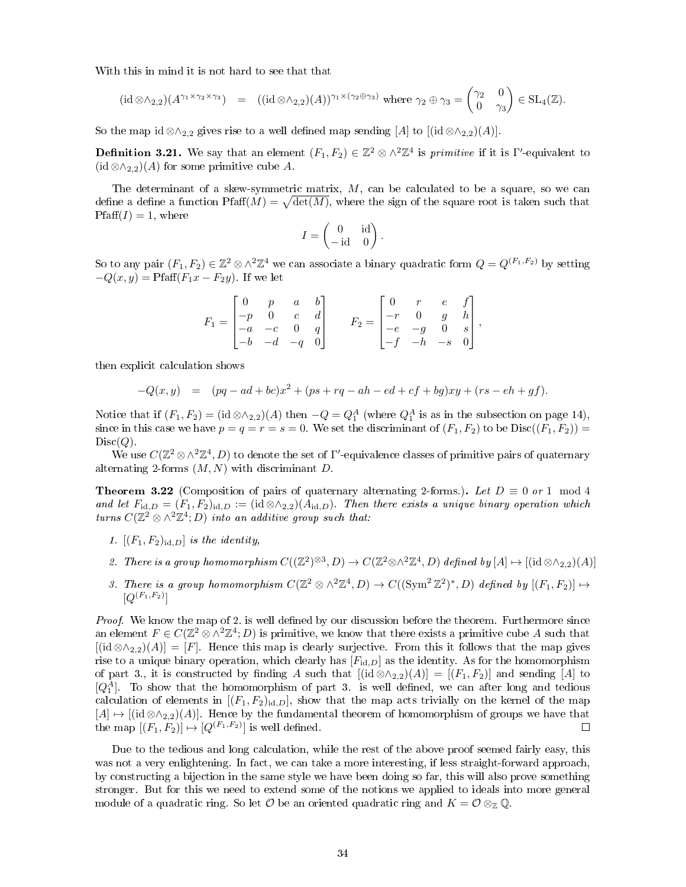With this in mind it is not hard to see that that

$$
(\mathrm{id}\otimes\wedge_{2,2})(A^{\gamma_1\times\gamma_2\times\gamma_3})\quad =\quad ((\mathrm{id}\otimes\wedge_{2,2})(A))^{\gamma_1\times(\gamma_2\oplus\gamma_3)}\text{ where }\gamma_2\oplus\gamma_3=\begin{pmatrix}\gamma_2&0\\0&\gamma_3\end{pmatrix}\in\mathrm{SL}_4(\mathbb{Z}).
$$

So the map id ⊗∧<sub>2,2</sub> gives rise to a well defined map sending [A] to  $[(id \otimes \wedge_{2,2})(A)]$ .

**Definition 3.21.** We say that an element  $(F_1, F_2) \in \mathbb{Z}^2 \otimes \wedge^2 \mathbb{Z}^4$  is *primitive* if it is Γ'-equivalent to  $(id \otimes \wedge_{2,2})(A)$  for some primitive cube A.

The determinant of a skew-symmetric matrix, M, can be calculated to be a square, so we can define a define a function  $\text{Pfaff}(M) = \sqrt{\text{det}(M)}$ , where the sign of the square root is taken such that  $\text{Pfaff}(I) = 1$ , where

$$
I = \begin{pmatrix} 0 & \text{id} \\ -\text{id} & 0 \end{pmatrix}.
$$

So to any pair  $(F_1, F_2) \in \mathbb{Z}^2 \otimes \wedge^2 \mathbb{Z}^4$  we can associate a binary quadratic form  $Q = Q^{(F_1, F_2)}$  by setting  $-Q(x, y) = Pfaff(F_1x - F_2y)$ . If we let

$$
F_1 = \begin{bmatrix} 0 & p & a & b \\ -p & 0 & c & d \\ -a & -c & 0 & q \\ -b & -d & -q & 0 \end{bmatrix} \qquad F_2 = \begin{bmatrix} 0 & r & e & f \\ -r & 0 & g & h \\ -e & -g & 0 & s \\ -f & -h & -s & 0 \end{bmatrix},
$$

then explicit calculation shows

$$
-Q(x,y) = (pq - ad + bc)x^{2} + (ps + rq - ah - ed + cf + bg)xy + (rs - eh + gf).
$$

Notice that if  $(F_1, F_2) = (\text{id} \otimes \wedge_{2,2})(A)$  then  $-Q = Q_1^A$  (where  $Q_1^A$  is as in the subsection on page 14), since in this case we have  $p = q = r = s = 0$ . We set the discriminant of  $(F_1, F_2)$  to be  $Disc((F_1, F_2))$  $Disc(Q)$ .

We use  $C(\mathbb{Z}^2\otimes\wedge^2\mathbb{Z}^4, D)$  to denote the set of  $\Gamma'$ -equivalence classes of primitive pairs of quaternary alternating 2-forms  $(M, N)$  with discriminant D.

**Theorem 3.22** (Composition of pairs of quaternary alternating 2-forms.). Let  $D \equiv 0$  or 1 mod 4 and let  $F_{\text{id},D} = (F_1, F_2)_{\text{id},D} := (\text{id} \otimes \wedge_{2,2})(A_{\text{id},D})$ . Then there exists a unique binary operation which turns  $C(\mathbb{Z}^2\otimes\wedge^2\mathbb{Z}^4;D)$  into an additive group such that:

- 1.  $[(F_1, F_2)_{id,D}]$  is the identity,
- 2. There is a group homomorphism  $C((\mathbb{Z}^2)^{\otimes 3}, D) \to C(\mathbb{Z}^2 \otimes \wedge^2 \mathbb{Z}^4, D)$  defined by  $[A] \mapsto [(id \otimes \wedge_{2,2})(A)]$
- 3. There is a group homomorphism  $C(\mathbb{Z}^2 \otimes \wedge^2 \mathbb{Z}^4, D) \to C((\text{Sym}^2 \mathbb{Z}^2)^*, D)$  defined by  $[(F_1, F_2)] \mapsto$  $[Q^{(F_1,F_2)}]$

Proof. We know the map of 2. is well defined by our discussion before the theorem. Furthermore since an element  $F \in C(\mathbb{Z}^2 \otimes \wedge^2 \mathbb{Z}^4; D)$  is primitive, we know that there exists a primitive cube A such that  $[(id \otimes \wedge_{2,2})(A)] = [F]$ . Hence this map is clearly surjective. From this it follows that the map gives rise to a unique binary operation, which clearly has  $[F_{id,D}]$  as the identity. As for the homomorphism of part 3., it is constructed by finding A such that  $[(id \otimes \wedge_{2,2})(A)] = [(F_1, F_2)]$  and sending [A] to  $[Q_1^A]$ . To show that the homomorphism of part 3. is well defined, we can after long and tedious calculation of elements in  $[(F_1, F_2)_{id,D}]$ , show that the map acts trivially on the kernel of the map  $[A] \mapsto [(id \otimes \wedge_{2,2})(A)]$ . Hence by the fundamental theorem of homomorphism of groups we have that the map  $[(F_1, F_2)] \mapsto [Q^{(F_1, F_2)}]$  is well defined.  $\Box$ 

Due to the tedious and long calculation, while the rest of the above proof seemed fairly easy, this was not a very enlightening. In fact, we can take a more interesting, if less straight-forward approach, by constructing a bijection in the same style we have been doing so far, this will also prove something stronger. But for this we need to extend some of the notions we applied to ideals into more general module of a quadratic ring. So let  $\mathcal O$  be an oriented quadratic ring and  $K = \mathcal O \otimes_{\mathbb Z} \mathbb Q$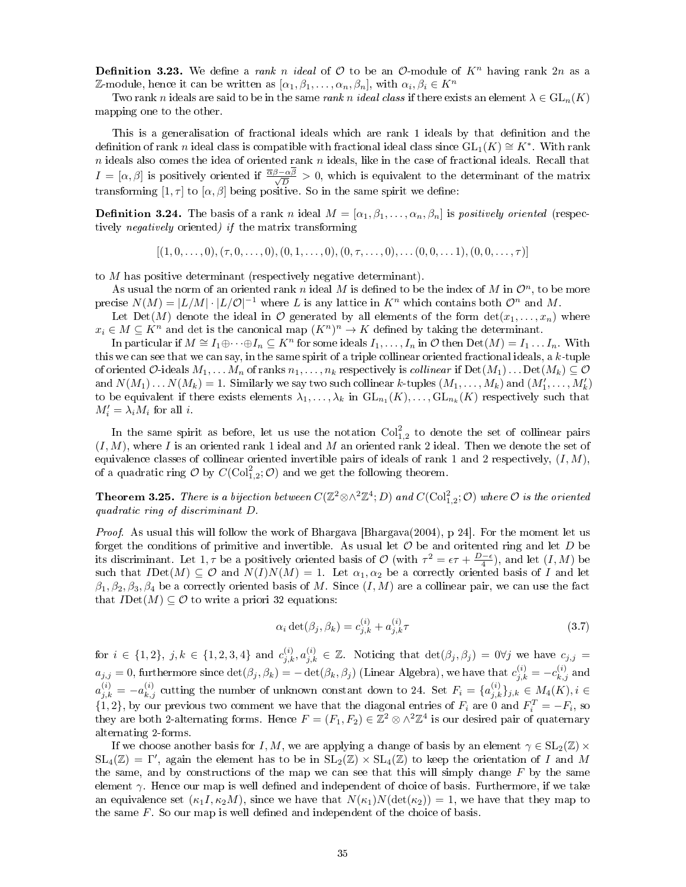**Definition 3.23.** We define a rank n ideal of  $\mathcal{O}$  to be an  $\mathcal{O}$ -module of  $K^n$  having rank  $2n$  as a Z-module, hence it can be written as  $[\alpha_1, \beta_1, \ldots, \alpha_n, \beta_n]$ , with  $\alpha_i, \beta_i \in K^n$ 

Two rank n ideals are said to be in the same rank n ideal class if there exists an element  $\lambda \in GL_n(K)$ mapping one to the other.

This is a generalisation of fractional ideals which are rank 1 ideals by that definition and the definition of rank n ideal class is compatible with fractional ideal class since  $\mathrm{GL}_1(K)\cong K^*.$  With rank  $n$  ideals also comes the idea of oriented rank  $n$  ideals, like in the case of fractional ideals. Recall that  $I = [\alpha, \beta]$  is positively oriented if  $\frac{\overline{\alpha}\beta - \alpha\beta}{\sqrt{D}} > 0$ , which is equivalent to the determinant of the matrix transforming  $[1, \tau]$  to  $[\alpha, \beta]$  being positive. So in the same spirit we define:

**Definition 3.24.** The basis of a rank n ideal  $M = [\alpha_1, \beta_1, \dots, \alpha_n, \beta_n]$  is positively oriented (respectively negatively oriented) if the matrix transforming

 $[(1, 0, \ldots, 0), (\tau, 0, \ldots, 0), (0, 1, \ldots, 0), (0, \tau, \ldots, 0), \ldots (0, 0, \ldots, 1), (0, 0, \ldots, \tau)]$ 

to M has positive determinant (respectively negative determinant).

As usual the norm of an oriented rank n ideal M is defined to be the index of M in  $\mathcal{O}^n$ , to be more precise  $N(M) = |L/M| \cdot |L/\mathcal{O}|^{-1}$  where L is any lattice in  $K^n$  which contains both  $\mathcal{O}^n$  and M.

Let Det(M) denote the ideal in  $\mathcal O$  generated by all elements of the form  $\det(x_1, \ldots, x_n)$  where  $x_i \in M \subseteq K^n$  and det is the canonical map  $(K^n)^n \to K$  defined by taking the determinant.

In particular if  $M \cong I_1 \oplus \cdots \oplus I_n \subseteq K^n$  for some ideals  $I_1, \ldots, I_n$  in  $\mathcal O$  then  $\mathrm{Det}(M) = I_1 \ldots I_n$ . With this we can see that we can say, in the same spirit of a triple collinear oriented fractional ideals, a  $k$ -tuple of oriented O-ideals  $M_1, \ldots, M_n$  of ranks  $n_1, \ldots, n_k$  respectively is *collinear* if  $Det(M_1) \ldots Det(M_k) \subseteq \mathcal{O}$ and  $N(M_1) \ldots N(M_k) = 1$ . Similarly we say two such collinear k-tuples  $(M_1, \ldots, M_k)$  and  $(M'_1, \ldots, M'_k)$ to be equivalent if there exists elements  $\lambda_1,\ldots,\lambda_k$  in  $\mathrm{GL}_{n_1}(K),\ldots,\mathrm{GL}_{n_k}(K)$  respectively such that  $M'_i = \lambda_i M_i$  for all *i*.

In the same spirit as before, let us use the notation  $Col<sub>1,2</sub><sup>2</sup>$  to denote the set of collinear pairs  $(I, M)$ , where I is an oriented rank 1 ideal and M an oriented rank 2 ideal. Then we denote the set of equivalence classes of collinear oriented invertible pairs of ideals of rank 1 and 2 respectively,  $(I, M)$ , of a quadratic ring  $\mathcal{O}$  by  $C(\text{Col}_{1,2}^2; \mathcal{O})$  and we get the following theorem.

**Theorem 3.25.** There is a bijection between  $C(\mathbb{Z}^2 \otimes \wedge^2 \mathbb{Z}^4; D)$  and  $C(\mathrm{Col}^2_{1,2}; \mathcal{O})$  where  $\mathcal O$  is the oriented quadratic ring of discriminant D.

Proof. As usual this will follow the work of Bhargava [Bhargava (2004), p 24]. For the moment let us forget the conditions of primitive and invertible. As usual let  $\mathcal O$  be and oritented ring and let  $D$  be its discriminant. Let  $1, \tau$  be a positively oriented basis of  $\mathcal{O}$  (with  $\tau^2 = \epsilon \tau + \frac{D-\epsilon}{4}$ ), and let  $(I, M)$  be such that  $I\mathrm{Det}(M) \subseteq \mathcal{O}$  and  $N(I)N(M) = 1$ . Let  $\alpha_1, \alpha_2$  be a correctly oriented basis of I and let  $\beta_1, \beta_2, \beta_3, \beta_4$  be a correctly oriented basis of M. Since  $(I, M)$  are a collinear pair, we can use the fact that  $I\mathrm{Det}(M) \subseteq \mathcal{O}$  to write a priori 32 equations:

$$
\alpha_i \det(\beta_j, \beta_k) = c_{j,k}^{(i)} + a_{j,k}^{(i)} \tau \tag{3.7}
$$

for  $i \in \{1,2\}, j,k \in \{1,2,3,4\}$  and  $c_{j,k}^{(i)}, a_{j,k}^{(i)} \in \mathbb{Z}$ . Noticing that  $\det(\beta_j, \beta_j) = 0 \forall j$  we have  $c_{j,j} =$  $a_{j,j} = 0$ , furthermore since  $\det(\beta_j, \beta_k) = -\det(\beta_k, \beta_j)$  (Linear Algebra), we have that  $c_{j,k}^{(i)} = -c_{k,j}^{(i)}$  and  $a_{j,k}^{(i)} = -a_{k,j}^{(i)}$  cutting the number of unknown constant down to 24. Set  $F_i = \{a_{j,k}^{(i)}\}_{j,k} \in M_4(K), i \in$  $\{1,2\}$ , by our previous two comment we have that the diagonal entries of  $F_i$  are 0 and  $F_i^T = -F_i$ , so they are both 2-alternating forms. Hence  $F = (F_1, F_2) \in \mathbb{Z}^2 \otimes \wedge^2 \mathbb{Z}^4$  is our desired pair of quaternary alternating 2-forms.

If we choose another basis for I, M, we are applying a change of basis by an element  $\gamma \in SL_2(\mathbb{Z}) \times$  $SL_4(\mathbb{Z}) = \Gamma'$ , again the element has to be in  $SL_2(\mathbb{Z}) \times SL_4(\mathbb{Z})$  to keep the orientation of I and M the same, and by constructions of the map we can see that this will simply change  $F$  by the same element  $\gamma$ . Hence our map is well defined and independent of choice of basis. Furthermore, if we take an equivalence set  $(\kappa_1 I, \kappa_2 M)$ , since we have that  $N(\kappa_1)N(\det(\kappa_2)) = 1$ , we have that they map to the same  $F$ . So our map is well defined and independent of the choice of basis.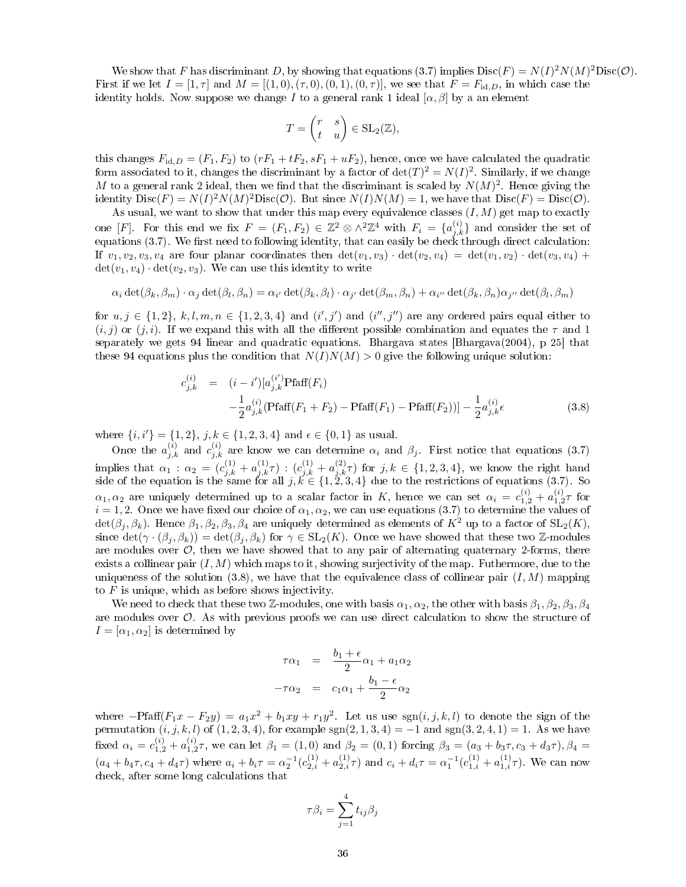We show that F has discriminant D, by showing that equations (3.7) implies  $Disc(F) = N(I)^2 N(M)^2 Disc(\mathcal{O})$ . First if we let  $I = [1, \tau]$  and  $M = [(1, 0), (\tau, 0), (0, 1), (0, \tau)]$ , we see that  $F = F_{\text{id}, D}$ , in which case the identity holds. Now suppose we change I to a general rank 1 ideal  $[\alpha, \beta]$  by a an element

$$
T = \begin{pmatrix} r & s \\ t & u \end{pmatrix} \in \text{SL}_2(\mathbb{Z}),
$$

this changes  $F_{\text{id},D} = (F_1, F_2)$  to  $(rF_1 + tF_2, sF_1 + uF_2)$ , hence, once we have calculated the quadratic form associated to it, changes the discriminant by a factor of  $\det(T)^2 = N(I)^2$ . Similarly, if we change M to a general rank 2 ideal, then we find that the discriminant is scaled by  $N(M)^2$ . Hence giving the identity  $Disc(F) = N(I)^2 N(M)^2 Disc(\mathcal{O})$ . But since  $N(I)N(M) = 1$ , we have that  $Disc(F) = Disc(\mathcal{O})$ .

As usual, we want to show that under this map every equivalence classes  $(I, M)$  get map to exactly one [F]. For this end we fix  $F = (F_1, F_2) \in \mathbb{Z}^2 \otimes \wedge^2 \mathbb{Z}^4$  with  $F_i = \{a_{j,k}^{(i)}\}$  and consider the set of equations (3.7). We first need to following identity, that can easily be check through direct calculation: If  $v_1, v_2, v_3, v_4$  are four planar coordinates then  $\det(v_1, v_3) \cdot \det(v_2, v_4) = \det(v_1, v_2) \cdot \det(v_3, v_4) +$  $\det(v_1, v_4) \cdot \det(v_2, v_3)$ . We can use this identity to write

$$
\alpha_i \det(\beta_k, \beta_m) \cdot \alpha_j \det(\beta_l, \beta_n) = \alpha_{i'} \det(\beta_k, \beta_l) \cdot \alpha_{j'} \det(\beta_m, \beta_n) + \alpha_{i''} \det(\beta_k, \beta_n) \alpha_{j''} \det(\beta_l, \beta_m)
$$

for  $u, j \in \{1,2\}, k, l, m, n \in \{1,2,3,4\}$  and  $(i',j')$  and  $(i'',j'')$  are any ordered pairs equal either to  $(i, j)$  or  $(j, i)$ . If we expand this with all the different possible combination and equates the  $\tau$  and 1 separately we gets 94 linear and quadratic equations. Bhargava states [Bhargava(2004), p 25] that these 94 equations plus the condition that  $N(I)N(M) > 0$  give the following unique solution:

$$
c_{j,k}^{(i)} = (i - i')[a_{j,k}^{(i')}Pfaff(F_i) - \frac{1}{2}a_{j,k}^{(i)}Pfaff(F_1 + F_2) - Pfaff(F_1) - Pfaff(F_2))] - \frac{1}{2}a_{j,k}^{(i)}\epsilon
$$
\n(3.8)

where  $\{i, i'\} = \{1, 2\}, j, k \in \{1, 2, 3, 4\}$  and  $\epsilon \in \{0, 1\}$  as usual.

Once the  $a_{j,k}^{(i)}$  and  $c_{j,k}^{(i)}$  are know we can determine  $\alpha_i$  and  $\beta_j$ . First notice that equations (3.7) implies that  $\alpha_1 : \alpha_2 = (c_{j,k}^{(1)} + a_{j,k}^{(1)} \tau) : (c_{j,k}^{(1)} + a_{j,k}^{(2)} \tau)$  for  $j,k \in \{1,2,3,4\}$ , we know the right hand side of the equation is the same for all  $j, k \in \{1, 2, 3, 4\}$  due to the restrictions of equations (3.7). So  $\alpha_1, \alpha_2$  are uniquely determined up to a scalar factor in K, hence we can set  $\alpha_i = c_{1,2}^{(i)} + a_{1,2}^{(i)} \tau$  for  $i = 1, 2$ . Once we have fixed our choice of  $\alpha_1, \alpha_2$ , we can use equations (3.7) to determine the values of  $\det(\beta_i, \beta_k)$ . Hence  $\beta_1, \beta_2, \beta_3, \beta_4$  are uniquely determined as elements of  $K^2$  up to a factor of  $SL_2(K)$ , since  $\det(\gamma \cdot (\beta_i, \beta_k)) = \det(\beta_i, \beta_k)$  for  $\gamma \in SL_2(K)$ . Once we have showed that these two Z-modules are modules over  $\mathcal{O}$ , then we have showed that to any pair of alternating quaternary 2-forms, there exists a collinear pair  $(I, M)$  which maps to it, showing surjectivity of the map. Futhermore, due to the uniqueness of the solution  $(3.8)$ , we have that the equivalence class of collinear pair  $(I, M)$  mapping to  $F$  is unique, which as before shows injectivity.

We need to check that these two Z-modules, one with basis  $\alpha_1, \alpha_2$ , the other with basis  $\beta_1, \beta_2, \beta_3, \beta_4$ are modules over O. As with previous proofs we can use direct calculation to show the structure of  $I = [\alpha_1, \alpha_2]$  is determined by

$$
\tau \alpha_1 = \frac{b_1 + \epsilon}{2} \alpha_1 + a_1 \alpha_2
$$

$$
-\tau \alpha_2 = c_1 \alpha_1 + \frac{b_1 - \epsilon}{2} \alpha_2
$$

where  $-{\rm Pfaff}(F_1x-F_2y)=a_1x^2+b_1xy+r_1y^2$ . Let us use  $sgn(i, j, k, l)$  to denote the sign of the permutation  $(i, j, k, l)$  of  $(1, 2, 3, 4)$ , for example sgn $(2, 1, 3, 4) = -1$  and sgn $(3, 2, 4, 1) = 1$ . As we have fixed  $\alpha_i = c_{1,2}^{(i)} + a_{1,2}^{(i)} \tau$ , we can let  $\beta_1 = (1,0)$  and  $\beta_2 = (0,1)$  forcing  $\beta_3 = (a_3 + b_3 \tau, c_3 + d_3 \tau), \beta_4 =$  $(a_4 + b_4\tau, c_4 + d_4\tau)$  where  $a_i + b_i\tau = \alpha_2^{-1}(c_{2,i}^{(1)} + a_{2,i}^{(1)}\tau)$  and  $c_i + d_i\tau = \alpha_1^{-1}(c_{1,i}^{(1)} + a_{1,i}^{(1)}\tau)$ . We can now check, after some long calculations that

$$
\tau \beta_i = \sum_{j=1}^4 t_{ij} \beta_j
$$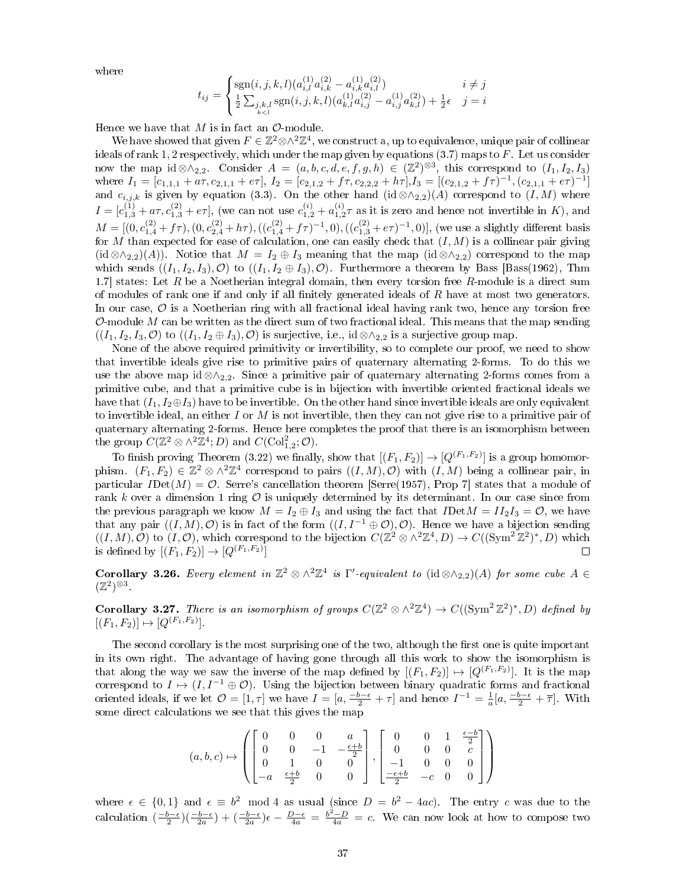where

$$
t_{ij} = \begin{cases} \mathrm{sgn}(i,j,k,l)(a^{(1)}_{i,l}a^{(2)}_{i,k} - a^{(1)}_{i,k}a^{(2)}_{i,l}) & i \neq j \\ \frac{1}{2}\sum_{\substack{j,k,l \\ k < l}} \mathrm{sgn}(i,j,k,l)(a^{(1)}_{k,l}a^{(2)}_{i,j} - a^{(1)}_{i,j}a^{(2)}_{k,l}) + \frac{1}{2}\epsilon & j = i \end{cases}
$$

Hence we have that  $M$  is in fact an  $\mathcal{O}\text{-module}$ .

We have showed that given  $F \in \mathbb{Z}^2 \otimes \wedge^2 \mathbb{Z}^4$ , we construct a, up to equivalence, unique pair of collinear ideals of rank 1, 2 respectively, which under the map given by equations  $(3.7)$  maps to F. Let us consider now the map id ⊗∧<sub>2,2</sub>. Consider  $A = (a, b, c, d, e, f, g, h) \in (\mathbb{Z}^2)^{\otimes 3}$ , this correspond to  $(I_1, I_2, I_3)$ where  $I_1 = [c_{1,1,1} + a\tau, c_{2,1,1} + e\tau], I_2 = [c_{2,1,2} + f\tau, c_{2,2,2} + h\tau], I_3 = [(c_{2,1,2} + f\tau)^{-1}, (c_{2,1,1} + e\tau)^{-1}]$ and  $c_{i,j,k}$  is given by equation (3.3). On the other hand (id ⊗ $\land_{2,2}$ )(A) correspond to (I, M) where  $I = [c_{1,3}^{(1)} + a\tau, c_{1,3}^{(2)} + e\tau],$  (we can not use  $c_{1,2}^{(i)} + a_{1,2}^{(i)}\tau$  as it is zero and hence not invertible in K), and  $M = [(0, c_{1,4}^{(2)} + f\tau), (0, c_{2,4}^{(2)} + h\tau), ((c_{1,4}^{(2)} + f\tau)^{-1}, 0), ((c_{1,3}^{(2)} + e\tau)^{-1}, 0)],$  (we use a slightly different basis for M than expected for ease of calculation, one can easily check that  $(I, M)$  is a collinear pair giving (id ⊗∧<sub>2,2</sub>)(A)). Notice that  $M = I_2 \oplus I_3$  meaning that the map (id ⊗∧<sub>2,2</sub>) correspond to the map which sends  $((I_1, I_2, I_3), \mathcal{O})$  to  $((I_1, I_2 \oplus I_3), \mathcal{O})$ . Furthermore a theorem by Bass [Bass(1962), Thm 1.7] states: Let  $R$  be a Noetherian integral domain, then every torsion free  $R$ -module is a direct sum of modules of rank one if and only if all finitely generated ideals of  $R$  have at most two generators. In our case,  $\hat{\mathcal{O}}$  is a Noetherian ring with all fractional ideal having rank two, hence any torsion free O-module M can be written as the direct sum of two fractional ideal. This means that the map sending  $((I_1, I_2, I_3, \mathcal{O})$  to  $((I_1, I_2 \oplus I_3), \mathcal{O})$  is surjective, i.e., id ⊗∧<sub>2,2</sub> is a surjective group map.

None of the above required primitivity or invertibility, so to complete our proof, we need to show that invertible ideals give rise to primitive pairs of quaternary alternating 2-forms. To do this we use the above map id ⊗∧2,2. Since a primitive pair of quaternary alternating 2-forms comes from a primitive cube, and that a primitive cube is in bijection with invertible oriented fractional ideals we have that  $(I_1, I_2 \oplus I_3)$  have to be invertible. On the other hand since invertible ideals are only equivalent to invertible ideal, an either  $I$  or  $M$  is not invertible, then they can not give rise to a primitive pair of quaternary alternating 2-forms. Hence here completes the proof that there is an isomorphism between the group  $C(\mathbb{Z}^2 \otimes \wedge^2 \mathbb{Z}^4; D)$  and  $C(\mathrm{Col}_{1,2}^2; O)$ .

To finish proving Theorem (3.22) we finally, show that  $[(F_1, F_2)] \to [Q^{(F_1, F_2)}]$  is a group homomorphism.  $(F_1, F_2) \in \mathbb{Z}^2 \otimes \wedge^2 \mathbb{Z}^4$  correspond to pairs  $((I, M), \mathcal{O})$  with  $(I, M)$  being a collinear pair, in particular  $I$ Det $(M) = \mathcal{O}$ . Serre's cancellation theorem [Serre(1957), Prop 7] states that a module of rank k over a dimension 1 ring  $\mathcal O$  is uniquely determined by its determinant. In our case since from the previous paragraph we know  $M = I_2 \oplus I_3$  and using the fact that  $I\text{Det}M = II_2I_3 = \mathcal{O}$ , we have that any pair  $((I, M), \mathcal{O})$  is in fact of the form  $((I, I^{-1} \oplus \mathcal{O}), \mathcal{O})$ . Hence we have a bijection sending  $((I, M), \mathcal{O})$  to  $(I, \mathcal{O})$ , which correspond to the bijection  $C(\mathbb{Z}^2 \otimes \wedge^2 \mathbb{Z}^4, D) \to C((\text{Sym}^2 \mathbb{Z}^2)^*, D)$  which is defined by  $[(F_1, F_2)] \to [Q^{(F_1, F_2)}]$  $\Box$ 

Corollary 3.26. Every element in  $\mathbb{Z}^2 \otimes \wedge^2 \mathbb{Z}^4$  is  $\Gamma'$ -equivalent to (id  $\otimes \wedge_{2,2}(A)$  for some cube  $A \in$  $(\mathbb{Z}^2)^{\otimes 3}$ .

**Corollary 3.27.** There is an isomorphism of groups  $C(\mathbb{Z}^2 \otimes \wedge^2 \mathbb{Z}^4) \to C((\text{Sym}^2 \mathbb{Z}^2)^*, D)$  defined by  $[(F_1, F_2)] \mapsto [Q^{(F_1, F_2)}].$ 

The second corollary is the most surprising one of the two, although the first one is quite important in its own right. The advantage of having gone through all this work to show the isomorphism is that along the way we saw the inverse of the map defined by  $[(F_1, F_2)] \mapsto [Q^{(F_1, F_2)}]$ . It is the map correspond to  $I \mapsto (I, I^{-1} \oplus \mathcal{O})$ . Using the bijection between binary quadratic forms and fractional oriented ideals, if we let  $\mathcal{O} = [1, \tau]$  we have  $I = [a, \frac{-b-\epsilon}{2} + \tau]$  and hence  $I^{-1} = \frac{1}{a}[a, \frac{-b-\epsilon}{2} + \overline{\tau}]$ . With some direct calculations we see that this gives the map

$$
(a, b, c) \mapsto \left( \begin{bmatrix} 0 & 0 & 0 & a \\ 0 & 0 & -1 & -\frac{\epsilon + b}{2} \\ 0 & 1 & 0 & 0 \\ -a & \frac{\epsilon + b}{2} & 0 & 0 \end{bmatrix}, \begin{bmatrix} 0 & 0 & 1 & \frac{\epsilon - b}{2} \\ 0 & 0 & 0 & c \\ -1 & 0 & 0 & 0 \\ \frac{-\epsilon + b}{2} & -c & 0 & 0 \end{bmatrix} \right)
$$

where  $\epsilon \in \{0,1\}$  and  $\epsilon \equiv b^2 \mod 4$  as usual (since  $D = b^2 - 4ac$ ). The entry c was due to the calculation  $\left(\frac{-b-\epsilon}{2}\right)\left(\frac{-b-\epsilon}{2a}\right)+\left(\frac{-b-\epsilon}{2a}\right)\epsilon-\frac{D-\epsilon}{4a}=\frac{b^2-D}{4a}=c$ . We can now look at how to compose two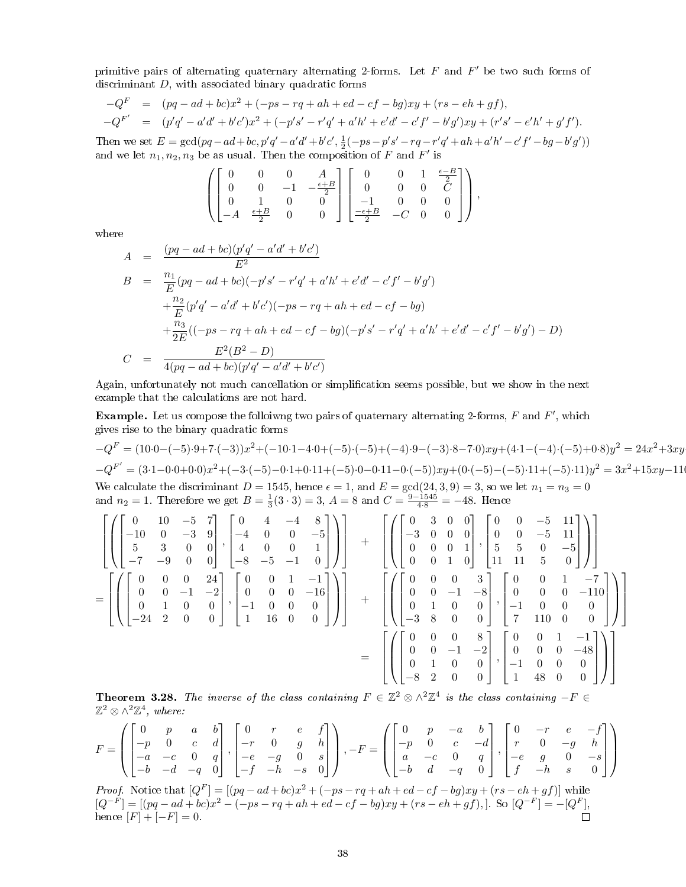primitive pairs of alternating quaternary alternating 2-forms. Let  $F$  and  $F'$  be two such forms of discriminant D, with associated binary quadratic forms

$$
-QF = (pq - ad + bc)x2 + (-ps - rq + ah + ed - cf - bg)xy + (rs - eh + gf),
$$
  
\n
$$
-QF' = (p'q' - a'd' + b'c')x2 + (-p's' - r'q' + a'h' + e'd' - c'f' - b'g')xy + (r's' - e'h' + g'f').
$$

Then we set  $E = \gcd(pq - ad + bc, p'q' - a'd' + b'c', \frac{1}{2}(-ps - p's' - rq - r'q' + ah + a'h' - c'f' - bg - b'g')$ and we let  $n_1, n_2, n_3$  be as usual. Then the composition of F and F' is

$$
\left( \begin{bmatrix} 0 & 0 & 0 & A \\ 0 & 0 & -1 & -\frac{\epsilon + B}{2} \\ 0 & 1 & 0 & 0 \\ -A & \frac{\epsilon + B}{2} & 0 & 0 \end{bmatrix} \begin{bmatrix} 0 & 0 & 1 & \frac{\epsilon - B}{2} \\ 0 & 0 & 0 & C \\ -1 & 0 & 0 & 0 \\ \frac{-\epsilon + B}{2} & -C & 0 & 0 \end{bmatrix} \right),
$$

where

$$
A = \frac{(pq - ad + bc)(p'q' - a'd' + b'c')}{E^2}
$$
  
\n
$$
B = \frac{n_1}{E}(pq - ad + bc)(-p's' - r'q' + a'h' + e'd' - c'f' - b'g')
$$
  
\n
$$
+ \frac{n_2}{E}(p'q' - a'd' + b'c')(-ps - rq + ah + ed - cf - bg)
$$
  
\n
$$
+ \frac{n_3}{2E}((-ps - rq + ah + ed - cf - bg)(-p's' - r'q' + a'h' + e'd' - c'f' - b'g') - D)
$$
  
\n
$$
C = \frac{E^2(B^2 - D)}{4(pq - ad + bc)(p'q' - a'd' + b'c')}
$$

Again, unfortunately not much cancellation or simplication seems possible, but we show in the next example that the calculations are not hard.

**Example.** Let us compose the folloiwng two pairs of quaternary alternating 2-forms,  $F$  and  $F'$ , which gives rise to the binary quadratic forms

$$
-Q^F = (10 \cdot 0 - (-5) \cdot 9 + 7 \cdot (-3))x^2 + (-10 \cdot 1 - 4 \cdot 0 + (-5) \cdot (-5) + (-4) \cdot 9 - (-3) \cdot 8 - 7 \cdot 0)xy + (4 \cdot 1 - (-4) \cdot (-5) + 0 \cdot 8)y^2 = 24x^2 + 3xy
$$
  

$$
-Q^{F'} = (3 \cdot 1 - 0 \cdot 0 + 0 \cdot 0)x^2 + (-3 \cdot (-5) - 0 \cdot 1 + 0 \cdot 11 + (-5) \cdot 0 - 0 \cdot 11 - 0 \cdot (-5))xy + (0 \cdot (-5) - (-5) \cdot 11 + (-5) \cdot 11)y^2 = 3x^2 + 15xy - 110
$$
  
We calculate the discriminant  $D = 1545$ , hence  $\epsilon = 1$ , and  $E = \gcd(24, 3, 9) = 3$ , so we let  $n_1 = n_3 = 0$   
and  $n_2 = 1$ . Therefore we get  $B = \frac{1}{3}(3 \cdot 3) = 3$ ,  $A = 8$  and  $C = \frac{9 - 1545}{4 \cdot 8} = -48$ . Hence

$$
\begin{bmatrix}\n\begin{bmatrix}\n0 & 10 & -5 & 7 \\
-10 & 0 & -3 & 9 \\
5 & 3 & 0 & 0 \\
-7 & -9 & 0 & 0\n\end{bmatrix}, \begin{bmatrix}\n0 & 4 & -4 & 8 \\
-4 & 0 & 0 & -5 \\
4 & 0 & 0 & 1 \\
-8 & -5 & -1 & 0\n\end{bmatrix}\n\end{bmatrix} + \begin{bmatrix}\n\begin{bmatrix}\n0 & 3 & 0 & 0 \\
-3 & 0 & 0 & 0 \\
0 & 0 & 0 & 1 \\
0 & 0 & 1 & 0\n\end{bmatrix}, \begin{bmatrix}\n0 & 0 & -5 & 11 \\
5 & 5 & 0 & -5 \\
11 & 11 & 5 & 0\n\end{bmatrix}\n\end{bmatrix} \\
= \begin{bmatrix}\n\begin{bmatrix}\n0 & 0 & 0 & 24 \\
0 & 0 & -1 & -2 \\
-24 & 2 & 0 & 0\n\end{bmatrix}, \begin{bmatrix}\n0 & 0 & 1 & -1 \\
0 & 0 & 0 & -16 \\
1 & 16 & 0 & 0\n\end{bmatrix}\n\end{bmatrix} + \begin{bmatrix}\n\begin{bmatrix}\n0 & 0 & 0 & 3 \\
0 & 0 & -1 & -8 \\
-3 & 8 & 0 & 0\n\end{bmatrix}, \begin{bmatrix}\n0 & 0 & 1 & -7 \\
-1 & 0 & 0 & 0 \\
-1 & 0 & 0 & 0 \\
-3 & 8 & 0 & 0\n\end{bmatrix}\n\end{bmatrix} \\
= \begin{bmatrix}\n\begin{bmatrix}\n0 & 0 & 0 & 8 \\
0 & 1 & 0 & 0 \\
-8 & 2 & 0 & 0\n\end{bmatrix}, \begin{bmatrix}\n0 & 0 & 1 & -1 \\
-1 & 0 & 0 & 0 \\
1 & 48 & 0 & 0\n\end{bmatrix}\n\end{bmatrix}
$$

**Theorem 3.28.** The inverse of the class containing  $F \in \mathbb{Z}^2 \otimes \wedge^2 \mathbb{Z}^4$  is the class containing  $-F \in$  $\mathbb{Z}^2 \otimes \wedge^2 \mathbb{Z}^4$ , where:

$$
F = \left( \begin{bmatrix} 0 & p & a & b \\ -p & 0 & c & d \\ -a & -c & 0 & q \\ -b & -d & -q & 0 \end{bmatrix}, \begin{bmatrix} 0 & r & e & f \\ -r & 0 & g & h \\ -e & -g & 0 & s \\ -f & -h & -s & 0 \end{bmatrix} \right), -F = \left( \begin{bmatrix} 0 & p & -a & b \\ -p & 0 & c & -d \\ a & -c & 0 & q \\ -b & d & -q & 0 \end{bmatrix}, \begin{bmatrix} 0 & -r & e & -f \\ r & 0 & -g & h \\ -e & g & 0 & -s \\ f & -h & s & 0 \end{bmatrix} \right)
$$

*Proof.* Notice that  $[Q^F] = [(pq - ad + bc)x^2 + (-ps - rq + ah + ed - cf - bg)xy + (rs - eh + gf)]$  while  $[Q^{-F}] = [(pq - ad + bc)x^2 - (-ps - rq + ah + ed - cf - bg)xy + (rs - eh + gf),]$ . So  $[Q^{-F}] = -[Q^F]$ , hence  $[F] + [-F] = 0.$  $\Box$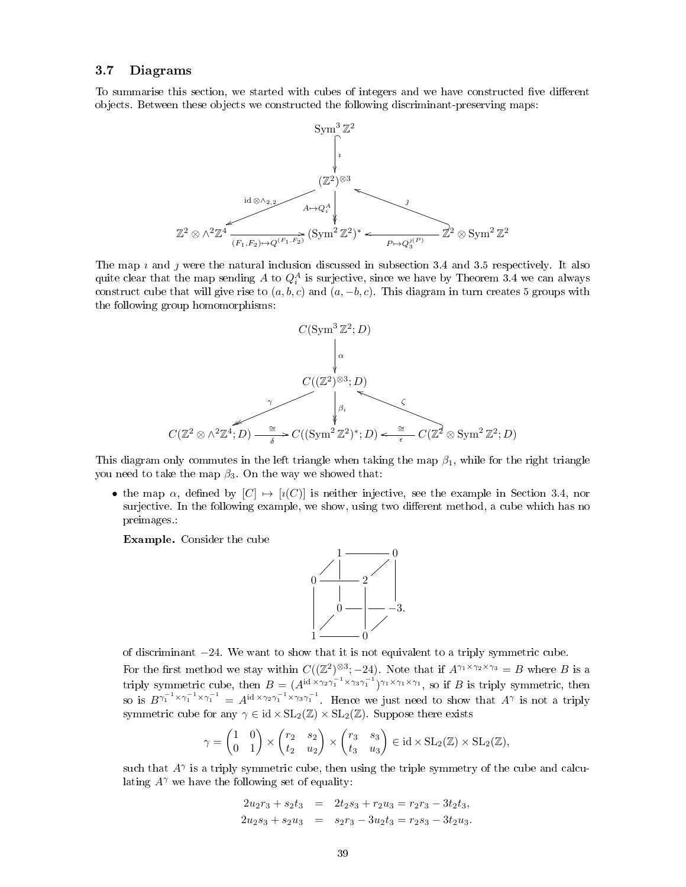## 3.7 Diagrams

To summarise this section, we started with cubes of integers and we have constructed five different objects. Between these objects we constructed the following discriminant-preserving maps:



The map  $\iota$  and  $\jmath$  were the natural inclusion discussed in subsection 3.4 and 3.5 respectively. It also quite clear that the map sending  $A$  to  $Q_i^A$  is surjective, since we have by Theorem 3.4 we can always construct cube that will give rise to  $(a, b, c)$  and  $(a, -b, c)$ . This diagram in turn creates 5 groups with the following group homomorphisms:



This diagram only commutes in the left triangle when taking the map  $\beta_1$ , while for the right triangle you need to take the map  $\beta_3$ . On the way we showed that:

• the map  $\alpha$ , defined by  $[C] \rightarrow [i(C)]$  is neither injective, see the example in Section 3.4, nor surjective. In the following example, we show, using two different method, a cube which has no preimages.:

Example. Consider the cube



of discriminant −24. We want to show that it is not equivalent to a triply symmetric cube. For the first method we stay within  $C((\mathbb{Z}^2)^{\otimes 3}; -24)$ . Note that if  $A^{\gamma_1 \times \gamma_2 \times \gamma_3} = B$  where B is a triply symmetric cube, then  $B = (A^{id \times \gamma_2 \gamma_1^{-1} \times \gamma_3 \gamma_1^{-1}})^{\gamma_1 \times \gamma_1 \times \gamma_1}$ , so if B is triply symmetric, then so is  $B^{\gamma_1^{-1} \times \gamma_1^{-1} \times \gamma_1^{-1}} = A^{\mathrm{id} \times \gamma_2 \gamma_1^{-1} \times \gamma_3 \gamma_1^{-1}}$ . Hence we just need to show that  $A^{\gamma}$  is not a triply symmetric cube for any  $\gamma \in id \times SL_2(\mathbb{Z}) \times SL_2(\mathbb{Z})$ . Suppose there exists

$$
\gamma = \begin{pmatrix} 1 & 0 \\ 0 & 1 \end{pmatrix} \times \begin{pmatrix} r_2 & s_2 \\ t_2 & u_2 \end{pmatrix} \times \begin{pmatrix} r_3 & s_3 \\ t_3 & u_3 \end{pmatrix} \in \mathrm{id} \times \mathrm{SL}_2(\mathbb{Z}) \times \mathrm{SL}_2(\mathbb{Z}),
$$

such that  $A^{\gamma}$  is a triply symmetric cube, then using the triple symmetry of the cube and calculating  $A^{\gamma}$  we have the following set of equality:

$$
2u_2r_3 + s_2t_3 = 2t_2s_3 + r_2u_3 = r_2r_3 - 3t_2t_3,
$$
  

$$
2u_2s_3 + s_2u_3 = s_2r_3 - 3u_2t_3 = r_2s_3 - 3t_2u_3.
$$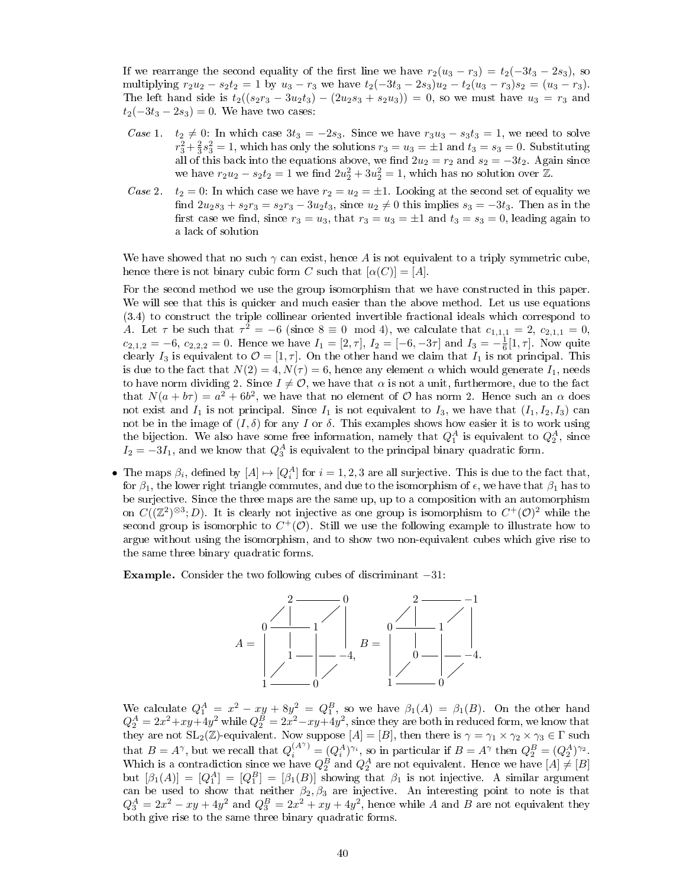If we rearrange the second equality of the first line we have  $r_2(u_3 - r_3) = t_2(-3t_3 - 2s_3)$ , so multiplying  $r_2u_2 - s_2t_2 = 1$  by  $u_3 - r_3$  we have  $t_2(-3t_3 - 2s_3)u_2 - t_2(u_3 - r_3)s_2 = (u_3 - r_3)$ . The left hand side is  $t_2((s_2r_3 - 3u_2t_3) - (2u_2s_3 + s_2u_3)) = 0$ , so we must have  $u_3 = r_3$  and  $t_2(-3t_3 - 2s_3) = 0$ . We have two cases:

- Case 1.  $t_2 \neq 0$ : In which case  $3t_3 = -2s_3$ . Since we have  $r_3u_3 s_3t_3 = 1$ , we need to solve  $r_3^2 + \frac{2}{3}s_3^2 = 1$ , which has only the solutions  $r_3 = u_3 = \pm 1$  and  $t_3 = s_3 = 0$ . Substituting all of this back into the equations above, we find  $2u_2 = r_2$  and  $s_2 = -3t_2$ . Again since we have  $r_2u_2 - s_2t_2 = 1$  we find  $2u_2^2 + 3u_2^2 = 1$ , which has no solution over  $\mathbb{Z}$ .
- Case 2.  $t_2 = 0$ : In which case we have  $r_2 = u_2 = \pm 1$ . Looking at the second set of equality we find  $2u_2s_3 + s_2r_3 = s_2r_3 - 3u_2t_3$ , since  $u_2 \neq 0$  this implies  $s_3 = -3t_3$ . Then as in the first case we find, since  $r_3 = u_3$ , that  $r_3 = u_3 = \pm 1$  and  $t_3 = s_3 = 0$ , leading again to a lack of solution

We have showed that no such  $\gamma$  can exist, hence A is not equivalent to a triply symmetric cube, hence there is not binary cubic form C such that  $[\alpha(C)] = [A]$ .

For the second method we use the group isomorphism that we have constructed in this paper. We will see that this is quicker and much easier than the above method. Let us use equations (3.4) to construct the triple collinear oriented invertible fractional ideals which correspond to A. Let  $\tau$  be such that  $\tau^2 = -6$  (since  $8 \equiv 0 \mod 4$ ), we calculate that  $c_{1,1,1} = 2$ ,  $c_{2,1,1} = 0$ ,  $c_{2,1,2} = -6, c_{2,2,2} = 0$ . Hence we have  $I_1 = [2, \tau], I_2 = [-6, -3\tau]$  and  $I_3 = -\frac{1}{6}[1, \tau]$ . Now quite clearly  $I_3$  is equivalent to  $\mathcal{O} = [1, \tau]$ . On the other hand we claim that  $I_1$  is not principal. This is due to the fact that  $N(2) = 4$ ,  $N(\tau) = 6$ , hence any element  $\alpha$  which would generate  $I_1$ , needs to have norm dividing 2. Since  $I \neq \mathcal{O}$ , we have that  $\alpha$  is not a unit, furthermore, due to the fact that  $N(a + b\tau) = a^2 + 6b^2$ , we have that no element of O has norm 2. Hence such an  $\alpha$  does not exist and  $I_1$  is not principal. Since  $I_1$  is not equivalent to  $I_3$ , we have that  $(I_1, I_2, I_3)$  can not be in the image of  $(I, \delta)$  for any I or  $\delta$ . This examples shows how easier it is to work using the bijection. We also have some free information, namely that  $Q_1^A$  is equivalent to  $Q_2^A$ , since  $I_2 = -3I_1$ , and we know that  $Q_3^A$  is equivalent to the principal binary quadratic form.

• The maps  $\beta_i$ , defined by  $[A] \mapsto [Q_i^A]$  for  $i = 1, 2, 3$  are all surjective. This is due to the fact that, for  $\beta_1$ , the lower right triangle commutes, and due to the isomorphism of  $\epsilon$ , we have that  $\beta_1$  has to be surjective. Since the three maps are the same up, up to a composition with an automorphism on  $C((\mathbb{Z}^2)^{\otimes 3}; D)$ . It is clearly not injective as one group is isomorphism to  $C^+(\mathcal{O})^2$  while the second group is isomorphic to  $C^+(\mathcal{O})$ . Still we use the following example to illustrate how to argue without using the isomorphism, and to show two non-equivalent cubes which give rise to the same three binary quadratic forms.

**Example.** Consider the two following cubes of discriminant  $-31$ :



We calculate  $Q_1^A = x^2 - xy + 8y^2 = Q_1^B$ , so we have  $\beta_1(A) = \beta_1(B)$ . On the other hand  $Q_2^A = 2x^2 + xy + 4y^2$  while  $Q_2^B = 2x^2 - xy + 4y^2$ , since they are both in reduced form, we know that they are not  $SL_2(\mathbb{Z})$ -equivalent. Now suppose  $[A] = [B]$ , then there is  $\gamma = \gamma_1 \times \gamma_2 \times \gamma_3 \in \Gamma$  such that  $B = A^{\gamma}$ , but we recall that  $Q_i^{(A^{\gamma})} = (Q_i^A)^{\gamma_i}$ , so in particular if  $B = A^{\gamma}$  then  $Q_2^B = (Q_2^A)^{\gamma_2}$ . Which is a contradiction since we have  $Q_2^B$  and  $Q_2^A$  are not equivalent. Hence we have  $[A] \neq [B]$ but  $[\beta_1(A)] = [Q_1^A] = [Q_1^B] = [\beta_1(B)]$  showing that  $\beta_1$  is not injective. A similar argument can be used to show that neither  $\beta_2, \beta_3$  are injective. An interesting point to note is that  $Q_3^A = 2x^2 - xy + 4y^2$  and  $Q_3^B = 2x^2 + xy + 4y^2$ , hence while A and B are not equivalent they both give rise to the same three binary quadratic forms.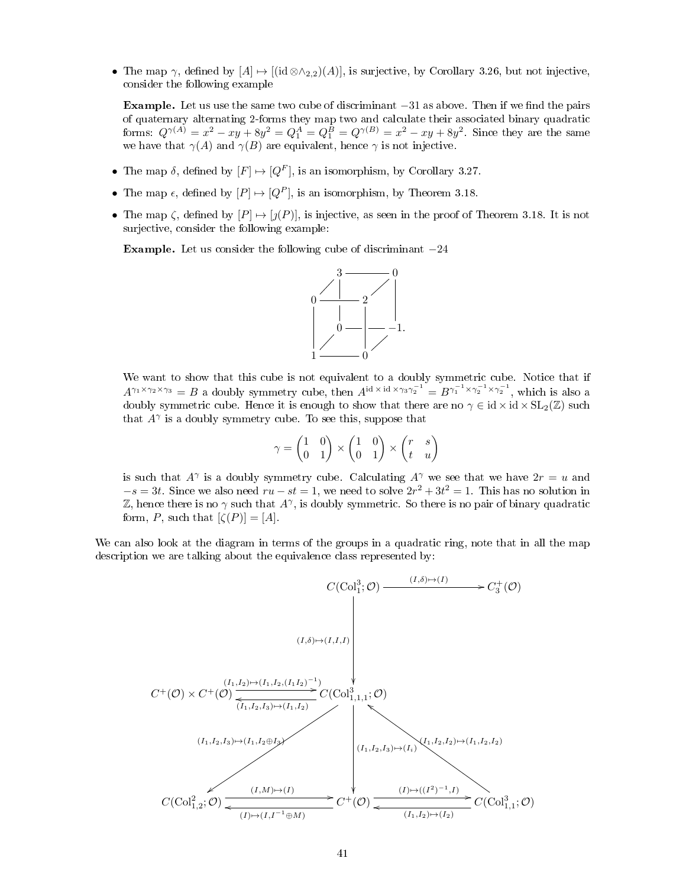• The map  $\gamma$ , defined by  $[A] \mapsto [(id \otimes \wedge_{2,2})(A)]$ , is surjective, by Corollary 3.26, but not injective, consider the following example

Example. Let us use the same two cube of discriminant  $-31$  as above. Then if we find the pairs of quaternary alternating 2-forms they map two and calculate their associated binary quadratic forms:  $Q^{\gamma(A)} = x^2 - xy + 8y^2 = Q_1^A = Q_1^B = Q^{\gamma(B)} = x^2 - xy + 8y^2$ . Since they are the same we have that  $\gamma(A)$  and  $\gamma(B)$  are equivalent, hence  $\gamma$  is not injective.

- The map  $\delta$ , defined by  $[F] \mapsto [Q^F]$ , is an isomorphism, by Corollary 3.27.
- The map  $\epsilon$ , defined by  $[P] \mapsto [Q^P]$ , is an isomorphism, by Theorem 3.18.
- The map  $\zeta$ , defined by  $[P] \mapsto [\jmath(P)]$ , is injective, as seen in the proof of Theorem 3.18. It is not surjective, consider the following example:

**Example.** Let us consider the following cube of discriminant  $-24$ 



We want to show that this cube is not equivalent to a doubly symmetric cube. Notice that if  $A^{\gamma_1 \times \gamma_2 \times \gamma_3} = B$  a doubly symmetry cube, then  $A^{\text{id} \times \text{id} \times \gamma_3 \gamma_2^{-1}} = B^{\gamma_1^{-1} \times \gamma_2^{-1} \times \gamma_2^{-1}}$ , which is also a doubly symmetric cube. Hence it is enough to show that there are no  $\gamma \in id \times id \times SL_2(\mathbb{Z})$  such that  $A^{\gamma}$  is a doubly symmetry cube. To see this, suppose that

$$
\gamma = \begin{pmatrix} 1 & 0 \\ 0 & 1 \end{pmatrix} \times \begin{pmatrix} 1 & 0 \\ 0 & 1 \end{pmatrix} \times \begin{pmatrix} r & s \\ t & u \end{pmatrix}
$$

is such that  $A^{\gamma}$  is a doubly symmetry cube. Calculating  $A^{\gamma}$  we see that we have  $2r = u$  and  $-s = 3t$ . Since we also need  $ru - st = 1$ , we need to solve  $2r^2 + 3t^2 = 1$ . This has no solution in Z, hence there is no  $\gamma$  such that  $A^{\gamma}$ , is doubly symmetric. So there is no pair of binary quadratic form, P, such that  $[\zeta(P)] = [A]$ .

We can also look at the diagram in terms of the groups in a quadratic ring, note that in all the map description we are talking about the equivalence class represented by:

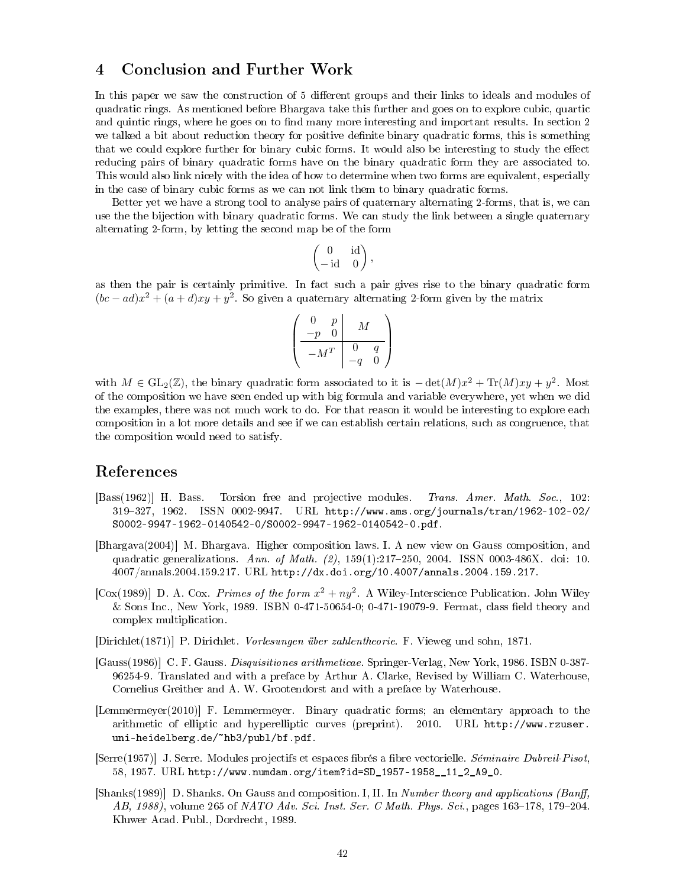## 4 Conclusion and Further Work

In this paper we saw the construction of 5 different groups and their links to ideals and modules of quadratic rings. As mentioned before Bhargava take this further and goes on to explore cubic, quartic and quintic rings, where he goes on to find many more interesting and important results. In section 2 we talked a bit about reduction theory for positive definite binary quadratic forms, this is something that we could explore further for binary cubic forms. It would also be interesting to study the effect reducing pairs of binary quadratic forms have on the binary quadratic form they are associated to. This would also link nicely with the idea of how to determine when two forms are equivalent, especially in the case of binary cubic forms as we can not link them to binary quadratic forms.

Better yet we have a strong tool to analyse pairs of quaternary alternating 2-forms, that is, we can use the the bijection with binary quadratic forms. We can study the link between a single quaternary alternating 2-form, by letting the second map be of the form

$$
\begin{pmatrix} 0 & \text{id} \\ -\text{id} & 0 \end{pmatrix},
$$

as then the pair is certainly primitive. In fact such a pair gives rise to the binary quadratic form  $(bc-ad)x^2 + (a+d)xy + y^2$ . So given a quaternary alternating 2-form given by the matrix

$$
\left(\begin{array}{cc|c}0&p&M\\-p&0&M\\ \hline -M^T&0&q\\-q&0\end{array}\right)
$$

with  $M \in GL_2(\mathbb{Z})$ , the binary quadratic form associated to it is  $-\det(M)x^2 + \text{Tr}(M)xy + y^2$ . Most of the composition we have seen ended up with big formula and variable everywhere, yet when we did the examples, there was not much work to do. For that reason it would be interesting to explore each composition in a lot more details and see if we can establish certain relations, such as congruence, that the composition would need to satisfy.

## References

- [Bass(1962)] H. Bass. Torsion free and projective modules. Trans. Amer. Math. Soc., 102: 319327, 1962. ISSN 0002-9947. URL http://www.ams.org/journals/tran/1962-102-02/ S0002-9947-1962-0140542-0/S0002-9947-1962-0140542-0.pdf.
- [Bhargava(2004)] M. Bhargava. Higher composition laws. I. A new view on Gauss composition, and quadratic generalizations. Ann. of Math. (2), 159(1):217-250, 2004. ISSN 0003-486X. doi: 10. 4007/annals.2004.159.217. URL http://dx.doi.org/10.4007/annals.2004.159.217.
- [Cox(1989)] D. A. Cox. Primes of the form  $x^2 + ny^2$ . A Wiley-Interscience Publication. John Wiley & Sons Inc., New York, 1989. ISBN 0-471-50654-0; 0-471-19079-9. Fermat, class eld theory and complex multiplication.
- [Dirichlet(1871)] P. Dirichlet. Vorlesungen über zahlentheorie. F. Vieweg und sohn, 1871.
- [Gauss(1986)] C. F. Gauss. Disquisitiones arithmeticae. Springer-Verlag, New York, 1986. ISBN 0-387- 96254-9. Translated and with a preface by Arthur A. Clarke, Revised by William C. Waterhouse, Cornelius Greither and A. W. Grootendorst and with a preface by Waterhouse.
- [Lemmermeyer(2010)] F. Lemmermeyer. Binary quadratic forms; an elementary approach to the arithmetic of elliptic and hyperelliptic curves (preprint). 2010. URL http://www.rzuser. uni-heidelberg.de/~hb3/publ/bf.pdf.
- [Serre(1957)] J. Serre. Modules projectifs et espaces brés a bre vectorielle. Séminaire Dubreil-Pisot, 58, 1957. URL http://www.numdam.org/item?id=SD\_1957-1958\_\_11\_2\_A9\_0.
- [Shanks(1989)] D. Shanks. On Gauss and composition. I, II. In Number theory and applications (Banff, AB, 1988), volume 265 of NATO Adv. Sci. Inst. Ser. C Math. Phys. Sci., pages  $163-178$ , 179-204. Kluwer Acad. Publ., Dordrecht, 1989.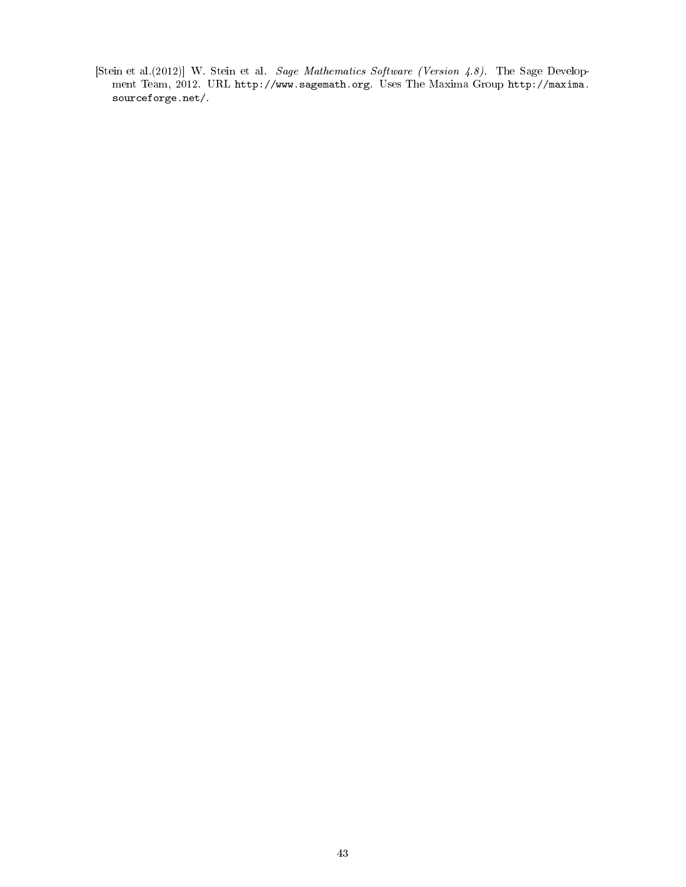[Stein et al.(2012)] W. Stein et al. Sage Mathematics Software (Version 4.8). The Sage Development Team, 2012. URL http://www.sagemath.org. Uses The Maxima Group http://maxima. sourceforge.net/.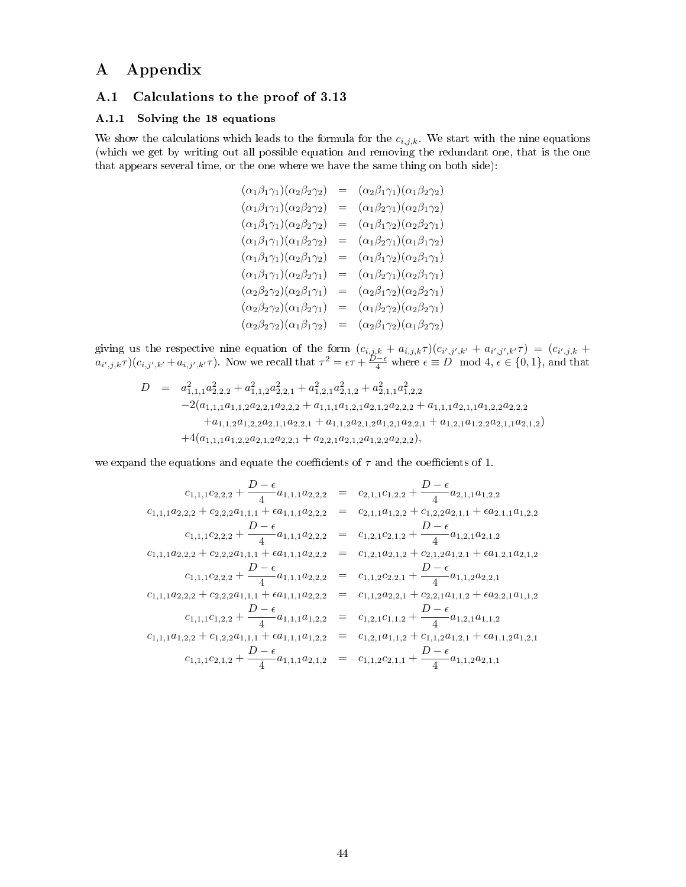# A Appendix

## A.1 Calculations to the proof of 3.13

### A.1.1 Solving the 18 equations

We show the calculations which leads to the formula for the  $c_{i,j,k}$ . We start with the nine equations (which we get by writing out all possible equation and removing the redundant one, that is the one that appears several time, or the one where we have the same thing on both side):

$$
(\alpha_1 \beta_1 \gamma_1)(\alpha_2 \beta_2 \gamma_2) = (\alpha_2 \beta_1 \gamma_1)(\alpha_1 \beta_2 \gamma_2) \n(\alpha_1 \beta_1 \gamma_1)(\alpha_2 \beta_2 \gamma_2) = (\alpha_1 \beta_2 \gamma_1)(\alpha_2 \beta_1 \gamma_2) \n(\alpha_1 \beta_1 \gamma_1)(\alpha_2 \beta_2 \gamma_2) = (\alpha_1 \beta_1 \gamma_2)(\alpha_2 \beta_2 \gamma_1) \n(\alpha_1 \beta_1 \gamma_1)(\alpha_1 \beta_2 \gamma_2) = (\alpha_1 \beta_2 \gamma_1)(\alpha_1 \beta_1 \gamma_2) \n(\alpha_1 \beta_1 \gamma_1)(\alpha_2 \beta_1 \gamma_2) = (\alpha_1 \beta_1 \gamma_2)(\alpha_2 \beta_1 \gamma_1) \n(\alpha_1 \beta_1 \gamma_1)(\alpha_2 \beta_2 \gamma_1) = (\alpha_1 \beta_2 \gamma_1)(\alpha_2 \beta_1 \gamma_1) \n(\alpha_2 \beta_2 \gamma_2)(\alpha_2 \beta_1 \gamma_1) = (\alpha_2 \beta_1 \gamma_2)(\alpha_2 \beta_2 \gamma_1) \n(\alpha_2 \beta_2 \gamma_2)(\alpha_1 \beta_2 \gamma_1) = (\alpha_1 \beta_2 \gamma_2)(\alpha_2 \beta_2 \gamma_1) \n(\alpha_2 \beta_2 \gamma_2)(\alpha_1 \beta_1 \gamma_2) = (\alpha_2 \beta_1 \gamma_2)(\alpha_1 \beta_2 \gamma_2)
$$

giving us the respective nine equation of the form  $(c_{i,j,k} + a_{i,j,k} \tau)(c_{i',j',k'} + a_{i',j',k'} \tau) = (c_{i',j,k} + a_{i',j',k'})$  $a_{i',j,k}\tau$ )( $c_{i,j',k'}+a_{i,j',k'}\tau$ ). Now we recall that  $\tau^2 = \epsilon \tau + \frac{D-\epsilon}{4}$  where  $\epsilon \equiv D \mod 4$ ,  $\epsilon \in \{0,1\}$ , and that

$$
D = a_{1,1,1}^2 a_{2,2,2}^2 + a_{1,1,2}^2 a_{2,2,1}^2 + a_{1,2,1}^2 a_{2,1,2}^2 + a_{2,1,1}^2 a_{1,2,2}^2
$$
  
\n
$$
-2(a_{1,1,1}a_{1,1,2}a_{2,2,1}a_{2,2,2} + a_{1,1,1}a_{1,2,1}a_{2,1,2}a_{2,2,2} + a_{1,1,1}a_{2,1,1}a_{1,2,2}a_{2,2,2}
$$
  
\n
$$
+a_{1,1,2}a_{1,2,2}a_{2,1,1}a_{2,2,1} + a_{1,1,2}a_{2,1,2}a_{1,2,1}a_{2,2,1} + a_{1,2,1}a_{1,2,2}a_{2,1,1}a_{2,1,2})
$$
  
\n
$$
+4(a_{1,1,1}a_{1,2,2}a_{2,1,2}a_{2,2,1} + a_{2,2,1}a_{2,1,2}a_{1,2,2}a_{2,2,2}),
$$

we expand the equations and equate the coefficients of  $\tau$  and the coefficients of 1.

$$
c_{1,1,1}c_{2,2,2} + \frac{D-\epsilon}{4}a_{1,1,1}a_{2,2,2} = c_{2,1,1}c_{1,2,2} + \frac{D-\epsilon}{4}a_{2,1,1}a_{1,2,2}
$$
  
\n
$$
c_{1,1,1}a_{2,2,2} + c_{2,2,2}a_{1,1,1} + \epsilon a_{1,1,1}a_{2,2,2} = c_{2,1,1}a_{1,2,2} + c_{1,2,2}a_{2,1,1} + \epsilon a_{2,1,1}a_{1,2,2}
$$
  
\n
$$
c_{1,1,1}c_{2,2,2} + \frac{D-\epsilon}{4}a_{1,1,1}a_{2,2,2} = c_{1,2,1}c_{2,1,2} + \frac{D-\epsilon}{4}a_{1,2,1}a_{2,1,2}
$$
  
\n
$$
c_{1,1,1}a_{2,2,2} + c_{2,2,2}a_{1,1,1} + \epsilon a_{1,1,1}a_{2,2,2} = c_{1,2,1}a_{2,1,2} + c_{2,1,2}a_{1,2,1} + \epsilon a_{1,2,1}a_{2,1,2}
$$
  
\n
$$
c_{1,1,1}c_{2,2,2} + \frac{D-\epsilon}{4}a_{1,1,1}a_{2,2,2} = c_{1,1,2}c_{2,2,1} + \frac{D-\epsilon}{4}a_{1,1,2}a_{2,2,1}
$$
  
\n
$$
c_{1,1,1}a_{2,2,2} + c_{2,2,2}a_{1,1,1} + \epsilon a_{1,1,1}a_{2,2,2} = c_{1,1,2}a_{2,2,1} + c_{2,2,1}a_{1,1,2} + \epsilon a_{2,2,1}a_{1,1,2}
$$
  
\n
$$
c_{1,1,1}c_{1,2,2} + \frac{D-\epsilon}{4}a_{1,1,1}a_{1,2,2} = c_{1,2,1}c_{1,1,2} + \frac{D-\epsilon}{4}a_{1,2,1}a_{1,1,2}
$$
  
\n
$$
c_{1,1,1}c_{1,2,2} + c_{1,2,2}a_{
$$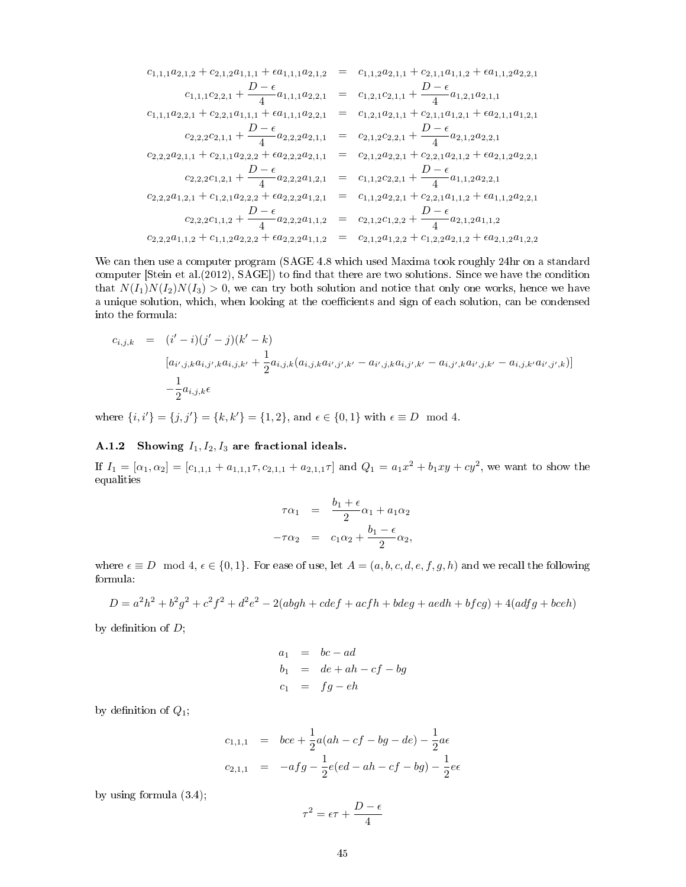$$
c_{1,1,1}a_{2,1,2} + c_{2,1,2}a_{1,1,1} + \epsilon a_{1,1,1}a_{2,1,2} = c_{1,1,2}a_{2,1,1} + c_{2,1,1}a_{1,1,2} + \epsilon a_{1,1,2}a_{2,2,1}
$$
\n
$$
c_{1,1,1}c_{2,2,1} + \frac{D-\epsilon}{4}a_{1,1,1}a_{2,2,1} = c_{1,2,1}c_{2,1,1} + \frac{D-\epsilon}{4}a_{1,2,1}a_{2,1,1}
$$
\n
$$
c_{1,1,1}a_{2,2,1} + c_{2,2,1}a_{1,1,1} + \epsilon a_{1,1,1}a_{2,2,1} = c_{1,2,1}a_{2,1,1} + c_{2,1,1}a_{1,2,1} + \epsilon a_{2,1,1}a_{1,2,1}
$$
\n
$$
c_{2,2,2}c_{2,1,1} + \frac{D-\epsilon}{4}a_{2,2,2}a_{2,1,1} = c_{2,1,2}c_{2,2,1} + \frac{D-\epsilon}{4}a_{2,1,2}a_{2,2,1}
$$
\n
$$
c_{2,2,2}a_{2,1,1} + c_{2,1,1}a_{2,2,2} + \epsilon a_{2,2,2}a_{2,1,1} = c_{2,1,2}a_{2,2,1} + c_{2,2,1}a_{2,1,2} + \epsilon a_{2,1,2}a_{2,2,1}
$$
\n
$$
c_{2,2,2}c_{1,2,1} + \frac{D-\epsilon}{4}a_{2,2,2}a_{1,2,1} = c_{1,1,2}c_{2,2,1} + \frac{D-\epsilon}{4}a_{1,1,2}a_{2,2,1}
$$
\n
$$
c_{2,2,2}a_{1,2,1} + c_{1,2,1}a_{2,2,2} + \epsilon a_{2,2,2}a_{1,2,1} = c_{1,1,2}a_{2,2,1} + c_{2,2,1}a_{1,1,2} + \epsilon a_{1,1,2}a_{2,2,1}
$$
\n
$$
c_{2,2,2}c_{1,1,2} + \frac{D
$$

We can then use a computer program (SAGE 4.8 which used Maxima took roughly 24hr on a standard computer [Stein et al.(2012), SAGE]) to find that there are two solutions. Since we have the condition that  $N(I_1)N(I_2)N(I_3) > 0$ , we can try both solution and notice that only one works, hence we have a unique solution, which, when looking at the coefficients and sign of each solution, can be condensed into the formula:

$$
c_{i,j,k} = (i'-i)(j'-j)(k'-k)
$$
  
\n
$$
[a_{i',j,k}a_{i,j',k}a_{i,j,k'} + \frac{1}{2}a_{i,j,k}(a_{i,j,k}a_{i',j',k'} - a_{i',j,k}a_{i,j',k'} - a_{i,j',k}a_{i',j,k'} - a_{i,j,k'}a_{i',j',k})]
$$
  
\n
$$
-\frac{1}{2}a_{i,j,k}\epsilon
$$

where  $\{i, i'\} = \{j, j'\} = \{k, k'\} = \{1, 2\}$ , and  $\epsilon \in \{0, 1\}$  with  $\epsilon \equiv D \mod 4$ .

## A.1.2 Showing  $I_1, I_2, I_3$  are fractional ideals.

If  $I_1 = [\alpha_1, \alpha_2] = [c_{1,1,1} + a_{1,1,1} \tau, c_{2,1,1} + a_{2,1,1} \tau]$  and  $Q_1 = a_1 x^2 + b_1 xy + cy^2$ , we want to show the equalities

$$
\tau \alpha_1 = \frac{b_1 + \epsilon}{2} \alpha_1 + a_1 \alpha_2
$$

$$
-\tau \alpha_2 = c_1 \alpha_2 + \frac{b_1 - \epsilon}{2} \alpha_2,
$$

where  $\epsilon \equiv D \mod 4$ ,  $\epsilon \in \{0,1\}$ . For ease of use, let  $A = (a, b, c, d, e, f, g, h)$  and we recall the following formula:

$$
D = a^2h^2 + b^2g^2 + c^2f^2 + d^2e^2 - 2(abgh + cdef + acfh + bdeg + aedh + bfg) + 4(adfg + bceh)
$$

by definition of  $D$ ;

$$
a_1 = bc-ad
$$
  
\n
$$
b_1 = de + ah - cf - bg
$$
  
\n
$$
c_1 = fg - eh
$$

by definition of  $Q_1$ ;

$$
c_{1,1,1} = bce + \frac{1}{2}a(ah - cf - bg - de) - \frac{1}{2}a\epsilon
$$
  

$$
c_{2,1,1} = -afg - \frac{1}{2}e(ed - ah - cf - bg) - \frac{1}{2}e\epsilon
$$

by using formula (3.4);

$$
\tau^2 = \epsilon \tau + \frac{D-\epsilon}{4}
$$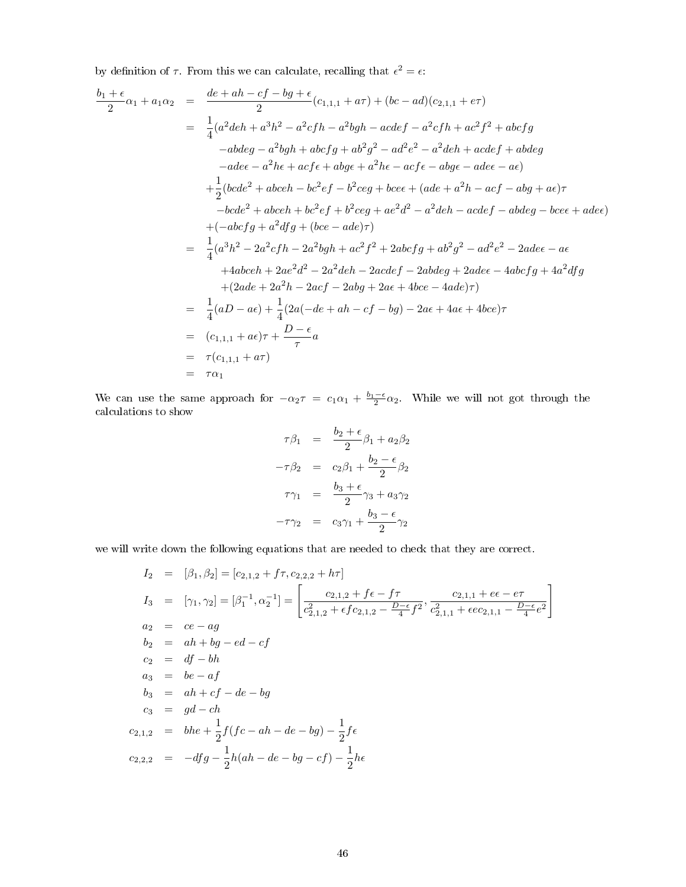by definition of  $\tau$ . From this we can calculate, recalling that  $\epsilon^2 = \epsilon$ .

$$
\frac{b_1 + \epsilon}{2} \alpha_1 + a_1 \alpha_2 = \frac{de + ah - cf - bg + \epsilon}{2} (c_{1,1,1} + a\tau) + (bc - ad)(c_{2,1,1} + e\tau)
$$
\n
$$
= \frac{1}{4} (a^2deh + a^3h^2 - a^2cfh - a^2bgh - acdef - a^2cfh + ac^2f^2 + abcfg
$$
\n
$$
-abdeg - a^2bgh + abcfg + ab^2g^2 - ad^2e^2 - a^2deh + acdef + abdeg
$$
\n
$$
-adee - a^2he + acfe + abge + a^2he - acfe - abge - adee - ae)
$$
\n
$$
+ \frac{1}{2} (bcde^2 + abceh - bc^2ef - b^2ceg + bcee + (ade + a^2h - acf - abg + ae)\tau
$$
\n
$$
-bcde^2 + abceh + bc^2ef + b^2ceg + ae^2d^2 - a^2deh - acdef - abdeg - bcee + adee)
$$
\n
$$
+ (-abcfg + a^2dfg + (bce - ade)\tau)
$$
\n
$$
= \frac{1}{4} (a^3h^2 - 2a^2cfh - 2a^2bgh + ac^2f^2 + 2abcfg + ab^2g^2 - ad^2e^2 - 2adee - ae
$$
\n
$$
+ 4abceh + 2ae^2d^2 - 2a^2deh - 2acdef - 2abdeg + 2adee - 4abcfg + 4a^2dfg
$$
\n
$$
+ (2ade + 2a^2h - 2acf - 2abg + 2ae + 4bce - 4ade)\tau)
$$
\n
$$
= \frac{1}{4} (aD - ae) + \frac{1}{4} (2a(-de + ah - cf - bg) - 2ae + 4ae + 4bce)\tau
$$
\n
$$
= (c_{1,1,1} + ae)\tau + \frac{D - \epsilon}{\tau}
$$
\n
$$
= \tau(c_{1,1,1} + ar)
$$

We can use the same approach for  $-\alpha_2 \tau = c_1 \alpha_1 + \frac{b_1-\epsilon}{2} \alpha_2$ . While we will not got through the calculations to show

$$
\tau \beta_1 = \frac{b_2 + \epsilon}{2} \beta_1 + a_2 \beta_2
$$

$$
-\tau \beta_2 = c_2 \beta_1 + \frac{b_2 - \epsilon}{2} \beta_2
$$

$$
\tau \gamma_1 = \frac{b_3 + \epsilon}{2} \gamma_3 + a_3 \gamma_2
$$

$$
-\tau \gamma_2 = c_3 \gamma_1 + \frac{b_3 - \epsilon}{2} \gamma_2
$$

we will write down the following equations that are needed to check that they are correct.

$$
I_2 = [\beta_1, \beta_2] = [c_{2,1,2} + f\tau, c_{2,2,2} + h\tau]
$$
  
\n
$$
I_3 = [\gamma_1, \gamma_2] = [\beta_1^{-1}, \alpha_2^{-1}] = \left[ \frac{c_{2,1,2} + f\epsilon - f\tau}{c_{2,1,2}^2 + \epsilon f c_{2,1,2} - \frac{D-\epsilon}{4} f^2}, \frac{c_{2,1,1} + e\epsilon - e\tau}{c_{2,1,1}^2 + \epsilon e c_{2,1,1} - \frac{D-\epsilon}{4} e^2} \right]
$$
  
\n
$$
a_2 = ce - ag
$$
  
\n
$$
b_2 = ah + bg - ed - cf
$$
  
\n
$$
c_2 = df - bh
$$
  
\n
$$
a_3 = be - af
$$
  
\n
$$
b_3 = ah + cf - de - bg
$$
  
\n
$$
c_{2,1,2} = bhe + \frac{1}{2}f(fc - ah - de - bg) - \frac{1}{2}f\epsilon
$$
  
\n
$$
c_{2,2,2} = -dfg - \frac{1}{2}h(ah - de - bg - cf) - \frac{1}{2}he
$$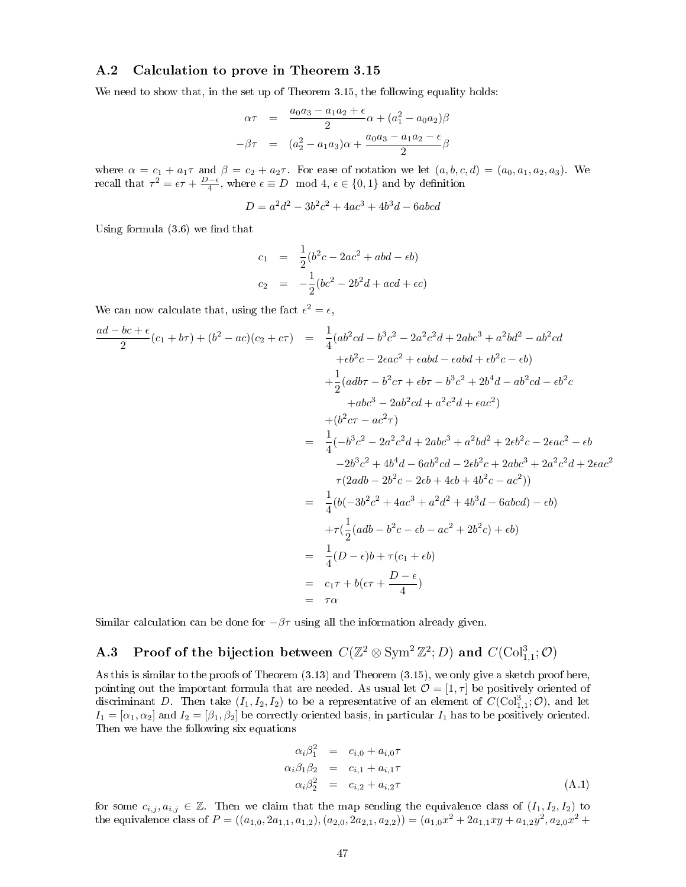## A.2 Calculation to prove in Theorem 3.15

We need to show that, in the set up of Theorem 3.15, the following equality holds:

$$
\alpha \tau = \frac{a_0 a_3 - a_1 a_2 + \epsilon}{2} \alpha + (a_1^2 - a_0 a_2) \beta
$$

$$
-\beta \tau = (a_2^2 - a_1 a_3) \alpha + \frac{a_0 a_3 - a_1 a_2 - \epsilon}{2} \beta
$$

where  $\alpha = c_1 + a_1\tau$  and  $\beta = c_2 + a_2\tau$ . For ease of notation we let  $(a, b, c, d) = (a_0, a_1, a_2, a_3)$ . We recall that  $\tau^2 = \epsilon \tau + \frac{D-\epsilon}{4}$ , where  $\epsilon \equiv D \mod 4$ ,  $\epsilon \in \{0,1\}$  and by definition

$$
D = a^2d^2 - 3b^2c^2 + 4ac^3 + 4b^3d - 6abcd
$$

Using formula  $(3.6)$  we find that

$$
c_1 = \frac{1}{2}(b^2c - 2ac^2 + abd - \epsilon b)
$$
  
\n
$$
c_2 = -\frac{1}{2}(bc^2 - 2b^2d + acd + \epsilon c)
$$

We can now calculate that, using the fact  $\epsilon^2 = \epsilon$ ,

$$
\frac{ad - bc + \epsilon}{2}(c_1 + b\tau) + (b^2 - ac)(c_2 + c\tau) = \frac{1}{4}(ab^2cd - b^3c^2 - 2a^2c^2d + 2abc^3 + a^2bd^2 - ab^2cd
$$
  
\n
$$
+eb^2c - 2eac^2 + \epsilon abd - \epsilon abd + eb^2c - \epsilon b)
$$
  
\n
$$
+ \frac{1}{2}(adb\tau - b^2c\tau + \epsilon b\tau - b^3c^2 + 2b^4d - ab^2cd - \epsilon b^2c
$$
  
\n
$$
+abc^3 - 2ab^2cd + a^2c^2d + \epsilon ac^2)
$$
  
\n
$$
+ (b^2c\tau - ac^2\tau)
$$
  
\n
$$
= \frac{1}{4}(-b^3c^2 - 2a^2c^2d + 2abc^3 + a^2bd^2 + 2eb^2c - 2\epsilon ac^2 - \epsilon b
$$
  
\n
$$
-2b^3c^2 + 4b^4d - 6ab^2cd - 2eb^2c + 2abc^3 + 2a^2c^2d + 2\epsilon ac^2
$$
  
\n
$$
\tau(2adb - 2b^2c - 2\epsilon b + 4\epsilon b + 4b^2c - ac^2))
$$
  
\n
$$
= \frac{1}{4}(b(-3b^2c^2 + 4ac^3 + a^2d^2 + 4b^3d - 6abcd) - \epsilon b)
$$
  
\n
$$
+ \tau(\frac{1}{2}(adb - b^2c - \epsilon b - ac^2 + 2b^2c) + \epsilon b)
$$
  
\n
$$
= \frac{1}{4}(D - \epsilon)b + \tau(c_1 + \epsilon b)
$$
  
\n
$$
= c_1\tau + b(\epsilon\tau + \frac{D - \epsilon}{4})
$$
  
\n
$$
= \tau\alpha
$$

Similar calculation can be done for  $-\beta\tau$  using all the information already given.

# **A.3** Proof of the bijection between  $C(\mathbb{Z}^2\otimes \operatorname{Sym}^2\mathbb{Z}^2; D)$  and  $C(\operatorname{Col}^3_{1,1};\mathcal{O})$

As this is similar to the proofs of Theorem (3.13) and Theorem (3.15), we only give a sketch proof here, pointing out the important formula that are needed. As usual let  $\mathcal{O} = [1, \tau]$  be positively oriented of discriminant D. Then take  $(I_1, I_2, I_2)$  to be a representative of an element of  $C(\text{Col}^3_{1,1}; \mathcal{O})$ , and let  $I_1 = [\alpha_1, \alpha_2]$  and  $I_2 = [\beta_1, \beta_2]$  be correctly oriented basis, in particular  $I_1$  has to be positively oriented. Then we have the following six equations

$$
\alpha_i \beta_1^2 = c_{i,0} + a_{i,0} \tau
$$
  
\n
$$
\alpha_i \beta_1 \beta_2 = c_{i,1} + a_{i,1} \tau
$$
  
\n
$$
\alpha_i \beta_2^2 = c_{i,2} + a_{i,2} \tau
$$
  
\n(A.1)

for some  $c_{i,j}, a_{i,j} \in \mathbb{Z}$ . Then we claim that the map sending the equivalence class of  $(I_1, I_2, I_2)$  to the equivalence class of  $P = ((a_{1,0}, 2a_{1,1}, a_{1,2}), (a_{2,0}, 2a_{2,1}, a_{2,2})) = (a_{1,0}x^2 + 2a_{1,1}xy + a_{1,2}y^2, a_{2,0}x^2 +$